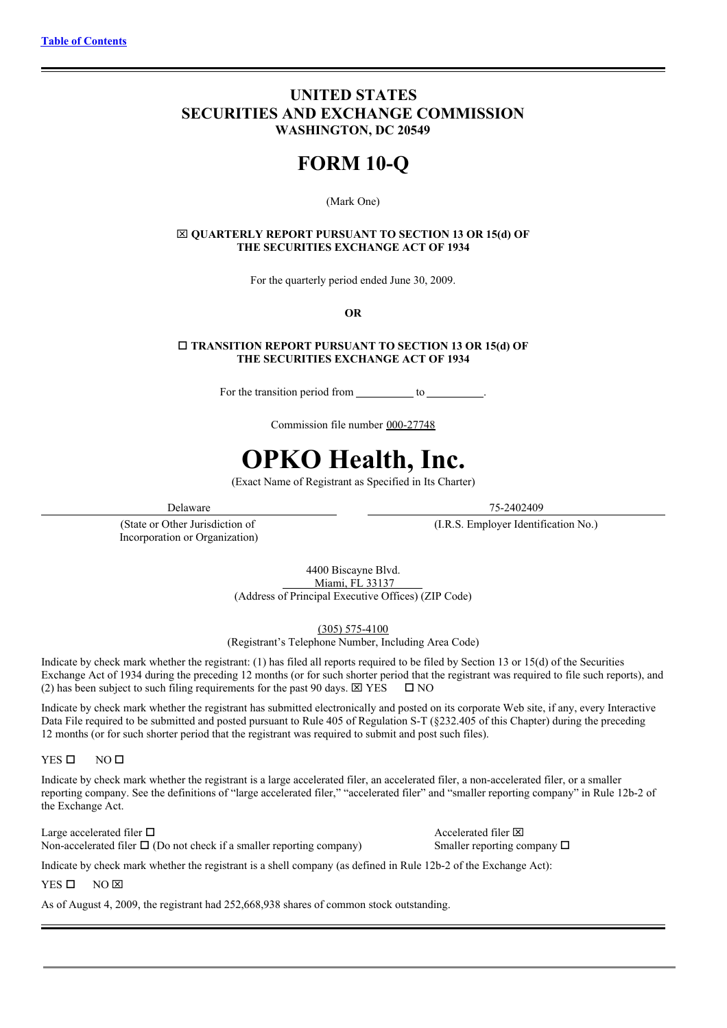# **UNITED STATES SECURITIES AND EXCHANGE COMMISSION WASHINGTON, DC 20549**

# **FORM 10-Q**

#### (Mark One)

x **QUARTERLY REPORT PURSUANT TO SECTION 13 OR 15(d) OF THE SECURITIES EXCHANGE ACT OF 1934**

For the quarterly period ended June 30, 2009.

**OR**

o **TRANSITION REPORT PURSUANT TO SECTION 13 OR 15(d) OF THE SECURITIES EXCHANGE ACT OF 1934**

For the transition period from to .

Commission file number 000-27748

# **OPKO Health, Inc.**

(Exact Name of Registrant as Specified in Its Charter)

(State or Other Jurisdiction of Incorporation or Organization)

Delaware 75-2402409

(I.R.S. Employer Identification No.)

4400 Biscayne Blvd. Miami, FL 33137 (Address of Principal Executive Offices) (ZIP Code)

(305) 575-4100

(Registrant's Telephone Number, Including Area Code)

Indicate by check mark whether the registrant: (1) has filed all reports required to be filed by Section 13 or 15(d) of the Securities Exchange Act of 1934 during the preceding 12 months (or for such shorter period that the registrant was required to file such reports), and (2) has been subject to such filing requirements for the past 90 days.  $\boxtimes$  YES  $\Box$  NO

Indicate by check mark whether the registrant has submitted electronically and posted on its corporate Web site, if any, every Interactive Data File required to be submitted and posted pursuant to Rule 405 of Regulation S-T (§232.405 of this Chapter) during the preceding 12 months (or for such shorter period that the registrant was required to submit and post such files).

 $YES$   $\Box$  NO  $\Box$ 

Indicate by check mark whether the registrant is a large accelerated filer, an accelerated filer, a non-accelerated filer, or a smaller reporting company. See the definitions of "large accelerated filer," "accelerated filer" and "smaller reporting company" in Rule 12b-2 of the Exchange Act.

Large accelerated filer  $\Box$ Non-accelerated filer  $\Box$  (Do not check if a smaller reporting company) Smaller reporting company  $\Box$ 

Indicate by check mark whether the registrant is a shell company (as defined in Rule 12b-2 of the Exchange Act):

 $YES$  O NO  $\overline{X}$ 

As of August 4, 2009, the registrant had 252,668,938 shares of common stock outstanding.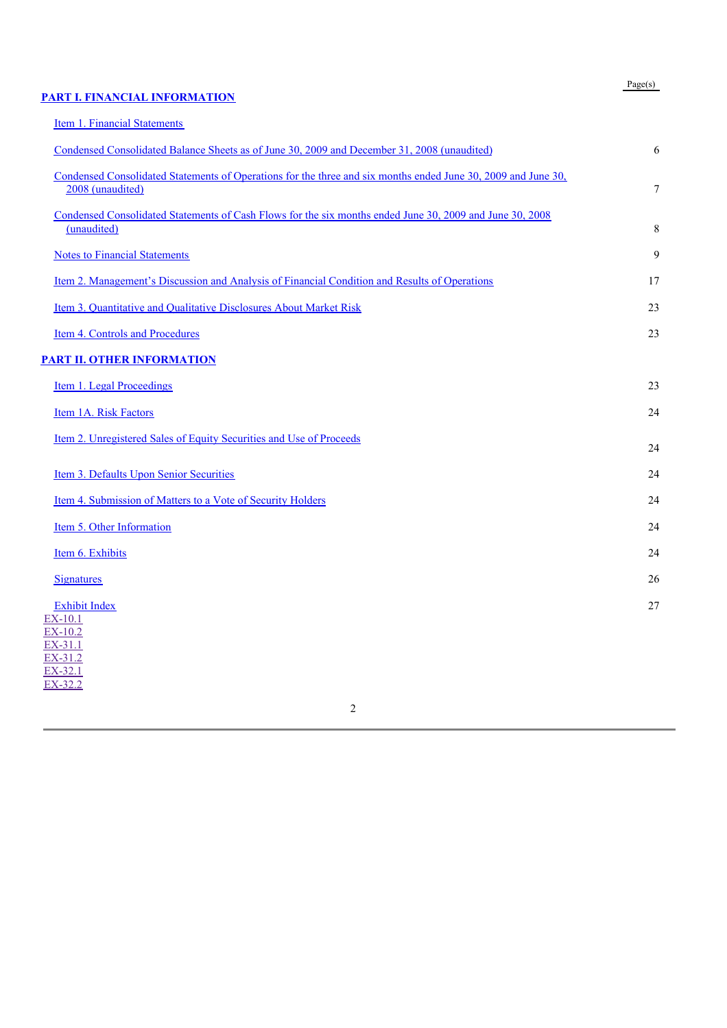#### **PART I. FINANCIAL INFORMATION**

Item 1. Financial Statements

# Condensed Consolidated Balance Sheets as of June 30, 2009 and December 31, 2008 (unaudited) 6 Condensed Consolidated Statements of Operations for the three and six months ended June 30, 2009 and June 30, 2008 (unaudited) 2008 (2008 (2008 (2008 (2008 10) 2008 (2008 10) 2008 (2008 10) 2008 10:30 2008 10:30 2008 10:30 2009 10:30 2009 10:30 2009 10:30 2009 10:30 2009 10:30 2009 10:30 2009 10:30 2009 10:30 2009 10:30 2009 10:30 Condensed Consolidated Statements of Cash Flows for the six months ended June 30, 2009 and June 30, 2008 (unaudited) 8 **Notes to Financial Statements** 9 Item 2. Management's Discussion and Analysis of Financial Condition and Results of Operations 17

| Item 3. Quantitative and Qualitative Disclosures About Market Risk |  |
|--------------------------------------------------------------------|--|
|                                                                    |  |

**Item 4. Controls and Procedures** 23

# **PART II. OTHER INFORMATION**

| Item 1. Legal Proceedings                                           | 23 |
|---------------------------------------------------------------------|----|
| Item 1A. Risk Factors                                               | 24 |
| Item 2. Unregistered Sales of Equity Securities and Use of Proceeds |    |

Item 3. Defaults Upon Senior Securities 24 Item 4. Submission of Matters to a Vote of Security Holders 24 Item 5. Other Information 24 Item 6. Exhibits 24 **Signatures** 26 Exhibit Index 27

EX-10.1 EX-10.2 EX-31.1 EX-31.2 EX-32.1 EX-32.2

#### Page(s)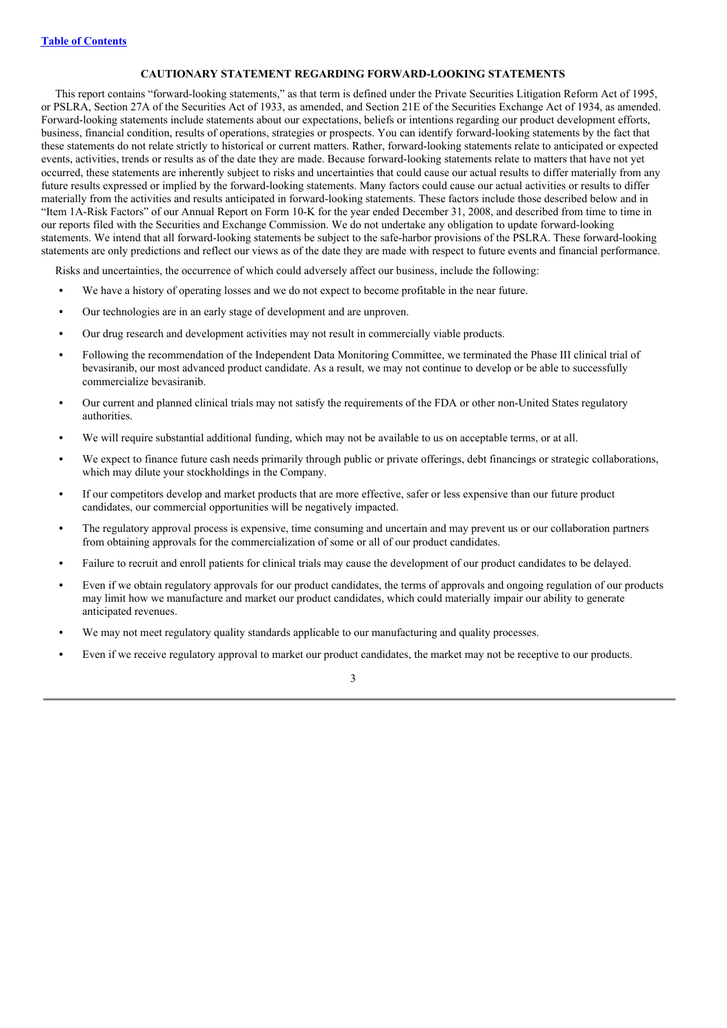# **CAUTIONARY STATEMENT REGARDING FORWARD-LOOKING STATEMENTS**

This report contains "forward-looking statements," as that term is defined under the Private Securities Litigation Reform Act of 1995, or PSLRA, Section 27A of the Securities Act of 1933, as amended, and Section 21E of the Securities Exchange Act of 1934, as amended. Forward-looking statements include statements about our expectations, beliefs or intentions regarding our product development efforts, business, financial condition, results of operations, strategies or prospects. You can identify forward-looking statements by the fact that these statements do not relate strictly to historical or current matters. Rather, forward-looking statements relate to anticipated or expected events, activities, trends or results as of the date they are made. Because forward-looking statements relate to matters that have not yet occurred, these statements are inherently subject to risks and uncertainties that could cause our actual results to differ materially from any future results expressed or implied by the forward-looking statements. Many factors could cause our actual activities or results to differ materially from the activities and results anticipated in forward-looking statements. These factors include those described below and in "Item 1A-Risk Factors" of our Annual Report on Form 10-K for the year ended December 31, 2008, and described from time to time in our reports filed with the Securities and Exchange Commission. We do not undertake any obligation to update forward-looking statements. We intend that all forward-looking statements be subject to the safe-harbor provisions of the PSLRA. These forward-looking statements are only predictions and reflect our views as of the date they are made with respect to future events and financial performance.

Risks and uncertainties, the occurrence of which could adversely affect our business, include the following:

- We have a history of operating losses and we do not expect to become profitable in the near future.
- **•** Our technologies are in an early stage of development and are unproven.
- **•** Our drug research and development activities may not result in commercially viable products.
- **•** Following the recommendation of the Independent Data Monitoring Committee, we terminated the Phase III clinical trial of bevasiranib, our most advanced product candidate. As a result, we may not continue to develop or be able to successfully commercialize bevasiranib.
- **•** Our current and planned clinical trials may not satisfy the requirements of the FDA or other non-United States regulatory authorities.
- We will require substantial additional funding, which may not be available to us on acceptable terms, or at all.
- **•** We expect to finance future cash needs primarily through public or private offerings, debt financings or strategic collaborations, which may dilute your stockholdings in the Company.
- **•** If our competitors develop and market products that are more effective, safer or less expensive than our future product candidates, our commercial opportunities will be negatively impacted.
- **•** The regulatory approval process is expensive, time consuming and uncertain and may prevent us or our collaboration partners from obtaining approvals for the commercialization of some or all of our product candidates.
- **•** Failure to recruit and enroll patients for clinical trials may cause the development of our product candidates to be delayed.
- **•** Even if we obtain regulatory approvals for our product candidates, the terms of approvals and ongoing regulation of our products may limit how we manufacture and market our product candidates, which could materially impair our ability to generate anticipated revenues.
- We may not meet regulatory quality standards applicable to our manufacturing and quality processes.
- **•** Even if we receive regulatory approval to market our product candidates, the market may not be receptive to our products.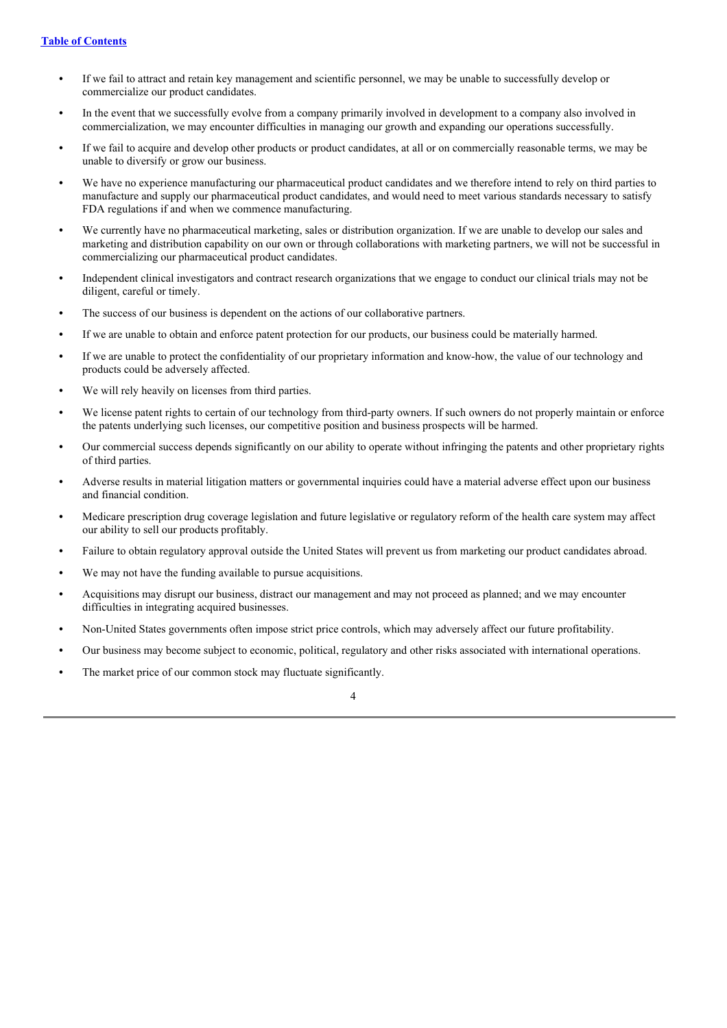- **•** If we fail to attract and retain key management and scientific personnel, we may be unable to successfully develop or commercialize our product candidates.
- **•** In the event that we successfully evolve from a company primarily involved in development to a company also involved in commercialization, we may encounter difficulties in managing our growth and expanding our operations successfully.
- **•** If we fail to acquire and develop other products or product candidates, at all or on commercially reasonable terms, we may be unable to diversify or grow our business.
- **•** We have no experience manufacturing our pharmaceutical product candidates and we therefore intend to rely on third parties to manufacture and supply our pharmaceutical product candidates, and would need to meet various standards necessary to satisfy FDA regulations if and when we commence manufacturing.
- **•** We currently have no pharmaceutical marketing, sales or distribution organization. If we are unable to develop our sales and marketing and distribution capability on our own or through collaborations with marketing partners, we will not be successful in commercializing our pharmaceutical product candidates.
- **•** Independent clinical investigators and contract research organizations that we engage to conduct our clinical trials may not be diligent, careful or timely.
- **•** The success of our business is dependent on the actions of our collaborative partners.
- **•** If we are unable to obtain and enforce patent protection for our products, our business could be materially harmed.
- **•** If we are unable to protect the confidentiality of our proprietary information and know-how, the value of our technology and products could be adversely affected.
- **•** We will rely heavily on licenses from third parties.
- We license patent rights to certain of our technology from third-party owners. If such owners do not properly maintain or enforce the patents underlying such licenses, our competitive position and business prospects will be harmed.
- **•** Our commercial success depends significantly on our ability to operate without infringing the patents and other proprietary rights of third parties.
- **•** Adverse results in material litigation matters or governmental inquiries could have a material adverse effect upon our business and financial condition.
- **•** Medicare prescription drug coverage legislation and future legislative or regulatory reform of the health care system may affect our ability to sell our products profitably.
- **•** Failure to obtain regulatory approval outside the United States will prevent us from marketing our product candidates abroad.
- **•** We may not have the funding available to pursue acquisitions.
- **•** Acquisitions may disrupt our business, distract our management and may not proceed as planned; and we may encounter difficulties in integrating acquired businesses.
- **•** Non-United States governments often impose strict price controls, which may adversely affect our future profitability.
- **•** Our business may become subject to economic, political, regulatory and other risks associated with international operations.
- The market price of our common stock may fluctuate significantly.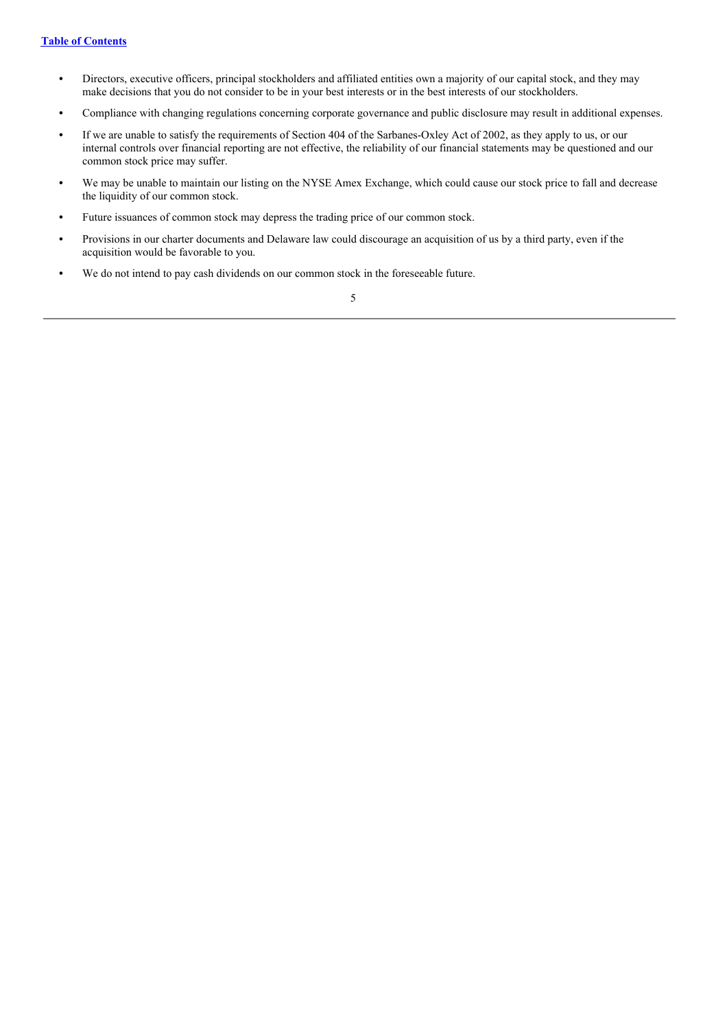- **•** Directors, executive officers, principal stockholders and affiliated entities own a majority of our capital stock, and they may make decisions that you do not consider to be in your best interests or in the best interests of our stockholders.
- **•** Compliance with changing regulations concerning corporate governance and public disclosure may result in additional expenses.
- **•** If we are unable to satisfy the requirements of Section 404 of the Sarbanes-Oxley Act of 2002, as they apply to us, or our internal controls over financial reporting are not effective, the reliability of our financial statements may be questioned and our common stock price may suffer.
- **•** We may be unable to maintain our listing on the NYSE Amex Exchange, which could cause our stock price to fall and decrease the liquidity of our common stock.
- Future issuances of common stock may depress the trading price of our common stock.
- **•** Provisions in our charter documents and Delaware law could discourage an acquisition of us by a third party, even if the acquisition would be favorable to you.
- We do not intend to pay cash dividends on our common stock in the foreseeable future.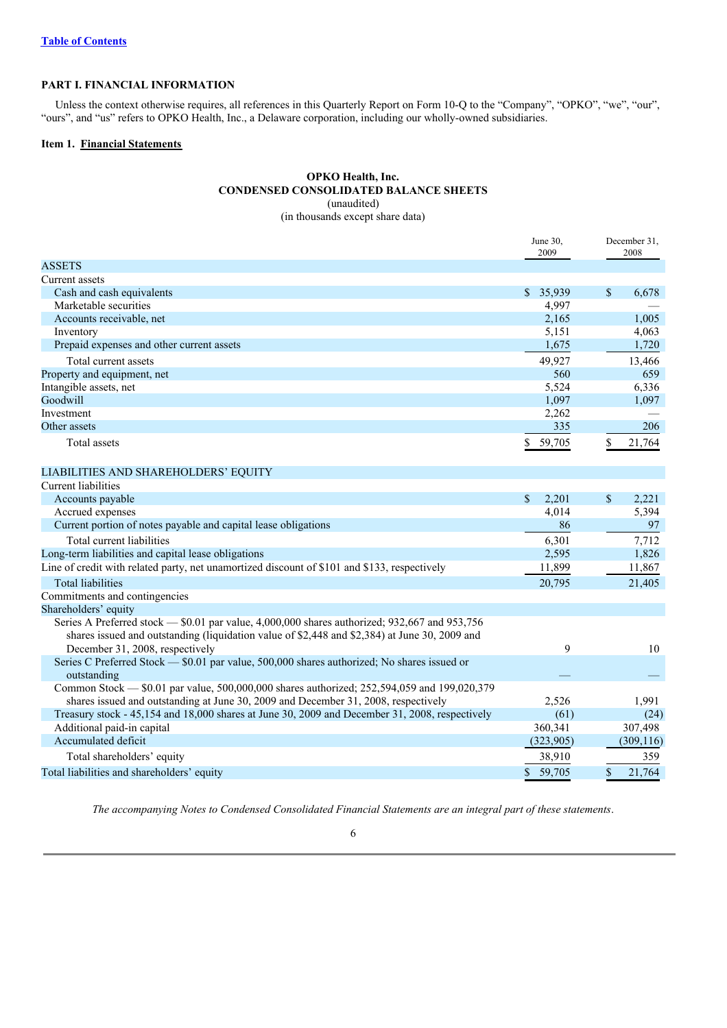#### **PART I. FINANCIAL INFORMATION**

Unless the context otherwise requires, all references in this Quarterly Report on Form 10-Q to the "Company", "OPKO", "we", "our", "ours", and "us" refers to OPKO Health, Inc., a Delaware corporation, including our wholly-owned subsidiaries.

# **Item 1. Financial Statements**

# **OPKO Health, Inc. CONDENSED CONSOLIDATED BALANCE SHEETS** (unaudited)

(in thousands except share data)

|                                                                                                            | June 30,<br>2009    | December 31,<br>2008  |
|------------------------------------------------------------------------------------------------------------|---------------------|-----------------------|
| <b>ASSETS</b>                                                                                              |                     |                       |
| Current assets                                                                                             |                     |                       |
| Cash and cash equivalents                                                                                  | \$35,939            | $\mathbb{S}$<br>6,678 |
| Marketable securities                                                                                      | 4,997               |                       |
| Accounts receivable, net                                                                                   | 2,165               | 1,005                 |
| Inventory                                                                                                  | 5,151               | 4,063                 |
| Prepaid expenses and other current assets                                                                  | 1,675               | 1,720                 |
| Total current assets                                                                                       | 49,927              | 13,466                |
| Property and equipment, net                                                                                | 560                 | 659                   |
| Intangible assets, net                                                                                     | 5,524               | 6,336                 |
| Goodwill                                                                                                   | 1,097               | 1,097                 |
| Investment                                                                                                 | 2,262               |                       |
| Other assets                                                                                               | 335                 | 206                   |
| Total assets                                                                                               | \$59,705            | \$<br>21,764          |
|                                                                                                            |                     |                       |
| LIABILITIES AND SHAREHOLDERS' EQUITY                                                                       |                     |                       |
| Current liabilities                                                                                        |                     |                       |
| Accounts payable                                                                                           | $\sqrt{S}$<br>2,201 | \$<br>2,221           |
| Accrued expenses                                                                                           | 4,014               | 5,394                 |
| Current portion of notes payable and capital lease obligations                                             | 86                  | 97                    |
| Total current liabilities                                                                                  | 6,301               | 7,712                 |
| Long-term liabilities and capital lease obligations                                                        | 2,595               | 1,826                 |
| Line of credit with related party, net unamortized discount of \$101 and \$133, respectively               | 11,899              | 11,867                |
| <b>Total liabilities</b>                                                                                   | 20,795              | 21,405                |
| Commitments and contingencies                                                                              |                     |                       |
| Shareholders' equity                                                                                       |                     |                       |
| Series A Preferred stock — \$0.01 par value, 4,000,000 shares authorized; 932,667 and 953,756              |                     |                       |
| shares issued and outstanding (liquidation value of \$2,448 and \$2,384) at June 30, 2009 and              |                     |                       |
| December 31, 2008, respectively                                                                            | 9                   | 10                    |
| Series C Preferred Stock — \$0.01 par value, 500,000 shares authorized; No shares issued or                |                     |                       |
| outstanding<br>Common Stock - \$0.01 par value, 500,000,000 shares authorized; 252,594,059 and 199,020,379 |                     |                       |
| shares issued and outstanding at June 30, 2009 and December 31, 2008, respectively                         | 2.526               | 1.991                 |

Treasury stock - 45,154 and 18,000 shares at June 30, 2009 and December 31, 2008, respectively (61) (24) Additional paid-in capital 360,341 307,498<br>Accumulated deficit (323,905) 360,341 307,498 307,498 Accumulated deficit Total shareholders' equity 38,910 359 Total liabilities and shareholders' equity  $\overline{\text{S}}$  59,705  $\overline{\text{S}}$  21,764

*The accompanying Notes to Condensed Consolidated Financial Statements are an integral part of these statements*.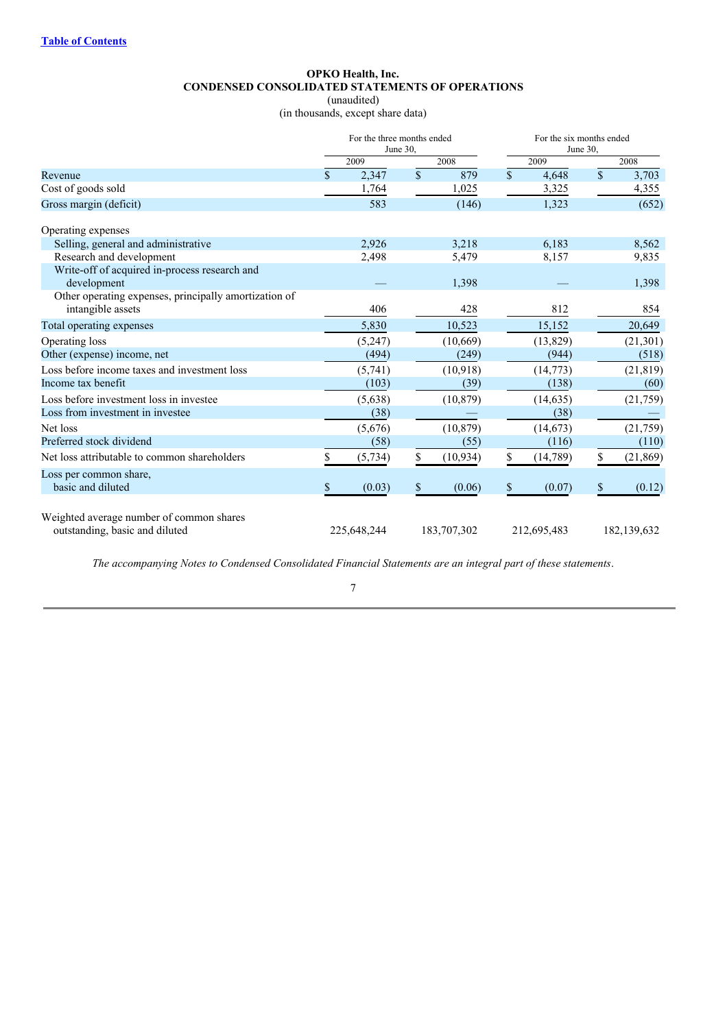# **OPKO Health, Inc. CONDENSED CONSOLIDATED STATEMENTS OF OPERATIONS**

(unaudited)

(in thousands, except share data)

|                                                                            | For the three months ended<br>June 30. |             |                 | For the six months ended<br>June 30, |             |    |               |
|----------------------------------------------------------------------------|----------------------------------------|-------------|-----------------|--------------------------------------|-------------|----|---------------|
|                                                                            |                                        | 2009        | 2008            |                                      | 2009        |    | 2008          |
| Revenue                                                                    | \$                                     | 2,347       | \$<br>879       | $\mathbb{S}$                         | 4.648       | \$ | 3,703         |
| Cost of goods sold                                                         |                                        | 1,764       | 1,025           |                                      | 3,325       |    | 4,355         |
| Gross margin (deficit)                                                     |                                        | 583         | (146)           |                                      | 1,323       |    | (652)         |
| Operating expenses                                                         |                                        |             |                 |                                      |             |    |               |
| Selling, general and administrative                                        |                                        | 2,926       | 3,218           |                                      | 6,183       |    | 8,562         |
| Research and development                                                   |                                        | 2,498       | 5,479           |                                      | 8,157       |    | 9,835         |
| Write-off of acquired in-process research and                              |                                        |             |                 |                                      |             |    |               |
| development<br>Other operating expenses, principally amortization of       |                                        |             | 1,398           |                                      |             |    | 1,398         |
| intangible assets                                                          |                                        | 406         | 428             |                                      | 812         |    | 854           |
| Total operating expenses                                                   |                                        | 5,830       | 10,523          |                                      | 15,152      |    | 20,649        |
| Operating loss                                                             |                                        | (5,247)     | (10,669)        |                                      | (13,829)    |    | (21, 301)     |
| Other (expense) income, net                                                |                                        | (494)       | (249)           |                                      | (944)       |    | (518)         |
| Loss before income taxes and investment loss                               |                                        | (5,741)     | (10,918)        |                                      | (14,773)    |    | (21, 819)     |
| Income tax benefit                                                         |                                        | (103)       | (39)            |                                      | (138)       |    | (60)          |
| Loss before investment loss in investee                                    |                                        | (5,638)     | (10, 879)       |                                      | (14, 635)   |    | (21, 759)     |
| Loss from investment in investee                                           |                                        | (38)        |                 |                                      | (38)        |    |               |
| Net loss                                                                   |                                        | (5,676)     | (10, 879)       |                                      | (14, 673)   |    | (21,759)      |
| Preferred stock dividend                                                   |                                        | (58)        | (55)            |                                      | (116)       |    | (110)         |
| Net loss attributable to common shareholders                               |                                        | (5, 734)    | \$<br>(10, 934) | \$                                   | (14,789)    | \$ | (21, 869)     |
| Loss per common share,<br>basic and diluted                                | $\mathbb{S}$                           | (0.03)      | \$<br>(0.06)    | $\$$                                 | (0.07)      | \$ | (0.12)        |
| Weighted average number of common shares<br>outstanding, basic and diluted |                                        | 225,648,244 | 183,707,302     |                                      | 212,695,483 |    | 182, 139, 632 |

*The accompanying Notes to Condensed Consolidated Financial Statements are an integral part of these statements*.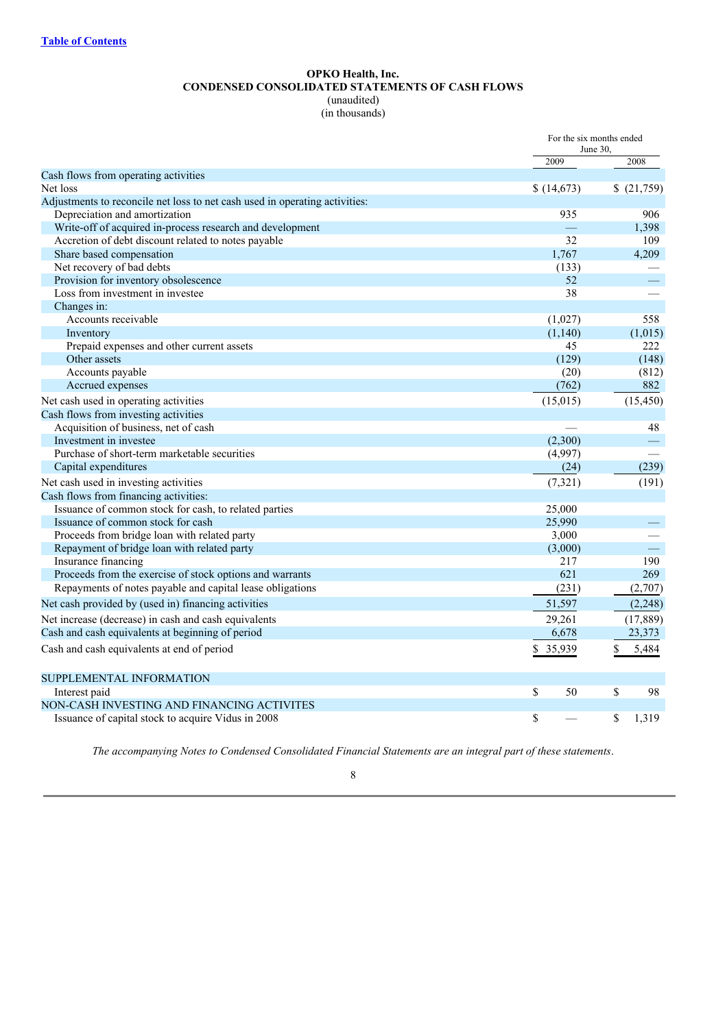# **OPKO Health, Inc. CONDENSED CONSOLIDATED STATEMENTS OF CASH FLOWS**

(unaudited) (in thousands)

|                                                                             | For the six months ended<br>June 30, |             |  |
|-----------------------------------------------------------------------------|--------------------------------------|-------------|--|
|                                                                             | 2009                                 | 2008        |  |
| Cash flows from operating activities                                        |                                      |             |  |
| Net loss                                                                    | \$(14,673)                           | \$(21,759)  |  |
| Adjustments to reconcile net loss to net cash used in operating activities: |                                      |             |  |
| Depreciation and amortization                                               | 935                                  | 906         |  |
| Write-off of acquired in-process research and development                   |                                      | 1,398       |  |
| Accretion of debt discount related to notes payable                         | 32                                   | 109         |  |
| Share based compensation                                                    | 1,767                                | 4,209       |  |
| Net recovery of bad debts                                                   | (133)                                |             |  |
| Provision for inventory obsolescence                                        | 52                                   |             |  |
| Loss from investment in investee                                            | 38                                   |             |  |
| Changes in:                                                                 |                                      |             |  |
| Accounts receivable                                                         | (1,027)                              | 558         |  |
| Inventory                                                                   | (1,140)                              | (1,015)     |  |
| Prepaid expenses and other current assets                                   | 45                                   | 222         |  |
| Other assets                                                                | (129)                                | (148)       |  |
| Accounts payable                                                            | (20)                                 | (812)       |  |
| Accrued expenses                                                            | (762)                                | 882         |  |
| Net cash used in operating activities                                       | (15,015)                             | (15, 450)   |  |
| Cash flows from investing activities                                        |                                      |             |  |
| Acquisition of business, net of cash                                        |                                      | 48          |  |
| Investment in investee                                                      | (2,300)                              |             |  |
| Purchase of short-term marketable securities                                | (4,997)                              |             |  |
| Capital expenditures                                                        | (24)                                 | (239)       |  |
| Net cash used in investing activities                                       | (7, 321)                             | (191)       |  |
| Cash flows from financing activities:                                       |                                      |             |  |
| Issuance of common stock for cash, to related parties                       | 25,000                               |             |  |
| Issuance of common stock for cash                                           | 25,990                               |             |  |
| Proceeds from bridge loan with related party                                | 3,000                                |             |  |
| Repayment of bridge loan with related party                                 | (3,000)                              | $\equiv$    |  |
| Insurance financing                                                         | 217                                  | 190         |  |
| Proceeds from the exercise of stock options and warrants                    | 621                                  | 269         |  |
| Repayments of notes payable and capital lease obligations                   | (231)                                | (2,707)     |  |
| Net cash provided by (used in) financing activities                         | 51,597                               | (2, 248)    |  |
| Net increase (decrease) in cash and cash equivalents                        | 29,261                               | (17, 889)   |  |
| Cash and cash equivalents at beginning of period                            | 6,678                                | 23,373      |  |
| Cash and cash equivalents at end of period                                  | \$ 35,939                            | \$<br>5,484 |  |
| SUPPLEMENTAL INFORMATION                                                    |                                      |             |  |
| Interest paid                                                               | \$<br>50                             | \$<br>98    |  |
| NON-CASH INVESTING AND FINANCING ACTIVITES                                  |                                      |             |  |
| Issuance of capital stock to acquire Vidus in 2008                          | \$                                   | \$<br>1,319 |  |

*The accompanying Notes to Condensed Consolidated Financial Statements are an integral part of these statements*.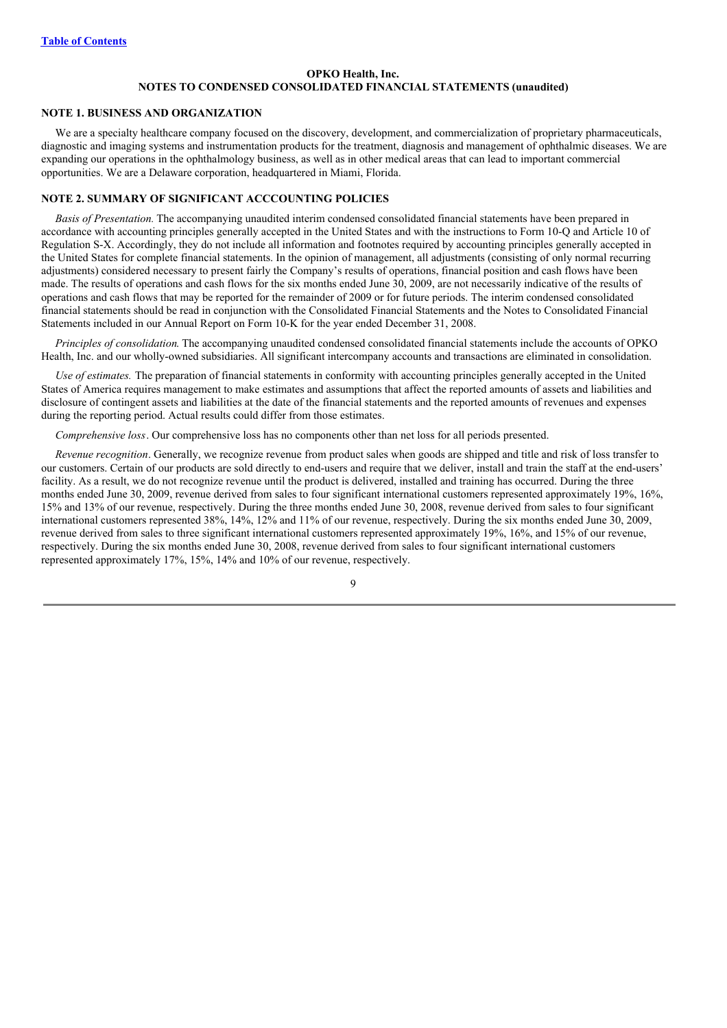# **OPKO Health, Inc. NOTES TO CONDENSED CONSOLIDATED FINANCIAL STATEMENTS (unaudited)**

#### **NOTE 1. BUSINESS AND ORGANIZATION**

We are a specialty healthcare company focused on the discovery, development, and commercialization of proprietary pharmaceuticals, diagnostic and imaging systems and instrumentation products for the treatment, diagnosis and management of ophthalmic diseases. We are expanding our operations in the ophthalmology business, as well as in other medical areas that can lead to important commercial opportunities. We are a Delaware corporation, headquartered in Miami, Florida.

#### **NOTE 2. SUMMARY OF SIGNIFICANT ACCCOUNTING POLICIES**

*Basis of Presentation.* The accompanying unaudited interim condensed consolidated financial statements have been prepared in accordance with accounting principles generally accepted in the United States and with the instructions to Form 10-Q and Article 10 of Regulation S-X. Accordingly, they do not include all information and footnotes required by accounting principles generally accepted in the United States for complete financial statements. In the opinion of management, all adjustments (consisting of only normal recurring adjustments) considered necessary to present fairly the Company's results of operations, financial position and cash flows have been made. The results of operations and cash flows for the six months ended June 30, 2009, are not necessarily indicative of the results of operations and cash flows that may be reported for the remainder of 2009 or for future periods. The interim condensed consolidated financial statements should be read in conjunction with the Consolidated Financial Statements and the Notes to Consolidated Financial Statements included in our Annual Report on Form 10-K for the year ended December 31, 2008.

*Principles of consolidation*. The accompanying unaudited condensed consolidated financial statements include the accounts of OPKO Health, Inc. and our wholly-owned subsidiaries. All significant intercompany accounts and transactions are eliminated in consolidation.

*Use of estimates.* The preparation of financial statements in conformity with accounting principles generally accepted in the United States of America requires management to make estimates and assumptions that affect the reported amounts of assets and liabilities and disclosure of contingent assets and liabilities at the date of the financial statements and the reported amounts of revenues and expenses during the reporting period. Actual results could differ from those estimates.

*Comprehensive loss*. Our comprehensive loss has no components other than net loss for all periods presented.

*Revenue recognition*. Generally, we recognize revenue from product sales when goods are shipped and title and risk of loss transfer to our customers. Certain of our products are sold directly to end-users and require that we deliver, install and train the staff at the end-users' facility. As a result, we do not recognize revenue until the product is delivered, installed and training has occurred. During the three months ended June 30, 2009, revenue derived from sales to four significant international customers represented approximately 19%, 16%, 15% and 13% of our revenue, respectively. During the three months ended June 30, 2008, revenue derived from sales to four significant international customers represented 38%, 14%, 12% and 11% of our revenue, respectively. During the six months ended June 30, 2009, revenue derived from sales to three significant international customers represented approximately 19%, 16%, and 15% of our revenue, respectively. During the six months ended June 30, 2008, revenue derived from sales to four significant international customers represented approximately 17%, 15%, 14% and 10% of our revenue, respectively.

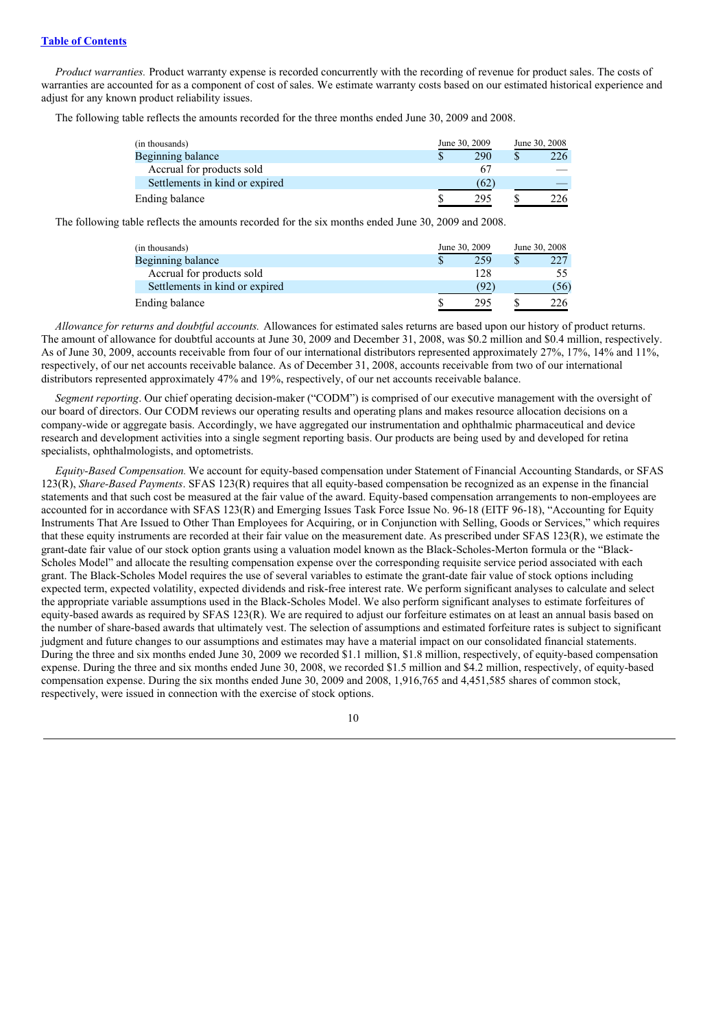*Product warranties.* Product warranty expense is recorded concurrently with the recording of revenue for product sales. The costs of warranties are accounted for as a component of cost of sales. We estimate warranty costs based on our estimated historical experience and adjust for any known product reliability issues.

The following table reflects the amounts recorded for the three months ended June 30, 2009 and 2008.

| (in thousands)                 | June 30, 2009 |  | June 30, 2008 |
|--------------------------------|---------------|--|---------------|
| Beginning balance              | 290           |  | 226           |
| Accrual for products sold      | 67            |  |               |
| Settlements in kind or expired | (62)          |  |               |
| <b>Ending balance</b>          | 295           |  | 26-           |

The following table reflects the amounts recorded for the six months ended June 30, 2009 and 2008.

| (in thousands)                 | June 30, 2009 | June 30, 2008 |
|--------------------------------|---------------|---------------|
| Beginning balance              | 259           | 227           |
| Accrual for products sold      | 128           |               |
| Settlements in kind or expired | (92)          | (56)          |
| Ending balance                 | 295           |               |

*Allowance for returns and doubtful accounts.* Allowances for estimated sales returns are based upon our history of product returns. The amount of allowance for doubtful accounts at June 30, 2009 and December 31, 2008, was \$0.2 million and \$0.4 million, respectively. As of June 30, 2009, accounts receivable from four of our international distributors represented approximately 27%, 17%, 14% and 11%, respectively, of our net accounts receivable balance. As of December 31, 2008, accounts receivable from two of our international distributors represented approximately 47% and 19%, respectively, of our net accounts receivable balance.

*Segment reporting*. Our chief operating decision-maker ("CODM") is comprised of our executive management with the oversight of our board of directors. Our CODM reviews our operating results and operating plans and makes resource allocation decisions on a company-wide or aggregate basis. Accordingly, we have aggregated our instrumentation and ophthalmic pharmaceutical and device research and development activities into a single segment reporting basis. Our products are being used by and developed for retina specialists, ophthalmologists, and optometrists.

*Equity-Based Compensation.* We account for equity-based compensation under Statement of Financial Accounting Standards, or SFAS 123(R), *Share-Based Payments*. SFAS 123(R) requires that all equity-based compensation be recognized as an expense in the financial statements and that such cost be measured at the fair value of the award. Equity-based compensation arrangements to non-employees are accounted for in accordance with SFAS 123(R) and Emerging Issues Task Force Issue No. 96-18 (EITF 96-18), "Accounting for Equity Instruments That Are Issued to Other Than Employees for Acquiring, or in Conjunction with Selling, Goods or Services," which requires that these equity instruments are recorded at their fair value on the measurement date. As prescribed under SFAS 123(R), we estimate the grant-date fair value of our stock option grants using a valuation model known as the Black-Scholes-Merton formula or the "Black-Scholes Model" and allocate the resulting compensation expense over the corresponding requisite service period associated with each grant. The Black-Scholes Model requires the use of several variables to estimate the grant-date fair value of stock options including expected term, expected volatility, expected dividends and risk-free interest rate. We perform significant analyses to calculate and select the appropriate variable assumptions used in the Black-Scholes Model. We also perform significant analyses to estimate forfeitures of equity-based awards as required by SFAS 123(R). We are required to adjust our forfeiture estimates on at least an annual basis based on the number of share-based awards that ultimately vest. The selection of assumptions and estimated forfeiture rates is subject to significant judgment and future changes to our assumptions and estimates may have a material impact on our consolidated financial statements. During the three and six months ended June 30, 2009 we recorded \$1.1 million, \$1.8 million, respectively, of equity-based compensation expense. During the three and six months ended June 30, 2008, we recorded \$1.5 million and \$4.2 million, respectively, of equity-based compensation expense. During the six months ended June 30, 2009 and 2008, 1,916,765 and 4,451,585 shares of common stock, respectively, were issued in connection with the exercise of stock options.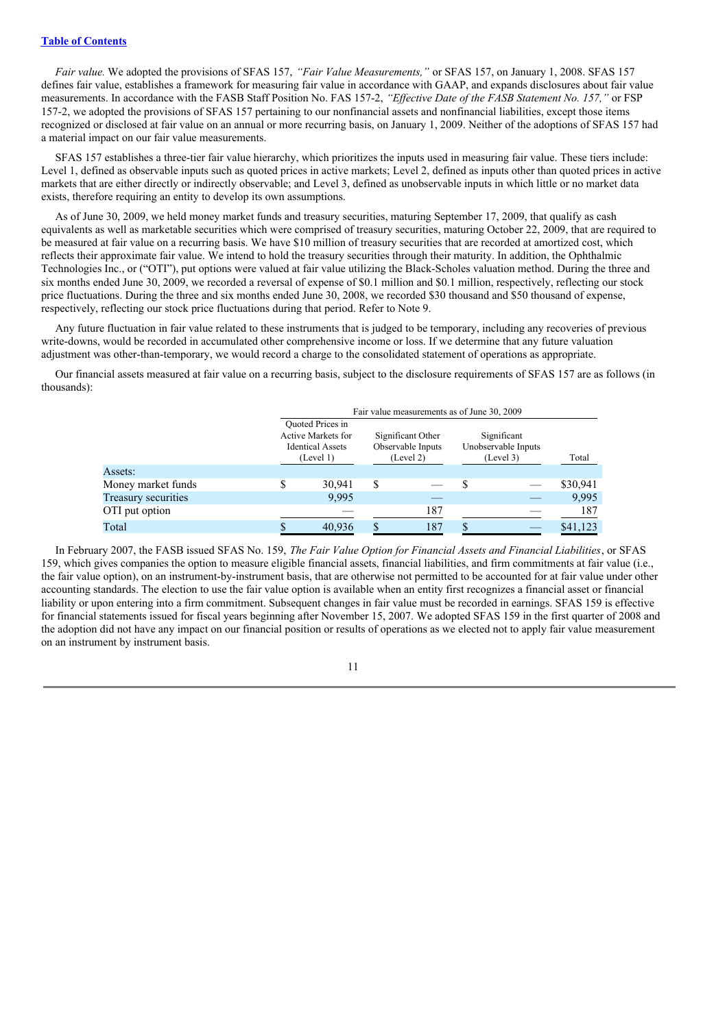*Fair value.* We adopted the provisions of SFAS 157, *"Fair Value Measurements,"* or SFAS 157, on January 1, 2008. SFAS 157 defines fair value, establishes a framework for measuring fair value in accordance with GAAP, and expands disclosures about fair value measurements. In accordance with the FASB Staff Position No. FAS 157-2, "Effective Date of the FASB Statement No. 157," or FSP 157-2, we adopted the provisions of SFAS 157 pertaining to our nonfinancial assets and nonfinancial liabilities, except those items recognized or disclosed at fair value on an annual or more recurring basis, on January 1, 2009. Neither of the adoptions of SFAS 157 had a material impact on our fair value measurements.

SFAS 157 establishes a three-tier fair value hierarchy, which prioritizes the inputs used in measuring fair value. These tiers include: Level 1, defined as observable inputs such as quoted prices in active markets; Level 2, defined as inputs other than quoted prices in active markets that are either directly or indirectly observable; and Level 3, defined as unobservable inputs in which little or no market data exists, therefore requiring an entity to develop its own assumptions.

As of June 30, 2009, we held money market funds and treasury securities, maturing September 17, 2009, that qualify as cash equivalents as well as marketable securities which were comprised of treasury securities, maturing October 22, 2009, that are required to be measured at fair value on a recurring basis. We have \$10 million of treasury securities that are recorded at amortized cost, which reflects their approximate fair value. We intend to hold the treasury securities through their maturity. In addition, the Ophthalmic Technologies Inc., or ("OTI"), put options were valued at fair value utilizing the Black-Scholes valuation method. During the three and six months ended June 30, 2009, we recorded a reversal of expense of \$0.1 million and \$0.1 million, respectively, reflecting our stock price fluctuations. During the three and six months ended June 30, 2008, we recorded \$30 thousand and \$50 thousand of expense, respectively, reflecting our stock price fluctuations during that period. Refer to Note 9.

Any future fluctuation in fair value related to these instruments that is judged to be temporary, including any recoveries of previous write-downs, would be recorded in accumulated other comprehensive income or loss. If we determine that any future valuation adjustment was other-than-temporary, we would record a charge to the consolidated statement of operations as appropriate.

Our financial assets measured at fair value on a recurring basis, subject to the disclosure requirements of SFAS 157 are as follows (in thousands):

|                     |                                                                                       |        |                                                     | Fair value measurements as of June 30, 2009 |                                                 |  |          |  |
|---------------------|---------------------------------------------------------------------------------------|--------|-----------------------------------------------------|---------------------------------------------|-------------------------------------------------|--|----------|--|
|                     | <b>Ouoted Prices in</b><br>Active Markets for<br><b>Identical Assets</b><br>(Level 1) |        | Significant Other<br>Observable Inputs<br>(Level 2) |                                             | Significant<br>Unobservable Inputs<br>(Level 3) |  | Total    |  |
| Assets:             |                                                                                       |        |                                                     |                                             |                                                 |  |          |  |
| Money market funds  |                                                                                       | 30.941 | S                                                   |                                             | \$                                              |  | \$30,941 |  |
| Treasury securities |                                                                                       | 9.995  |                                                     |                                             |                                                 |  | 9,995    |  |
| OTI put option      |                                                                                       |        |                                                     | 187                                         |                                                 |  | 187      |  |
| Total               |                                                                                       | 40.936 |                                                     | 187                                         | S                                               |  | \$41,123 |  |

In February 2007, the FASB issued SFAS No. 159, *The Fair Value Option for Financial Assets and Financial Liabilities*, or SFAS 159, which gives companies the option to measure eligible financial assets, financial liabilities, and firm commitments at fair value (i.e., the fair value option), on an instrument-by-instrument basis, that are otherwise not permitted to be accounted for at fair value under other accounting standards. The election to use the fair value option is available when an entity first recognizes a financial asset or financial liability or upon entering into a firm commitment. Subsequent changes in fair value must be recorded in earnings. SFAS 159 is effective for financial statements issued for fiscal years beginning after November 15, 2007. We adopted SFAS 159 in the first quarter of 2008 and the adoption did not have any impact on our financial position or results of operations as we elected not to apply fair value measurement on an instrument by instrument basis.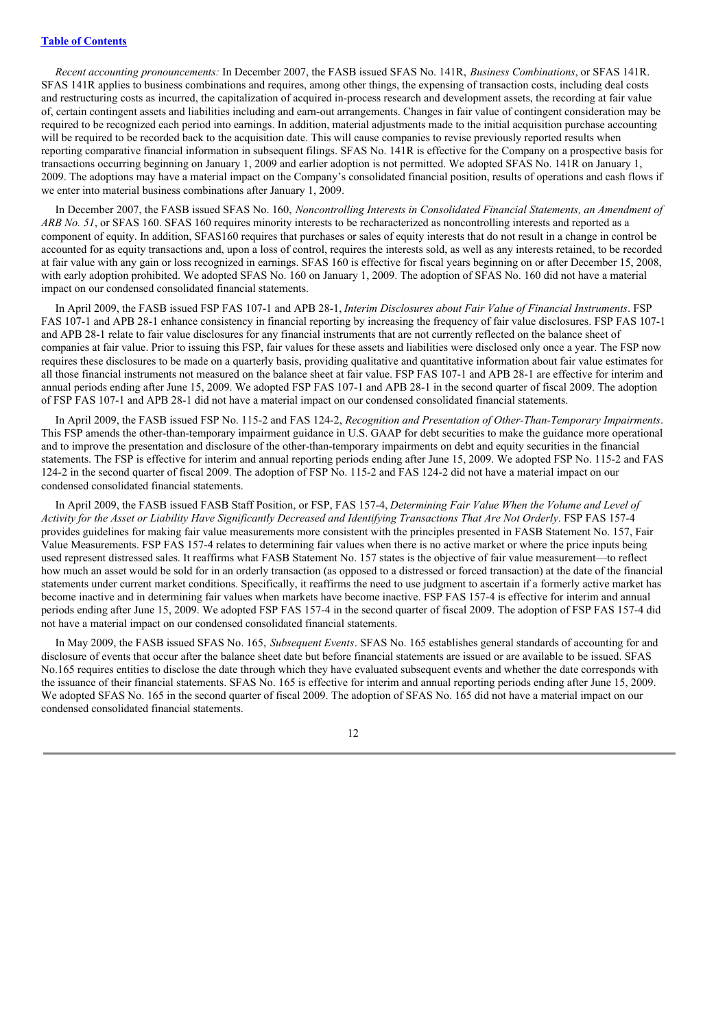*Recent accounting pronouncements:* In December 2007, the FASB issued SFAS No. 141R, *Business Combinations*, or SFAS 141R. SFAS 141R applies to business combinations and requires, among other things, the expensing of transaction costs, including deal costs and restructuring costs as incurred, the capitalization of acquired in-process research and development assets, the recording at fair value of, certain contingent assets and liabilities including and earn-out arrangements. Changes in fair value of contingent consideration may be required to be recognized each period into earnings. In addition, material adjustments made to the initial acquisition purchase accounting will be required to be recorded back to the acquisition date. This will cause companies to revise previously reported results when reporting comparative financial information in subsequent filings. SFAS No. 141R is effective for the Company on a prospective basis for transactions occurring beginning on January 1, 2009 and earlier adoption is not permitted. We adopted SFAS No. 141R on January 1, 2009. The adoptions may have a material impact on the Company's consolidated financial position, results of operations and cash flows if we enter into material business combinations after January 1, 2009.

In December 2007, the FASB issued SFAS No. 160, *Noncontrolling Interests in Consolidated Financial Statements, an Amendment of ARB No. 51*, or SFAS 160. SFAS 160 requires minority interests to be recharacterized as noncontrolling interests and reported as a component of equity. In addition, SFAS160 requires that purchases or sales of equity interests that do not result in a change in control be accounted for as equity transactions and, upon a loss of control, requires the interests sold, as well as any interests retained, to be recorded at fair value with any gain or loss recognized in earnings. SFAS 160 is effective for fiscal years beginning on or after December 15, 2008, with early adoption prohibited. We adopted SFAS No. 160 on January 1, 2009. The adoption of SFAS No. 160 did not have a material impact on our condensed consolidated financial statements.

In April 2009, the FASB issued FSP FAS 107-1 and APB 28-1, *Interim Disclosures about Fair Value of Financial Instruments*. FSP FAS 107-1 and APB 28-1 enhance consistency in financial reporting by increasing the frequency of fair value disclosures. FSP FAS 107-1 and APB 28-1 relate to fair value disclosures for any financial instruments that are not currently reflected on the balance sheet of companies at fair value. Prior to issuing this FSP, fair values for these assets and liabilities were disclosed only once a year. The FSP now requires these disclosures to be made on a quarterly basis, providing qualitative and quantitative information about fair value estimates for all those financial instruments not measured on the balance sheet at fair value. FSP FAS 107-1 and APB 28-1 are effective for interim and annual periods ending after June 15, 2009. We adopted FSP FAS 107-1 and APB 28-1 in the second quarter of fiscal 2009. The adoption of FSP FAS 107-1 and APB 28-1 did not have a material impact on our condensed consolidated financial statements.

In April 2009, the FASB issued FSP No. 115-2 and FAS 124-2, *Recognition and Presentation of Other-Than-Temporary Impairments*. This FSP amends the other-than-temporary impairment guidance in U.S. GAAP for debt securities to make the guidance more operational and to improve the presentation and disclosure of the other-than-temporary impairments on debt and equity securities in the financial statements. The FSP is effective for interim and annual reporting periods ending after June 15, 2009. We adopted FSP No. 115-2 and FAS 124-2 in the second quarter of fiscal 2009. The adoption of FSP No. 115-2 and FAS 124-2 did not have a material impact on our condensed consolidated financial statements.

In April 2009, the FASB issued FASB Staff Position, or FSP, FAS 157-4, *Determining Fair Value When the Volume and Level of* Activity for the Asset or Liability Have Significantly Decreased and Identifying Transactions That Are Not Orderly, FSP FAS 157-4 provides guidelines for making fair value measurements more consistent with the principles presented in FASB Statement No. 157, Fair Value Measurements. FSP FAS 157-4 relates to determining fair values when there is no active market or where the price inputs being used represent distressed sales. It reaffirms what FASB Statement No. 157 states is the objective of fair value measurement—to reflect how much an asset would be sold for in an orderly transaction (as opposed to a distressed or forced transaction) at the date of the financial statements under current market conditions. Specifically, it reaffirms the need to use judgment to ascertain if a formerly active market has become inactive and in determining fair values when markets have become inactive. FSP FAS 157-4 is effective for interim and annual periods ending after June 15, 2009. We adopted FSP FAS 157-4 in the second quarter of fiscal 2009. The adoption of FSP FAS 157-4 did not have a material impact on our condensed consolidated financial statements.

In May 2009, the FASB issued SFAS No. 165, *Subsequent Events*. SFAS No. 165 establishes general standards of accounting for and disclosure of events that occur after the balance sheet date but before financial statements are issued or are available to be issued. SFAS No.165 requires entities to disclose the date through which they have evaluated subsequent events and whether the date corresponds with the issuance of their financial statements. SFAS No. 165 is effective for interim and annual reporting periods ending after June 15, 2009. We adopted SFAS No. 165 in the second quarter of fiscal 2009. The adoption of SFAS No. 165 did not have a material impact on our condensed consolidated financial statements.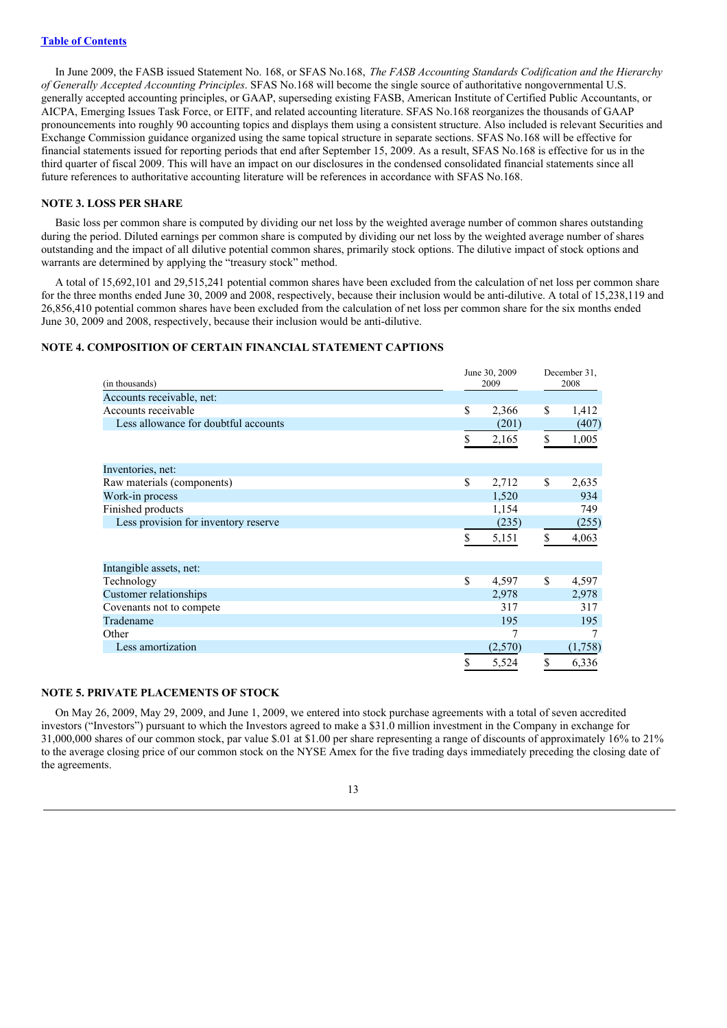In June 2009, the FASB issued Statement No. 168, or SFAS No.168, *The FASB Accounting Standards Codification and the Hierarchy of Generally Accepted Accounting Principles*. SFAS No.168 will become the single source of authoritative nongovernmental U.S. generally accepted accounting principles, or GAAP, superseding existing FASB, American Institute of Certified Public Accountants, or AICPA, Emerging Issues Task Force, or EITF, and related accounting literature. SFAS No.168 reorganizes the thousands of GAAP pronouncements into roughly 90 accounting topics and displays them using a consistent structure. Also included is relevant Securities and Exchange Commission guidance organized using the same topical structure in separate sections. SFAS No.168 will be effective for financial statements issued for reporting periods that end after September 15, 2009. As a result, SFAS No.168 is effective for us in the third quarter of fiscal 2009. This will have an impact on our disclosures in the condensed consolidated financial statements since all future references to authoritative accounting literature will be references in accordance with SFAS No.168.

#### **NOTE 3. LOSS PER SHARE**

Basic loss per common share is computed by dividing our net loss by the weighted average number of common shares outstanding during the period. Diluted earnings per common share is computed by dividing our net loss by the weighted average number of shares outstanding and the impact of all dilutive potential common shares, primarily stock options. The dilutive impact of stock options and warrants are determined by applying the "treasury stock" method.

A total of 15,692,101 and 29,515,241 potential common shares have been excluded from the calculation of net loss per common share for the three months ended June 30, 2009 and 2008, respectively, because their inclusion would be anti-dilutive. A total of 15,238,119 and 26,856,410 potential common shares have been excluded from the calculation of net loss per common share for the six months ended June 30, 2009 and 2008, respectively, because their inclusion would be anti-dilutive.

# **NOTE 4. COMPOSITION OF CERTAIN FINANCIAL STATEMENT CAPTIONS**

| (in thousands)                       | June 30, 2009<br>2009 |    | December 31,<br>2008 |  |
|--------------------------------------|-----------------------|----|----------------------|--|
| Accounts receivable, net:            |                       |    |                      |  |
| Accounts receivable                  | \$<br>2,366           | \$ | 1,412                |  |
| Less allowance for doubtful accounts | (201)                 |    | (407)                |  |
|                                      | \$<br>2,165           | \$ | 1,005                |  |
| Inventories, net:                    |                       |    |                      |  |
| Raw materials (components)           | \$<br>2,712           | \$ | 2,635                |  |
| Work-in process                      | 1,520                 |    | 934                  |  |
| Finished products                    | 1,154                 |    | 749                  |  |
| Less provision for inventory reserve | (235)                 |    | (255)                |  |
|                                      | \$<br>5,151           | \$ | 4,063                |  |
| Intangible assets, net:              |                       |    |                      |  |
| Technology                           | \$<br>4,597           | \$ | 4,597                |  |
| Customer relationships               | 2,978                 |    | 2,978                |  |
| Covenants not to compete             | 317                   |    | 317                  |  |
| Tradename                            | 195                   |    | 195                  |  |
| Other                                |                       |    | 7                    |  |
| Less amortization                    | (2,570)               |    | (1,758)              |  |
|                                      | \$<br>5,524           | \$ | 6,336                |  |

#### **NOTE 5. PRIVATE PLACEMENTS OF STOCK**

On May 26, 2009, May 29, 2009, and June 1, 2009, we entered into stock purchase agreements with a total of seven accredited investors ("Investors") pursuant to which the Investors agreed to make a \$31.0 million investment in the Company in exchange for 31,000,000 shares of our common stock, par value \$.01 at \$1.00 per share representing a range of discounts of approximately 16% to 21% to the average closing price of our common stock on the NYSE Amex for the five trading days immediately preceding the closing date of the agreements.

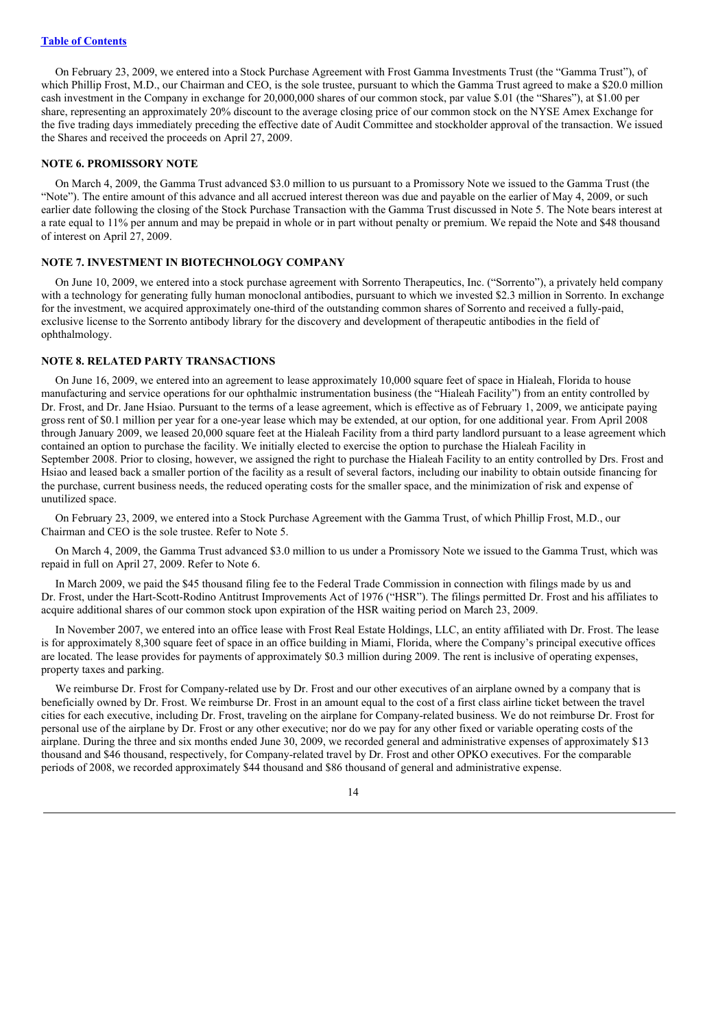On February 23, 2009, we entered into a Stock Purchase Agreement with Frost Gamma Investments Trust (the "Gamma Trust"), of which Phillip Frost, M.D., our Chairman and CEO, is the sole trustee, pursuant to which the Gamma Trust agreed to make a \$20.0 million cash investment in the Company in exchange for 20,000,000 shares of our common stock, par value \$.01 (the "Shares"), at \$1.00 per share, representing an approximately 20% discount to the average closing price of our common stock on the NYSE Amex Exchange for the five trading days immediately preceding the effective date of Audit Committee and stockholder approval of the transaction. We issued the Shares and received the proceeds on April 27, 2009.

#### **NOTE 6. PROMISSORY NOTE**

On March 4, 2009, the Gamma Trust advanced \$3.0 million to us pursuant to a Promissory Note we issued to the Gamma Trust (the "Note"). The entire amount of this advance and all accrued interest thereon was due and payable on the earlier of May 4, 2009, or such earlier date following the closing of the Stock Purchase Transaction with the Gamma Trust discussed in Note 5. The Note bears interest at a rate equal to 11% per annum and may be prepaid in whole or in part without penalty or premium. We repaid the Note and \$48 thousand of interest on April 27, 2009.

#### **NOTE 7. INVESTMENT IN BIOTECHNOLOGY COMPANY**

On June 10, 2009, we entered into a stock purchase agreement with Sorrento Therapeutics, Inc. ("Sorrento"), a privately held company with a technology for generating fully human monoclonal antibodies, pursuant to which we invested \$2.3 million in Sorrento. In exchange for the investment, we acquired approximately one-third of the outstanding common shares of Sorrento and received a fully-paid, exclusive license to the Sorrento antibody library for the discovery and development of therapeutic antibodies in the field of ophthalmology.

#### **NOTE 8. RELATED PARTY TRANSACTIONS**

On June 16, 2009, we entered into an agreement to lease approximately 10,000 square feet of space in Hialeah, Florida to house manufacturing and service operations for our ophthalmic instrumentation business (the "Hialeah Facility") from an entity controlled by Dr. Frost, and Dr. Jane Hsiao. Pursuant to the terms of a lease agreement, which is effective as of February 1, 2009, we anticipate paying gross rent of \$0.1 million per year for a one-year lease which may be extended, at our option, for one additional year. From April 2008 through January 2009, we leased 20,000 square feet at the Hialeah Facility from a third party landlord pursuant to a lease agreement which contained an option to purchase the facility. We initially elected to exercise the option to purchase the Hialeah Facility in September 2008. Prior to closing, however, we assigned the right to purchase the Hialeah Facility to an entity controlled by Drs. Frost and Hsiao and leased back a smaller portion of the facility as a result of several factors, including our inability to obtain outside financing for the purchase, current business needs, the reduced operating costs for the smaller space, and the minimization of risk and expense of unutilized space.

On February 23, 2009, we entered into a Stock Purchase Agreement with the Gamma Trust, of which Phillip Frost, M.D., our Chairman and CEO is the sole trustee. Refer to Note 5.

On March 4, 2009, the Gamma Trust advanced \$3.0 million to us under a Promissory Note we issued to the Gamma Trust, which was repaid in full on April 27, 2009. Refer to Note 6.

In March 2009, we paid the \$45 thousand filing fee to the Federal Trade Commission in connection with filings made by us and Dr. Frost, under the Hart-Scott-Rodino Antitrust Improvements Act of 1976 ("HSR"). The filings permitted Dr. Frost and his affiliates to acquire additional shares of our common stock upon expiration of the HSR waiting period on March 23, 2009.

In November 2007, we entered into an office lease with Frost Real Estate Holdings, LLC, an entity affiliated with Dr. Frost. The lease is for approximately 8,300 square feet of space in an office building in Miami, Florida, where the Company's principal executive offices are located. The lease provides for payments of approximately \$0.3 million during 2009. The rent is inclusive of operating expenses, property taxes and parking.

We reimburse Dr. Frost for Company-related use by Dr. Frost and our other executives of an airplane owned by a company that is beneficially owned by Dr. Frost. We reimburse Dr. Frost in an amount equal to the cost of a first class airline ticket between the travel cities for each executive, including Dr. Frost, traveling on the airplane for Company-related business. We do not reimburse Dr. Frost for personal use of the airplane by Dr. Frost or any other executive; nor do we pay for any other fixed or variable operating costs of the airplane. During the three and six months ended June 30, 2009, we recorded general and administrative expenses of approximately \$13 thousand and \$46 thousand, respectively, for Company-related travel by Dr. Frost and other OPKO executives. For the comparable periods of 2008, we recorded approximately \$44 thousand and \$86 thousand of general and administrative expense.

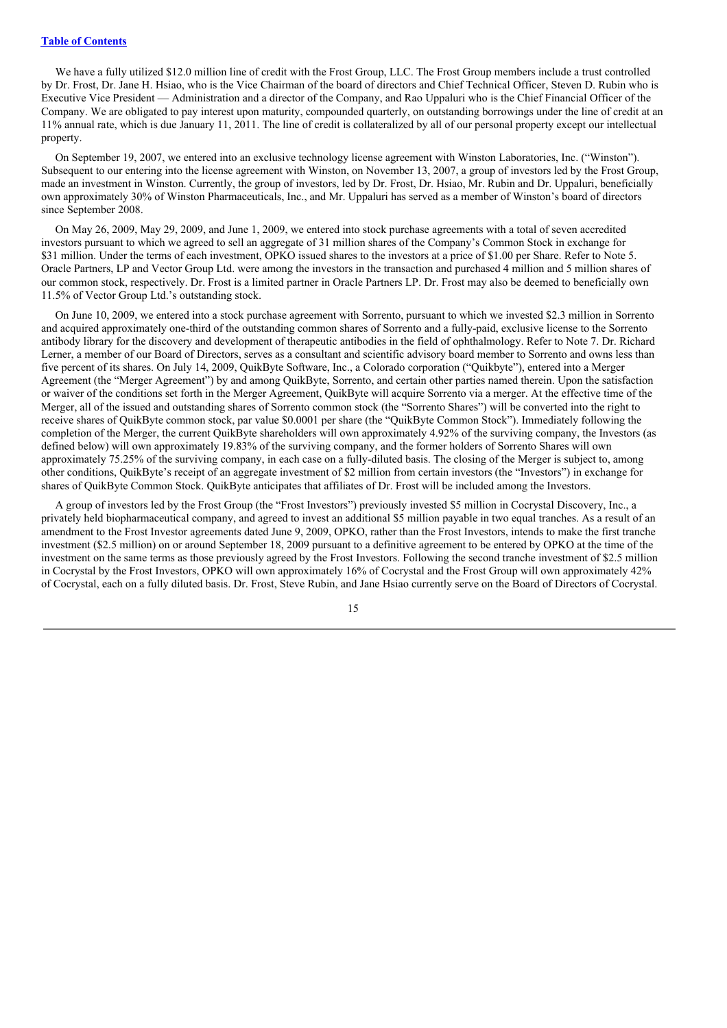We have a fully utilized \$12.0 million line of credit with the Frost Group, LLC. The Frost Group members include a trust controlled by Dr. Frost, Dr. Jane H. Hsiao, who is the Vice Chairman of the board of directors and Chief Technical Officer, Steven D. Rubin who is Executive Vice President — Administration and a director of the Company, and Rao Uppaluri who is the Chief Financial Officer of the Company. We are obligated to pay interest upon maturity, compounded quarterly, on outstanding borrowings under the line of credit at an 11% annual rate, which is due January 11, 2011. The line of credit is collateralized by all of our personal property except our intellectual property.

On September 19, 2007, we entered into an exclusive technology license agreement with Winston Laboratories, Inc. ("Winston"). Subsequent to our entering into the license agreement with Winston, on November 13, 2007, a group of investors led by the Frost Group, made an investment in Winston. Currently, the group of investors, led by Dr. Frost, Dr. Hsiao, Mr. Rubin and Dr. Uppaluri, beneficially own approximately 30% of Winston Pharmaceuticals, Inc., and Mr. Uppaluri has served as a member of Winston's board of directors since September 2008.

On May 26, 2009, May 29, 2009, and June 1, 2009, we entered into stock purchase agreements with a total of seven accredited investors pursuant to which we agreed to sell an aggregate of 31 million shares of the Company's Common Stock in exchange for \$31 million. Under the terms of each investment, OPKO issued shares to the investors at a price of \$1.00 per Share. Refer to Note 5. Oracle Partners, LP and Vector Group Ltd. were among the investors in the transaction and purchased 4 million and 5 million shares of our common stock, respectively. Dr. Frost is a limited partner in Oracle Partners LP. Dr. Frost may also be deemed to beneficially own 11.5% of Vector Group Ltd.'s outstanding stock.

On June 10, 2009, we entered into a stock purchase agreement with Sorrento, pursuant to which we invested \$2.3 million in Sorrento and acquired approximately one-third of the outstanding common shares of Sorrento and a fully-paid, exclusive license to the Sorrento antibody library for the discovery and development of therapeutic antibodies in the field of ophthalmology. Refer to Note 7. Dr. Richard Lerner, a member of our Board of Directors, serves as a consultant and scientific advisory board member to Sorrento and owns less than five percent of its shares. On July 14, 2009, QuikByte Software, Inc., a Colorado corporation ("Quikbyte"), entered into a Merger Agreement (the "Merger Agreement") by and among QuikByte, Sorrento, and certain other parties named therein. Upon the satisfaction or waiver of the conditions set forth in the Merger Agreement, QuikByte will acquire Sorrento via a merger. At the effective time of the Merger, all of the issued and outstanding shares of Sorrento common stock (the "Sorrento Shares") will be converted into the right to receive shares of QuikByte common stock, par value \$0.0001 per share (the "QuikByte Common Stock"). Immediately following the completion of the Merger, the current QuikByte shareholders will own approximately 4.92% of the surviving company, the Investors (as defined below) will own approximately 19.83% of the surviving company, and the former holders of Sorrento Shares will own approximately 75.25% of the surviving company, in each case on a fully-diluted basis. The closing of the Merger is subject to, among other conditions, QuikByte's receipt of an aggregate investment of \$2 million from certain investors (the "Investors") in exchange for shares of QuikByte Common Stock. QuikByte anticipates that affiliates of Dr. Frost will be included among the Investors.

A group of investors led by the Frost Group (the "Frost Investors") previously invested \$5 million in Cocrystal Discovery, Inc., a privately held biopharmaceutical company, and agreed to invest an additional \$5 million payable in two equal tranches. As a result of an amendment to the Frost Investor agreements dated June 9, 2009, OPKO, rather than the Frost Investors, intends to make the first tranche investment (\$2.5 million) on or around September 18, 2009 pursuant to a definitive agreement to be entered by OPKO at the time of the investment on the same terms as those previously agreed by the Frost Investors. Following the second tranche investment of \$2.5 million in Cocrystal by the Frost Investors, OPKO will own approximately 16% of Cocrystal and the Frost Group will own approximately 42% of Cocrystal, each on a fully diluted basis. Dr. Frost, Steve Rubin, and Jane Hsiao currently serve on the Board of Directors of Cocrystal.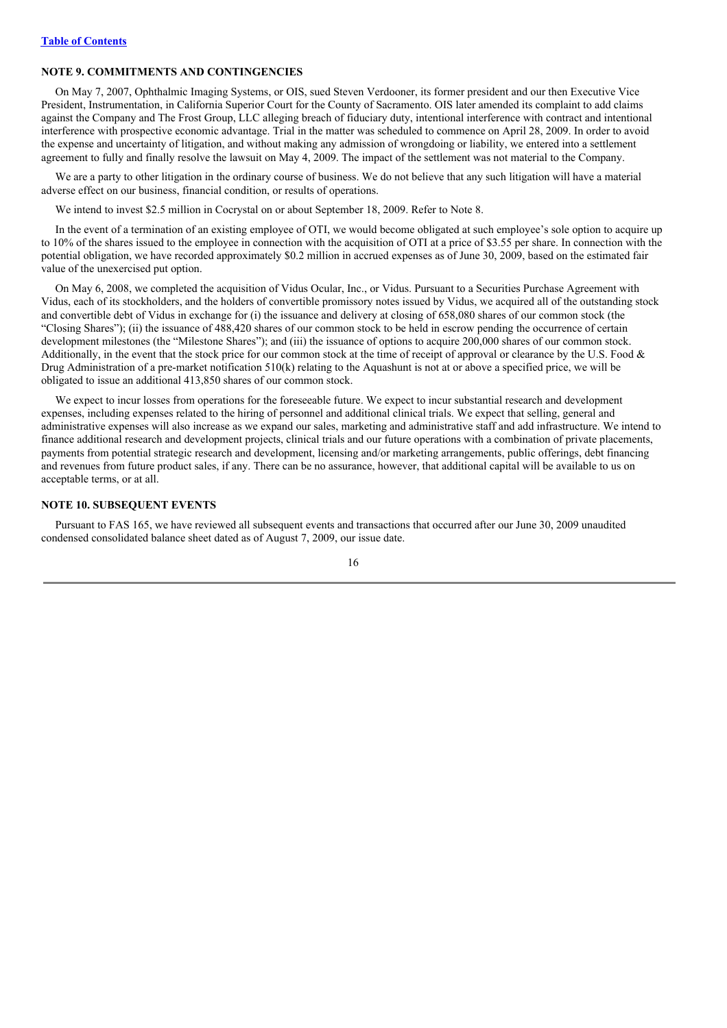# **NOTE 9. COMMITMENTS AND CONTINGENCIES**

On May 7, 2007, Ophthalmic Imaging Systems, or OIS, sued Steven Verdooner, its former president and our then Executive Vice President, Instrumentation, in California Superior Court for the County of Sacramento. OIS later amended its complaint to add claims against the Company and The Frost Group, LLC alleging breach of fiduciary duty, intentional interference with contract and intentional interference with prospective economic advantage. Trial in the matter was scheduled to commence on April 28, 2009. In order to avoid the expense and uncertainty of litigation, and without making any admission of wrongdoing or liability, we entered into a settlement agreement to fully and finally resolve the lawsuit on May 4, 2009. The impact of the settlement was not material to the Company.

We are a party to other litigation in the ordinary course of business. We do not believe that any such litigation will have a material adverse effect on our business, financial condition, or results of operations.

We intend to invest \$2.5 million in Cocrystal on or about September 18, 2009. Refer to Note 8.

In the event of a termination of an existing employee of OTI, we would become obligated at such employee's sole option to acquire up to 10% of the shares issued to the employee in connection with the acquisition of OTI at a price of \$3.55 per share. In connection with the potential obligation, we have recorded approximately \$0.2 million in accrued expenses as of June 30, 2009, based on the estimated fair value of the unexercised put option.

On May 6, 2008, we completed the acquisition of Vidus Ocular, Inc., or Vidus. Pursuant to a Securities Purchase Agreement with Vidus, each of its stockholders, and the holders of convertible promissory notes issued by Vidus, we acquired all of the outstanding stock and convertible debt of Vidus in exchange for (i) the issuance and delivery at closing of 658,080 shares of our common stock (the "Closing Shares"); (ii) the issuance of 488,420 shares of our common stock to be held in escrow pending the occurrence of certain development milestones (the "Milestone Shares"); and (iii) the issuance of options to acquire 200,000 shares of our common stock. Additionally, in the event that the stock price for our common stock at the time of receipt of approval or clearance by the U.S. Food & Drug Administration of a pre-market notification 510(k) relating to the Aquashunt is not at or above a specified price, we will be obligated to issue an additional 413,850 shares of our common stock.

We expect to incur losses from operations for the foreseeable future. We expect to incur substantial research and development expenses, including expenses related to the hiring of personnel and additional clinical trials. We expect that selling, general and administrative expenses will also increase as we expand our sales, marketing and administrative staff and add infrastructure. We intend to finance additional research and development projects, clinical trials and our future operations with a combination of private placements, payments from potential strategic research and development, licensing and/or marketing arrangements, public offerings, debt financing and revenues from future product sales, if any. There can be no assurance, however, that additional capital will be available to us on acceptable terms, or at all.

#### **NOTE 10. SUBSEQUENT EVENTS**

Pursuant to FAS 165, we have reviewed all subsequent events and transactions that occurred after our June 30, 2009 unaudited condensed consolidated balance sheet dated as of August 7, 2009, our issue date.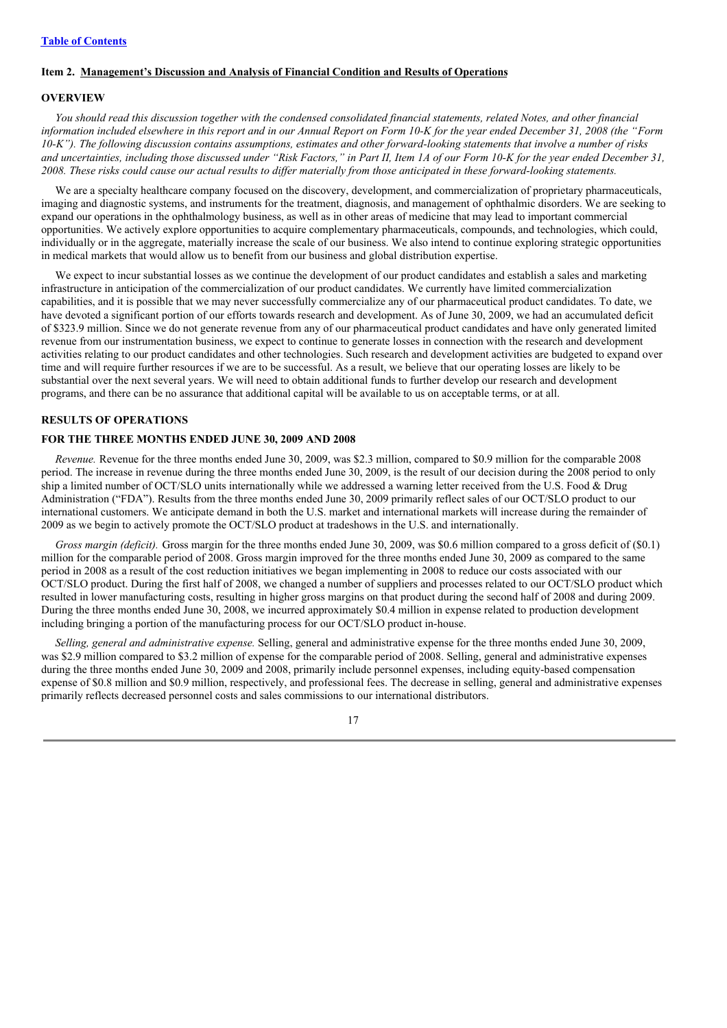# **Item 2. Management's Discussion and Analysis of Financial Condition and Results of Operations**

#### **OVERVIEW**

You should read this discussion together with the condensed consolidated financial statements, related Notes, and other financial information included elsewhere in this report and in our Annual Report on Form 10-K for the vear ended December 31, 2008 (the "Form 10-K"). The following discussion contains assumptions, estimates and other forward-looking statements that involve a number of risks and uncertainties, including those discussed under "Risk Factors," in Part II, Item 1A of our Form 10-K for the vear ended December 31, 2008. These risks could cause our actual results to differ materially from those anticipated in these forward-looking statements.

We are a specialty healthcare company focused on the discovery, development, and commercialization of proprietary pharmaceuticals, imaging and diagnostic systems, and instruments for the treatment, diagnosis, and management of ophthalmic disorders. We are seeking to expand our operations in the ophthalmology business, as well as in other areas of medicine that may lead to important commercial opportunities. We actively explore opportunities to acquire complementary pharmaceuticals, compounds, and technologies, which could, individually or in the aggregate, materially increase the scale of our business. We also intend to continue exploring strategic opportunities in medical markets that would allow us to benefit from our business and global distribution expertise.

We expect to incur substantial losses as we continue the development of our product candidates and establish a sales and marketing infrastructure in anticipation of the commercialization of our product candidates. We currently have limited commercialization capabilities, and it is possible that we may never successfully commercialize any of our pharmaceutical product candidates. To date, we have devoted a significant portion of our efforts towards research and development. As of June 30, 2009, we had an accumulated deficit of \$323.9 million. Since we do not generate revenue from any of our pharmaceutical product candidates and have only generated limited revenue from our instrumentation business, we expect to continue to generate losses in connection with the research and development activities relating to our product candidates and other technologies. Such research and development activities are budgeted to expand over time and will require further resources if we are to be successful. As a result, we believe that our operating losses are likely to be substantial over the next several years. We will need to obtain additional funds to further develop our research and development programs, and there can be no assurance that additional capital will be available to us on acceptable terms, or at all.

#### **RESULTS OF OPERATIONS**

#### **FOR THE THREE MONTHS ENDED JUNE 30, 2009 AND 2008**

*Revenue.* Revenue for the three months ended June 30, 2009, was \$2.3 million, compared to \$0.9 million for the comparable 2008 period. The increase in revenue during the three months ended June 30, 2009, is the result of our decision during the 2008 period to only ship a limited number of OCT/SLO units internationally while we addressed a warning letter received from the U.S. Food & Drug Administration ("FDA"). Results from the three months ended June 30, 2009 primarily reflect sales of our OCT/SLO product to our international customers. We anticipate demand in both the U.S. market and international markets will increase during the remainder of 2009 as we begin to actively promote the OCT/SLO product at tradeshows in the U.S. and internationally.

*Gross margin (deficit).* Gross margin for the three months ended June 30, 2009, was \$0.6 million compared to a gross deficit of (\$0.1) million for the comparable period of 2008. Gross margin improved for the three months ended June 30, 2009 as compared to the same period in 2008 as a result of the cost reduction initiatives we began implementing in 2008 to reduce our costs associated with our OCT/SLO product. During the first half of 2008, we changed a number of suppliers and processes related to our OCT/SLO product which resulted in lower manufacturing costs, resulting in higher gross margins on that product during the second half of 2008 and during 2009. During the three months ended June 30, 2008, we incurred approximately \$0.4 million in expense related to production development including bringing a portion of the manufacturing process for our OCT/SLO product in-house.

*Selling, general and administrative expense.* Selling, general and administrative expense for the three months ended June 30, 2009, was \$2.9 million compared to \$3.2 million of expense for the comparable period of 2008. Selling, general and administrative expenses during the three months ended June 30, 2009 and 2008, primarily include personnel expenses, including equity-based compensation expense of \$0.8 million and \$0.9 million, respectively, and professional fees. The decrease in selling, general and administrative expenses primarily reflects decreased personnel costs and sales commissions to our international distributors.

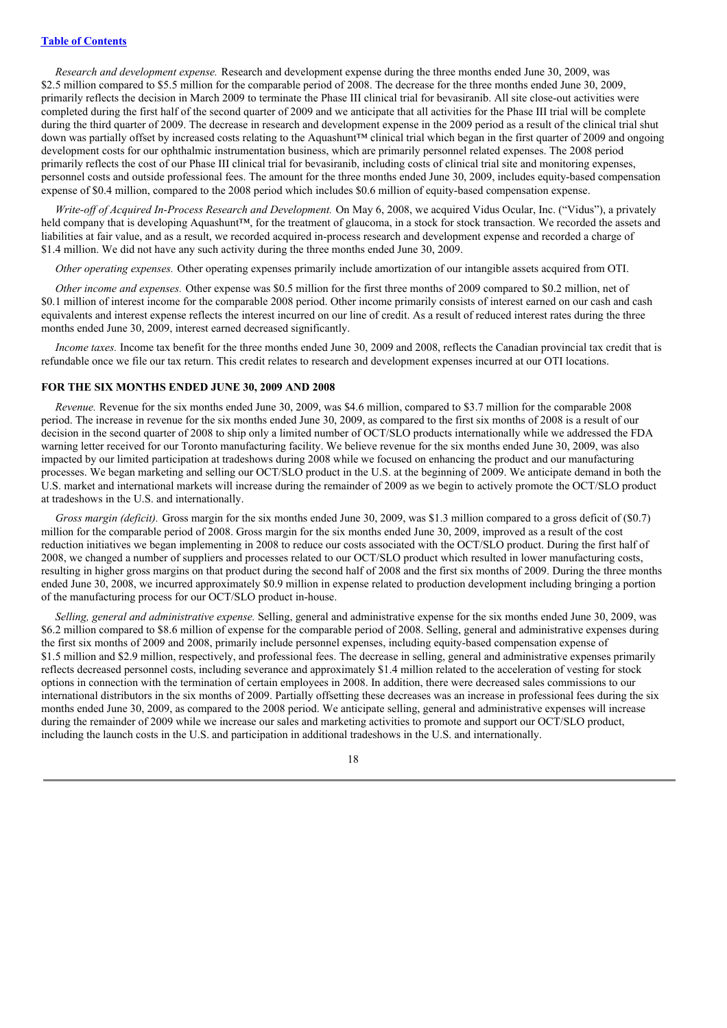*Research and development expense.* Research and development expense during the three months ended June 30, 2009, was \$2.5 million compared to \$5.5 million for the comparable period of 2008. The decrease for the three months ended June 30, 2009, primarily reflects the decision in March 2009 to terminate the Phase III clinical trial for bevasiranib. All site close-out activities were completed during the first half of the second quarter of 2009 and we anticipate that all activities for the Phase III trial will be complete during the third quarter of 2009. The decrease in research and development expense in the 2009 period as a result of the clinical trial shut down was partially offset by increased costs relating to the Aquashunt™ clinical trial which began in the first quarter of 2009 and ongoing development costs for our ophthalmic instrumentation business, which are primarily personnel related expenses. The 2008 period primarily reflects the cost of our Phase III clinical trial for bevasiranib, including costs of clinical trial site and monitoring expenses, personnel costs and outside professional fees. The amount for the three months ended June 30, 2009, includes equity-based compensation expense of \$0.4 million, compared to the 2008 period which includes \$0.6 million of equity-based compensation expense.

*Write-of of Acquired In-Process Research and Development.* On May 6, 2008, we acquired Vidus Ocular, Inc. ("Vidus"), a privately held company that is developing Aquashunt™, for the treatment of glaucoma, in a stock for stock transaction. We recorded the assets and liabilities at fair value, and as a result, we recorded acquired in-process research and development expense and recorded a charge of \$1.4 million. We did not have any such activity during the three months ended June 30, 2009.

*Other operating expenses.* Other operating expenses primarily include amortization of our intangible assets acquired from OTI.

*Other income and expenses.* Other expense was \$0.5 million for the first three months of 2009 compared to \$0.2 million, net of \$0.1 million of interest income for the comparable 2008 period. Other income primarily consists of interest earned on our cash and cash equivalents and interest expense reflects the interest incurred on our line of credit. As a result of reduced interest rates during the three months ended June 30, 2009, interest earned decreased significantly.

*Income taxes.* Income tax benefit for the three months ended June 30, 2009 and 2008, reflects the Canadian provincial tax credit that is refundable once we file our tax return. This credit relates to research and development expenses incurred at our OTI locations.

#### **FOR THE SIX MONTHS ENDED JUNE 30, 2009 AND 2008**

*Revenue.* Revenue for the six months ended June 30, 2009, was \$4.6 million, compared to \$3.7 million for the comparable 2008 period. The increase in revenue for the six months ended June 30, 2009, as compared to the first six months of 2008 is a result of our decision in the second quarter of 2008 to ship only a limited number of OCT/SLO products internationally while we addressed the FDA warning letter received for our Toronto manufacturing facility. We believe revenue for the six months ended June 30, 2009, was also impacted by our limited participation at tradeshows during 2008 while we focused on enhancing the product and our manufacturing processes. We began marketing and selling our OCT/SLO product in the U.S. at the beginning of 2009. We anticipate demand in both the U.S. market and international markets will increase during the remainder of 2009 as we begin to actively promote the OCT/SLO product at tradeshows in the U.S. and internationally.

*Gross margin (deficit).* Gross margin for the six months ended June 30, 2009, was \$1.3 million compared to a gross deficit of (\$0.7) million for the comparable period of 2008. Gross margin for the six months ended June 30, 2009, improved as a result of the cost reduction initiatives we began implementing in 2008 to reduce our costs associated with the OCT/SLO product. During the first half of 2008, we changed a number of suppliers and processes related to our OCT/SLO product which resulted in lower manufacturing costs, resulting in higher gross margins on that product during the second half of 2008 and the first six months of 2009. During the three months ended June 30, 2008, we incurred approximately \$0.9 million in expense related to production development including bringing a portion of the manufacturing process for our OCT/SLO product in-house.

*Selling, general and administrative expense.* Selling, general and administrative expense for the six months ended June 30, 2009, was \$6.2 million compared to \$8.6 million of expense for the comparable period of 2008. Selling, general and administrative expenses during the first six months of 2009 and 2008, primarily include personnel expenses, including equity-based compensation expense of \$1.5 million and \$2.9 million, respectively, and professional fees. The decrease in selling, general and administrative expenses primarily reflects decreased personnel costs, including severance and approximately \$1.4 million related to the acceleration of vesting for stock options in connection with the termination of certain employees in 2008. In addition, there were decreased sales commissions to our international distributors in the six months of 2009. Partially offsetting these decreases was an increase in professional fees during the six months ended June 30, 2009, as compared to the 2008 period. We anticipate selling, general and administrative expenses will increase during the remainder of 2009 while we increase our sales and marketing activities to promote and support our OCT/SLO product, including the launch costs in the U.S. and participation in additional tradeshows in the U.S. and internationally.

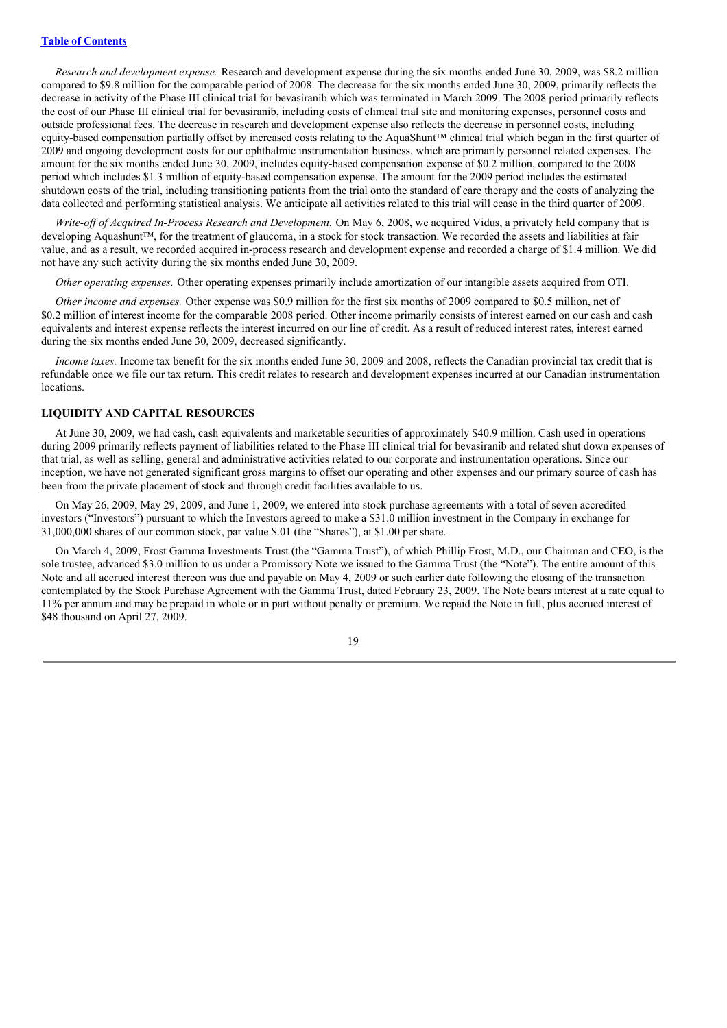*Research and development expense.* Research and development expense during the six months ended June 30, 2009, was \$8.2 million compared to \$9.8 million for the comparable period of 2008. The decrease for the six months ended June 30, 2009, primarily reflects the decrease in activity of the Phase III clinical trial for bevasiranib which was terminated in March 2009. The 2008 period primarily reflects the cost of our Phase III clinical trial for bevasiranib, including costs of clinical trial site and monitoring expenses, personnel costs and outside professional fees. The decrease in research and development expense also reflects the decrease in personnel costs, including equity-based compensation partially offset by increased costs relating to the AquaShunt™ clinical trial which began in the first quarter of 2009 and ongoing development costs for our ophthalmic instrumentation business, which are primarily personnel related expenses. The amount for the six months ended June 30, 2009, includes equity-based compensation expense of \$0.2 million, compared to the 2008 period which includes \$1.3 million of equity-based compensation expense. The amount for the 2009 period includes the estimated shutdown costs of the trial, including transitioning patients from the trial onto the standard of care therapy and the costs of analyzing the data collected and performing statistical analysis. We anticipate all activities related to this trial will cease in the third quarter of 2009.

*Write-of of Acquired In-Process Research and Development.* On May 6, 2008, we acquired Vidus, a privately held company that is developing Aquashunt™, for the treatment of glaucoma, in a stock for stock transaction. We recorded the assets and liabilities at fair value, and as a result, we recorded acquired in-process research and development expense and recorded a charge of \$1.4 million. We did not have any such activity during the six months ended June 30, 2009.

*Other operating expenses.* Other operating expenses primarily include amortization of our intangible assets acquired from OTI.

*Other income and expenses.* Other expense was \$0.9 million for the first six months of 2009 compared to \$0.5 million, net of \$0.2 million of interest income for the comparable 2008 period. Other income primarily consists of interest earned on our cash and cash equivalents and interest expense reflects the interest incurred on our line of credit. As a result of reduced interest rates, interest earned during the six months ended June 30, 2009, decreased significantly.

*Income taxes*. Income tax benefit for the six months ended June 30, 2009 and 2008, reflects the Canadian provincial tax credit that is refundable once we file our tax return. This credit relates to research and development expenses incurred at our Canadian instrumentation locations.

#### **LIQUIDITY AND CAPITAL RESOURCES**

At June 30, 2009, we had cash, cash equivalents and marketable securities of approximately \$40.9 million. Cash used in operations during 2009 primarily reflects payment of liabilities related to the Phase III clinical trial for bevasiranib and related shut down expenses of that trial, as well as selling, general and administrative activities related to our corporate and instrumentation operations. Since our inception, we have not generated significant gross margins to offset our operating and other expenses and our primary source of cash has been from the private placement of stock and through credit facilities available to us.

On May 26, 2009, May 29, 2009, and June 1, 2009, we entered into stock purchase agreements with a total of seven accredited investors ("Investors") pursuant to which the Investors agreed to make a \$31.0 million investment in the Company in exchange for 31,000,000 shares of our common stock, par value \$.01 (the "Shares"), at \$1.00 per share.

On March 4, 2009, Frost Gamma Investments Trust (the "Gamma Trust"), of which Phillip Frost, M.D., our Chairman and CEO, is the sole trustee, advanced \$3.0 million to us under a Promissory Note we issued to the Gamma Trust (the "Note"). The entire amount of this Note and all accrued interest thereon was due and payable on May 4, 2009 or such earlier date following the closing of the transaction contemplated by the Stock Purchase Agreement with the Gamma Trust, dated February 23, 2009. The Note bears interest at a rate equal to 11% per annum and may be prepaid in whole or in part without penalty or premium. We repaid the Note in full, plus accrued interest of \$48 thousand on April 27, 2009.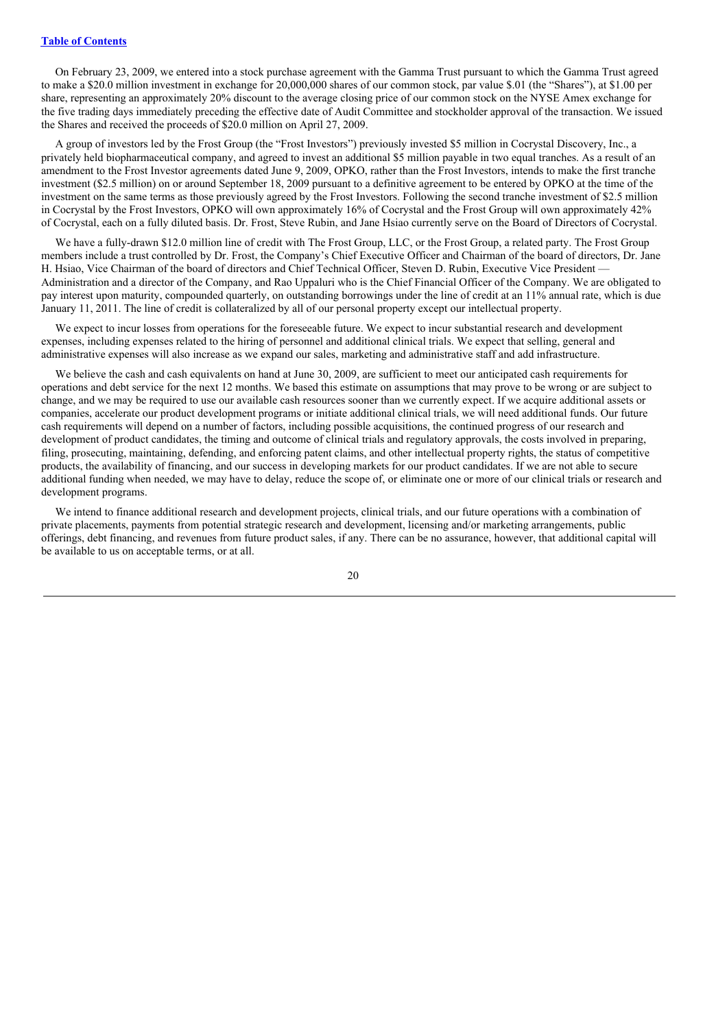On February 23, 2009, we entered into a stock purchase agreement with the Gamma Trust pursuant to which the Gamma Trust agreed to make a \$20.0 million investment in exchange for 20,000,000 shares of our common stock, par value \$.01 (the "Shares"), at \$1.00 per share, representing an approximately 20% discount to the average closing price of our common stock on the NYSE Amex exchange for the five trading days immediately preceding the effective date of Audit Committee and stockholder approval of the transaction. We issued the Shares and received the proceeds of \$20.0 million on April 27, 2009.

A group of investors led by the Frost Group (the "Frost Investors") previously invested \$5 million in Cocrystal Discovery, Inc., a privately held biopharmaceutical company, and agreed to invest an additional \$5 million payable in two equal tranches. As a result of an amendment to the Frost Investor agreements dated June 9, 2009, OPKO, rather than the Frost Investors, intends to make the first tranche investment (\$2.5 million) on or around September 18, 2009 pursuant to a definitive agreement to be entered by OPKO at the time of the investment on the same terms as those previously agreed by the Frost Investors. Following the second tranche investment of \$2.5 million in Cocrystal by the Frost Investors, OPKO will own approximately 16% of Cocrystal and the Frost Group will own approximately 42% of Cocrystal, each on a fully diluted basis. Dr. Frost, Steve Rubin, and Jane Hsiao currently serve on the Board of Directors of Cocrystal.

We have a fully-drawn \$12.0 million line of credit with The Frost Group, LLC, or the Frost Group, a related party. The Frost Group members include a trust controlled by Dr. Frost, the Company's Chief Executive Officer and Chairman of the board of directors, Dr. Jane H. Hsiao, Vice Chairman of the board of directors and Chief Technical Officer, Steven D. Rubin, Executive Vice President -Administration and a director of the Company, and Rao Uppaluri who is the Chief Financial Officer of the Company. We are obligated to pay interest upon maturity, compounded quarterly, on outstanding borrowings under the line of credit at an 11% annual rate, which is due January 11, 2011. The line of credit is collateralized by all of our personal property except our intellectual property.

We expect to incur losses from operations for the foreseeable future. We expect to incur substantial research and development expenses, including expenses related to the hiring of personnel and additional clinical trials. We expect that selling, general and administrative expenses will also increase as we expand our sales, marketing and administrative staff and add infrastructure.

We believe the cash and cash equivalents on hand at June 30, 2009, are sufficient to meet our anticipated cash requirements for operations and debt service for the next 12 months. We based this estimate on assumptions that may prove to be wrong or are subject to change, and we may be required to use our available cash resources sooner than we currently expect. If we acquire additional assets or companies, accelerate our product development programs or initiate additional clinical trials, we will need additional funds. Our future cash requirements will depend on a number of factors, including possible acquisitions, the continued progress of our research and development of product candidates, the timing and outcome of clinical trials and regulatory approvals, the costs involved in preparing, filing, prosecuting, maintaining, defending, and enforcing patent claims, and other intellectual property rights, the status of competitive products, the availability of financing, and our success in developing markets for our product candidates. If we are not able to secure additional funding when needed, we may have to delay, reduce the scope of, or eliminate one or more of our clinical trials or research and development programs.

We intend to finance additional research and development projects, clinical trials, and our future operations with a combination of private placements, payments from potential strategic research and development, licensing and/or marketing arrangements, public offerings, debt financing, and revenues from future product sales, if any. There can be no assurance, however, that additional capital will be available to us on acceptable terms, or at all.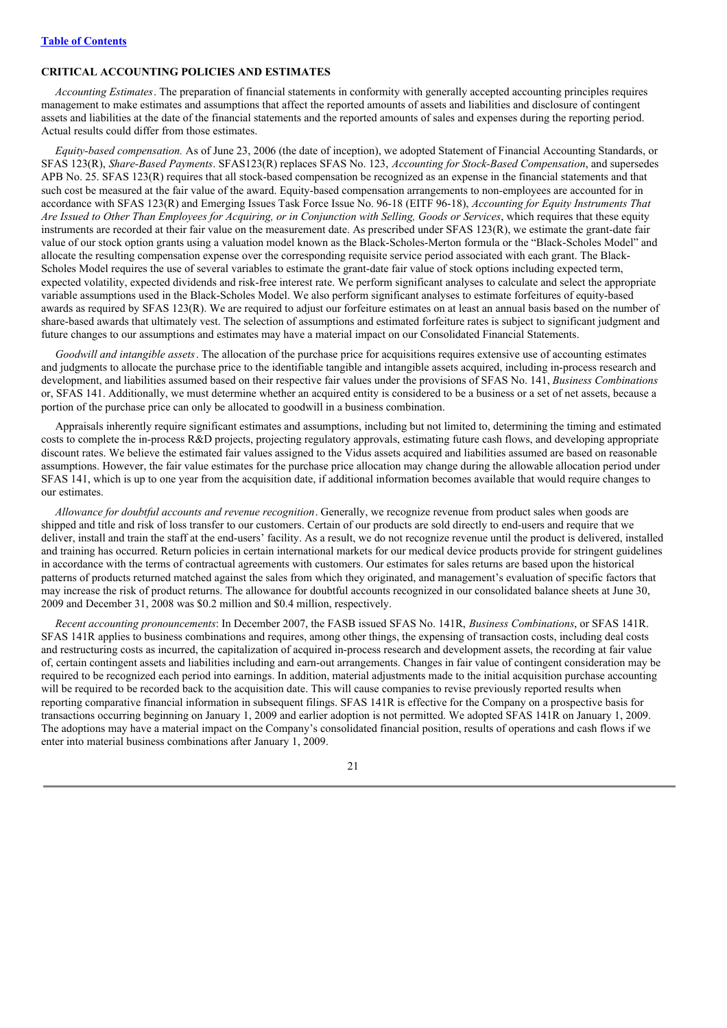# **CRITICAL ACCOUNTING POLICIES AND ESTIMATES**

*Accounting Estimates*. The preparation of financial statements in conformity with generally accepted accounting principles requires management to make estimates and assumptions that affect the reported amounts of assets and liabilities and disclosure of contingent assets and liabilities at the date of the financial statements and the reported amounts of sales and expenses during the reporting period. Actual results could differ from those estimates.

*Equity-based compensation.* As of June 23, 2006 (the date of inception), we adopted Statement of Financial Accounting Standards, or SFAS 123(R), *Share-Based Payments*. SFAS123(R) replaces SFAS No. 123, *Accounting for Stock-Based Compensation*, and supersedes APB No. 25. SFAS 123(R) requires that all stock-based compensation be recognized as an expense in the financial statements and that such cost be measured at the fair value of the award. Equity-based compensation arrangements to non-employees are accounted for in accordance with SFAS 123(R) and Emerging Issues Task Force Issue No. 96-18 (EITF 96-18), *Accounting for Equity Instruments That* Are Issued to Other Than Employees for Acquiring, or in Conjunction with Selling, Goods or Services, which requires that these equity instruments are recorded at their fair value on the measurement date. As prescribed under SFAS 123(R), we estimate the grant-date fair value of our stock option grants using a valuation model known as the Black-Scholes-Merton formula or the "Black-Scholes Model" and allocate the resulting compensation expense over the corresponding requisite service period associated with each grant. The Black-Scholes Model requires the use of several variables to estimate the grant-date fair value of stock options including expected term, expected volatility, expected dividends and risk-free interest rate. We perform significant analyses to calculate and select the appropriate variable assumptions used in the Black-Scholes Model. We also perform significant analyses to estimate forfeitures of equity-based awards as required by SFAS 123(R). We are required to adjust our forfeiture estimates on at least an annual basis based on the number of share-based awards that ultimately vest. The selection of assumptions and estimated forfeiture rates is subject to significant judgment and future changes to our assumptions and estimates may have a material impact on our Consolidated Financial Statements.

*Goodwill and intangible assets*. The allocation of the purchase price for acquisitions requires extensive use of accounting estimates and judgments to allocate the purchase price to the identifiable tangible and intangible assets acquired, including in-process research and development, and liabilities assumed based on their respective fair values under the provisions of SFAS No. 141, *Business Combinations* or, SFAS 141. Additionally, we must determine whether an acquired entity is considered to be a business or a set of net assets, because a portion of the purchase price can only be allocated to goodwill in a business combination.

Appraisals inherently require significant estimates and assumptions, including but not limited to, determining the timing and estimated costs to complete the in-process R&D projects, projecting regulatory approvals, estimating future cash flows, and developing appropriate discount rates. We believe the estimated fair values assigned to the Vidus assets acquired and liabilities assumed are based on reasonable assumptions. However, the fair value estimates for the purchase price allocation may change during the allowable allocation period under SFAS 141, which is up to one year from the acquisition date, if additional information becomes available that would require changes to our estimates.

*Allowance for doubtful accounts and revenue recognition*. Generally, we recognize revenue from product sales when goods are shipped and title and risk of loss transfer to our customers. Certain of our products are sold directly to end-users and require that we deliver, install and train the staff at the end-users' facility. As a result, we do not recognize revenue until the product is delivered, installed and training has occurred. Return policies in certain international markets for our medical device products provide for stringent guidelines in accordance with the terms of contractual agreements with customers. Our estimates for sales returns are based upon the historical patterns of products returned matched against the sales from which they originated, and management's evaluation of specific factors that may increase the risk of product returns. The allowance for doubtful accounts recognized in our consolidated balance sheets at June 30, 2009 and December 31, 2008 was \$0.2 million and \$0.4 million, respectively.

*Recent accounting pronouncements*: In December 2007, the FASB issued SFAS No. 141R, *Business Combinations*, or SFAS 141R. SFAS 141R applies to business combinations and requires, among other things, the expensing of transaction costs, including deal costs and restructuring costs as incurred, the capitalization of acquired in-process research and development assets, the recording at fair value of, certain contingent assets and liabilities including and earn-out arrangements. Changes in fair value of contingent consideration may be required to be recognized each period into earnings. In addition, material adjustments made to the initial acquisition purchase accounting will be required to be recorded back to the acquisition date. This will cause companies to revise previously reported results when reporting comparative financial information in subsequent filings. SFAS 141R is effective for the Company on a prospective basis for transactions occurring beginning on January 1, 2009 and earlier adoption is not permitted. We adopted SFAS 141R on January 1, 2009. The adoptions may have a material impact on the Company's consolidated financial position, results of operations and cash flows if we enter into material business combinations after January 1, 2009.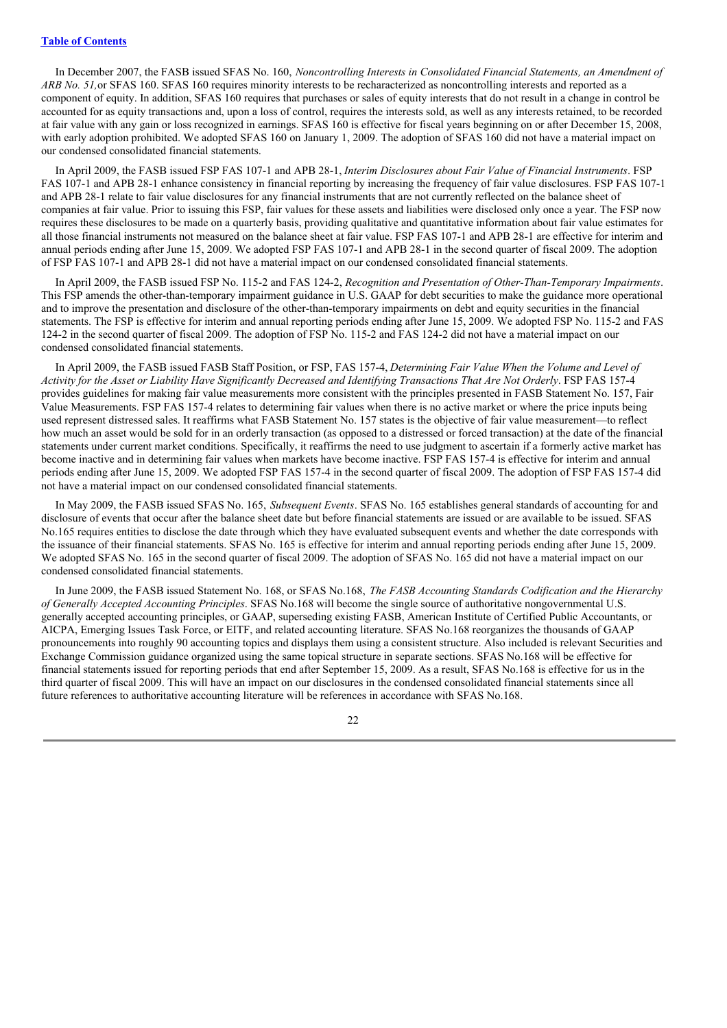In December 2007, the FASB issued SFAS No. 160, *Noncontrolling Interests in Consolidated Financial Statements, an Amendment of ARB No. 51,*or SFAS 160. SFAS 160 requires minority interests to be recharacterized as noncontrolling interests and reported as a component of equity. In addition, SFAS 160 requires that purchases or sales of equity interests that do not result in a change in control be accounted for as equity transactions and, upon a loss of control, requires the interests sold, as well as any interests retained, to be recorded at fair value with any gain or loss recognized in earnings. SFAS 160 is effective for fiscal years beginning on or after December 15, 2008, with early adoption prohibited. We adopted SFAS 160 on January 1, 2009. The adoption of SFAS 160 did not have a material impact on our condensed consolidated financial statements.

In April 2009, the FASB issued FSP FAS 107-1 and APB 28-1, *Interim Disclosures about Fair Value of Financial Instruments*. FSP FAS 107-1 and APB 28-1 enhance consistency in financial reporting by increasing the frequency of fair value disclosures. FSP FAS 107-1 and APB 28-1 relate to fair value disclosures for any financial instruments that are not currently reflected on the balance sheet of companies at fair value. Prior to issuing this FSP, fair values for these assets and liabilities were disclosed only once a year. The FSP now requires these disclosures to be made on a quarterly basis, providing qualitative and quantitative information about fair value estimates for all those financial instruments not measured on the balance sheet at fair value. FSP FAS 107-1 and APB 28-1 are effective for interim and annual periods ending after June 15, 2009. We adopted FSP FAS 107-1 and APB 28-1 in the second quarter of fiscal 2009. The adoption of FSP FAS 107-1 and APB 28-1 did not have a material impact on our condensed consolidated financial statements.

In April 2009, the FASB issued FSP No. 115-2 and FAS 124-2, *Recognition and Presentation of Other-Than-Temporary Impairments*. This FSP amends the other-than-temporary impairment guidance in U.S. GAAP for debt securities to make the guidance more operational and to improve the presentation and disclosure of the other-than-temporary impairments on debt and equity securities in the financial statements. The FSP is effective for interim and annual reporting periods ending after June 15, 2009. We adopted FSP No. 115-2 and FAS 124-2 in the second quarter of fiscal 2009. The adoption of FSP No. 115-2 and FAS 124-2 did not have a material impact on our condensed consolidated financial statements.

In April 2009, the FASB issued FASB Staff Position, or FSP, FAS 157-4, *Determining Fair Value When the Volume and Level of* Activity for the Asset or Liability Have Significantly Decreased and Identifying Transactions That Are Not Orderly. FSP FAS 157-4 provides guidelines for making fair value measurements more consistent with the principles presented in FASB Statement No. 157, Fair Value Measurements. FSP FAS 157-4 relates to determining fair values when there is no active market or where the price inputs being used represent distressed sales. It reaffirms what FASB Statement No. 157 states is the objective of fair value measurement—to reflect how much an asset would be sold for in an orderly transaction (as opposed to a distressed or forced transaction) at the date of the financial statements under current market conditions. Specifically, it reaffirms the need to use judgment to ascertain if a formerly active market has become inactive and in determining fair values when markets have become inactive. FSP FAS 157-4 is effective for interim and annual periods ending after June 15, 2009. We adopted FSP FAS 157-4 in the second quarter of fiscal 2009. The adoption of FSP FAS 157-4 did not have a material impact on our condensed consolidated financial statements.

In May 2009, the FASB issued SFAS No. 165, *Subsequent Events*. SFAS No. 165 establishes general standards of accounting for and disclosure of events that occur after the balance sheet date but before financial statements are issued or are available to be issued. SFAS No.165 requires entities to disclose the date through which they have evaluated subsequent events and whether the date corresponds with the issuance of their financial statements. SFAS No. 165 is effective for interim and annual reporting periods ending after June 15, 2009. We adopted SFAS No. 165 in the second quarter of fiscal 2009. The adoption of SFAS No. 165 did not have a material impact on our condensed consolidated financial statements.

In June 2009, the FASB issued Statement No. 168, or SFAS No.168, *The FASB Accounting Standards Codification and the Hierarchy of Generally Accepted Accounting Principles*. SFAS No.168 will become the single source of authoritative nongovernmental U.S. generally accepted accounting principles, or GAAP, superseding existing FASB, American Institute of Certified Public Accountants, or AICPA, Emerging Issues Task Force, or EITF, and related accounting literature. SFAS No.168 reorganizes the thousands of GAAP pronouncements into roughly 90 accounting topics and displays them using a consistent structure. Also included is relevant Securities and Exchange Commission guidance organized using the same topical structure in separate sections. SFAS No.168 will be effective for financial statements issued for reporting periods that end after September 15, 2009. As a result, SFAS No.168 is effective for us in the third quarter of fiscal 2009. This will have an impact on our disclosures in the condensed consolidated financial statements since all future references to authoritative accounting literature will be references in accordance with SFAS No.168.

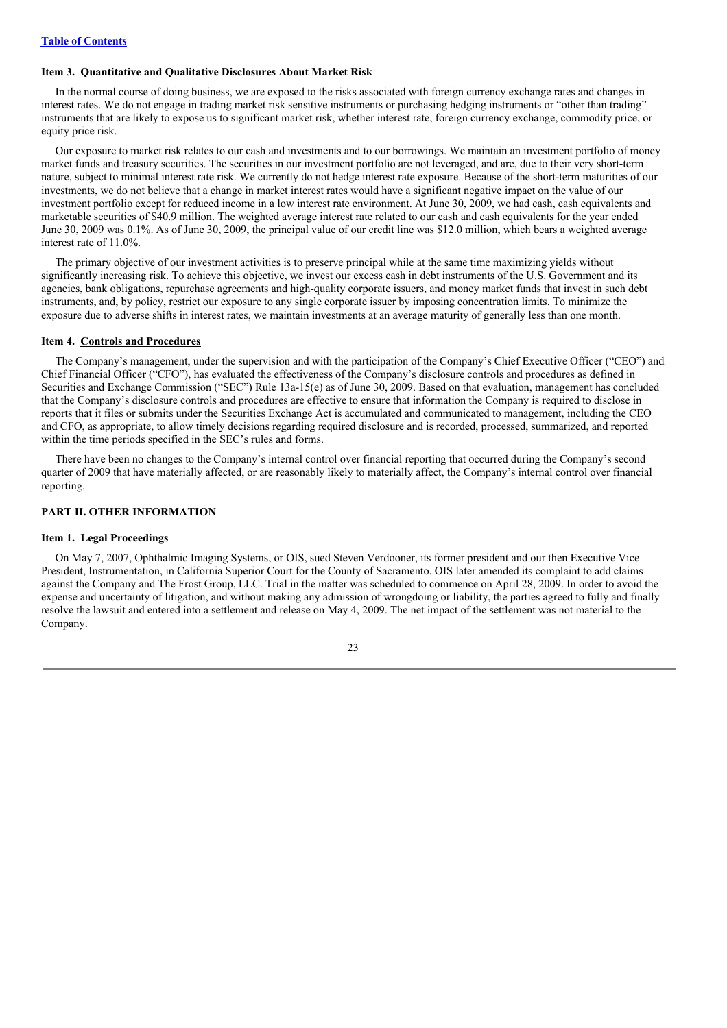# **Item 3. Quantitative and Qualitative Disclosures About Market Risk**

In the normal course of doing business, we are exposed to the risks associated with foreign currency exchange rates and changes in interest rates. We do not engage in trading market risk sensitive instruments or purchasing hedging instruments or "other than trading" instruments that are likely to expose us to significant market risk, whether interest rate, foreign currency exchange, commodity price, or equity price risk.

Our exposure to market risk relates to our cash and investments and to our borrowings. We maintain an investment portfolio of money market funds and treasury securities. The securities in our investment portfolio are not leveraged, and are, due to their very short-term nature, subject to minimal interest rate risk. We currently do not hedge interest rate exposure. Because of the short-term maturities of our investments, we do not believe that a change in market interest rates would have a significant negative impact on the value of our investment portfolio except for reduced income in a low interest rate environment. At June 30, 2009, we had cash, cash equivalents and marketable securities of \$40.9 million. The weighted average interest rate related to our cash and cash equivalents for the year ended June 30, 2009 was 0.1%. As of June 30, 2009, the principal value of our credit line was \$12.0 million, which bears a weighted average interest rate of 11.0%.

The primary objective of our investment activities is to preserve principal while at the same time maximizing yields without significantly increasing risk. To achieve this objective, we invest our excess cash in debt instruments of the U.S. Government and its agencies, bank obligations, repurchase agreements and high-quality corporate issuers, and money market funds that invest in such debt instruments, and, by policy, restrict our exposure to any single corporate issuer by imposing concentration limits. To minimize the exposure due to adverse shifts in interest rates, we maintain investments at an average maturity of generally less than one month.

#### **Item 4. Controls and Procedures**

The Company's management, under the supervision and with the participation of the Company's Chief Executive Officer ("CEO") and Chief Financial Officer ("CFO"), has evaluated the effectiveness of the Company's disclosure controls and procedures as defined in Securities and Exchange Commission ("SEC") Rule 13a-15(e) as of June 30, 2009. Based on that evaluation, management has concluded that the Company's disclosure controls and procedures are effective to ensure that information the Company is required to disclose in reports that it files or submits under the Securities Exchange Act is accumulated and communicated to management, including the CEO and CFO, as appropriate, to allow timely decisions regarding required disclosure and is recorded, processed, summarized, and reported within the time periods specified in the SEC's rules and forms.

There have been no changes to the Company's internal control over financial reporting that occurred during the Company's second quarter of 2009 that have materially affected, or are reasonably likely to materially affect, the Company's internal control over financial reporting.

#### **PART II. OTHER INFORMATION**

#### **Item 1. Legal Proceedings**

On May 7, 2007, Ophthalmic Imaging Systems, or OIS, sued Steven Verdooner, its former president and our then Executive Vice President, Instrumentation, in California Superior Court for the County of Sacramento. OIS later amended its complaint to add claims against the Company and The Frost Group, LLC. Trial in the matter was scheduled to commence on April 28, 2009. In order to avoid the expense and uncertainty of litigation, and without making any admission of wrongdoing or liability, the parties agreed to fully and finally resolve the lawsuit and entered into a settlement and release on May 4, 2009. The net impact of the settlement was not material to the Company.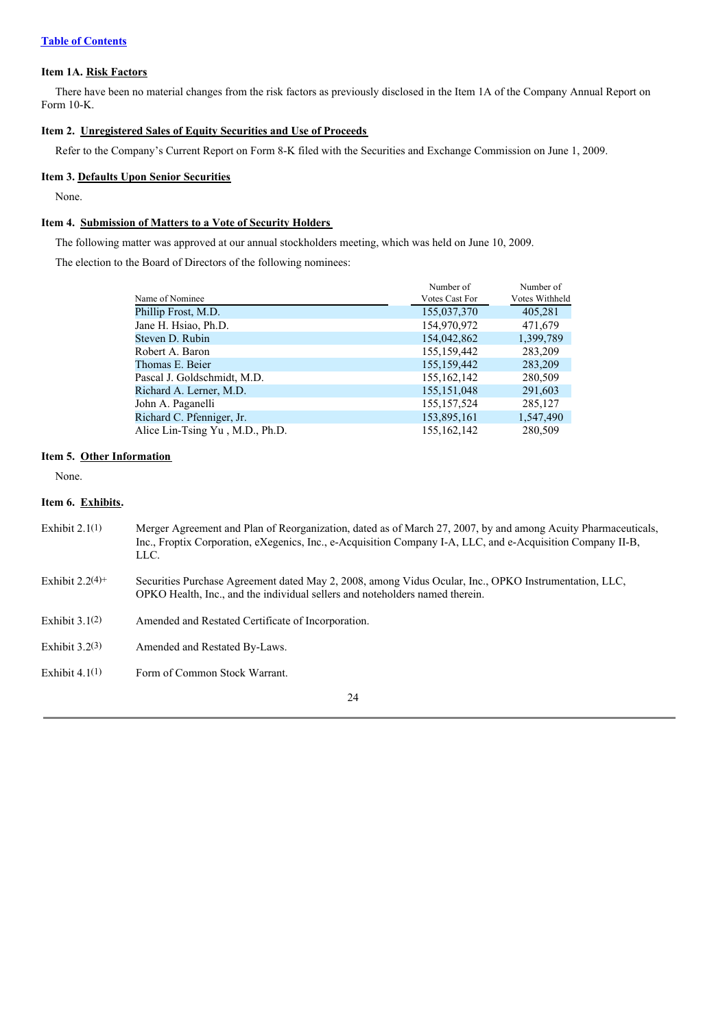# **Item 1A. Risk Factors**

There have been no material changes from the risk factors as previously disclosed in the Item 1A of the Company Annual Report on Form 10-K.

# **Item 2. Unregistered Sales of Equity Securities and Use of Proceeds**

Refer to the Company's Current Report on Form 8-K filed with the Securities and Exchange Commission on June 1, 2009.

#### **Item 3. Defaults Upon Senior Securities**

None.

## **Item 4. Submission of Matters to a Vote of Security Holders**

The following matter was approved at our annual stockholders meeting, which was held on June 10, 2009.

The election to the Board of Directors of the following nominees:

|                                 | Number of      | Number of      |
|---------------------------------|----------------|----------------|
| Name of Nominee                 | Votes Cast For | Votes Withheld |
| Phillip Frost, M.D.             | 155,037,370    | 405,281        |
| Jane H. Hsiao, Ph.D.            | 154,970,972    | 471,679        |
| Steven D. Rubin                 | 154,042,862    | 1,399,789      |
| Robert A. Baron                 | 155, 159, 442  | 283,209        |
| Thomas E. Beier                 | 155, 159, 442  | 283,209        |
| Pascal J. Goldschmidt, M.D.     | 155, 162, 142  | 280,509        |
| Richard A. Lerner, M.D.         | 155, 151, 048  | 291,603        |
| John A. Paganelli               | 155, 157, 524  | 285,127        |
| Richard C. Pfenniger, Jr.       | 153,895,161    | 1,547,490      |
| Alice Lin-Tsing Yu, M.D., Ph.D. | 155,162,142    | 280,509        |

#### **Item 5. Other Information**

None.

#### **Item 6. Exhibits.**

- Exhibit 2.1(1) Merger Agreement and Plan of Reorganization, dated as of March 27, 2007, by and among Acuity Pharmaceuticals, Inc., Froptix Corporation, eXegenics, Inc., e-Acquisition Company I-A, LLC, and e-Acquisition Company II-B, LLC.
- Exhibit 2.2(4)+ Securities Purchase Agreement dated May 2, 2008, among Vidus Ocular, Inc., OPKO Instrumentation, LLC, OPKO Health, Inc., and the individual sellers and noteholders named therein.
- Exhibit 3.1(2) Amended and Restated Certificate of Incorporation.
- Exhibit 3.2(3) Amended and Restated By-Laws.
- Exhibit 4.1(1) Form of Common Stock Warrant.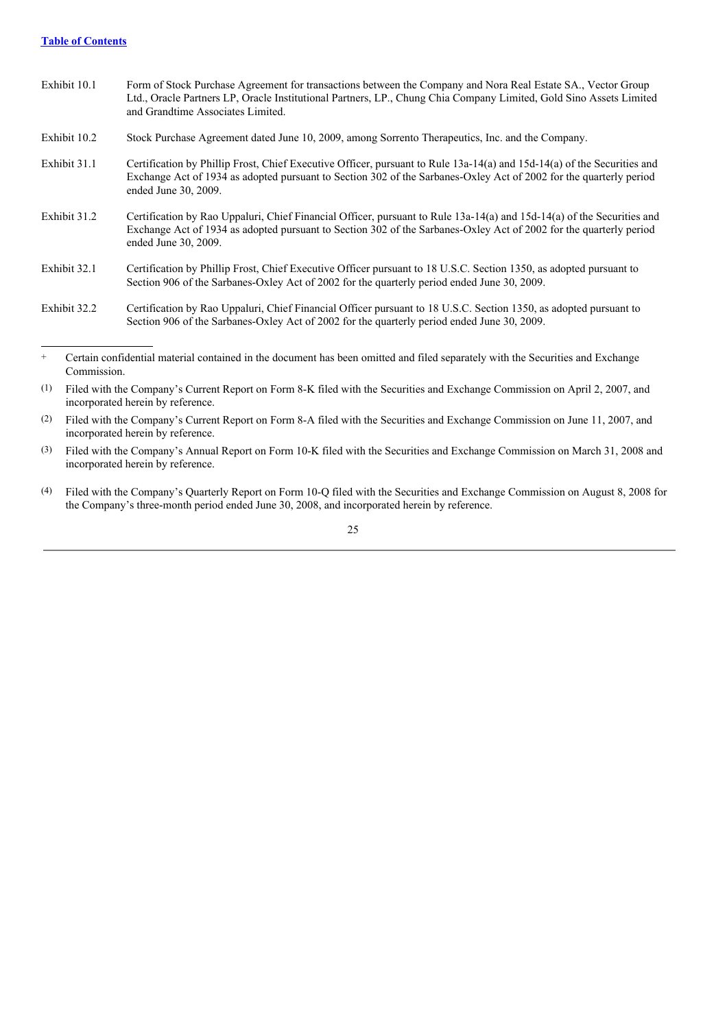### **Table of Contents**

| Exhibit 10.1 | Form of Stock Purchase Agreement for transactions between the Company and Nora Real Estate SA., Vector Group<br>Ltd., Oracle Partners LP, Oracle Institutional Partners, LP., Chung Chia Company Limited, Gold Sino Assets Limited<br>and Grandtime Associates Limited. |
|--------------|-------------------------------------------------------------------------------------------------------------------------------------------------------------------------------------------------------------------------------------------------------------------------|
| Exhibit 10.2 | Stock Purchase Agreement dated June 10, 2009, among Sorrento Therapeutics, Inc. and the Company.                                                                                                                                                                        |
| Exhibit 31.1 | Certification by Phillip Frost, Chief Executive Officer, pursuant to Rule 13a-14(a) and 15d-14(a) of the Securities and<br>Exchange Act of 1934 as adopted pursuant to Section 302 of the Sarbanes-Oxley Act of 2002 for the quarterly period<br>ended June 30, 2009.   |
| Exhibit 31.2 | Certification by Rao Uppaluri, Chief Financial Officer, pursuant to Rule 13a-14(a) and 15d-14(a) of the Securities and<br>Exchange Act of 1934 as adopted pursuant to Section 302 of the Sarbanes-Oxley Act of 2002 for the quarterly period<br>ended June 30, 2009.    |
| Exhibit 32.1 | Certification by Phillip Frost, Chief Executive Officer pursuant to 18 U.S.C. Section 1350, as adopted pursuant to<br>Section 906 of the Sarbanes-Oxley Act of 2002 for the quarterly period ended June 30, 2009.                                                       |

Exhibit 32.2 Certification by Rao Uppaluri, Chief Financial Officer pursuant to 18 U.S.C. Section 1350, as adopted pursuant to Section 906 of the Sarbanes-Oxley Act of 2002 for the quarterly period ended June 30, 2009.

- (1) Filed with the Company's Current Report on Form 8-K filed with the Securities and Exchange Commission on April 2, 2007, and incorporated herein by reference.
- (2) Filed with the Company's Current Report on Form 8-A filed with the Securities and Exchange Commission on June 11, 2007, and incorporated herein by reference.
- (3) Filed with the Company's Annual Report on Form 10-K filed with the Securities and Exchange Commission on March 31, 2008 and incorporated herein by reference.
- (4) Filed with the Company's Quarterly Report on Form 10-Q filed with the Securities and Exchange Commission on August 8, 2008 for the Company's three-month period ended June 30, 2008, and incorporated herein by reference.

<sup>+</sup> Certain confidential material contained in the document has been omitted and filed separately with the Securities and Exchange Commission.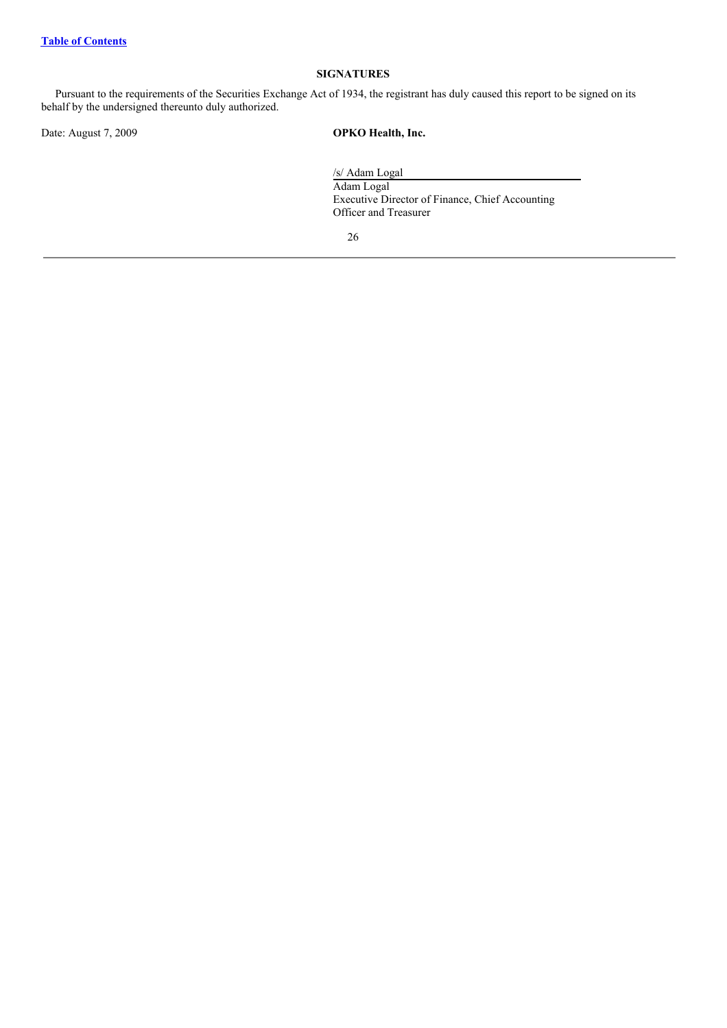# **SIGNATURES**

Pursuant to the requirements of the Securities Exchange Act of 1934, the registrant has duly caused this report to be signed on its behalf by the undersigned thereunto duly authorized.

Date: August 7, 2009 **OPKO Health, Inc.**

/s/ Adam Logal Adam Logal Executive Director of Finance, Chief Accounting Officer and Treasurer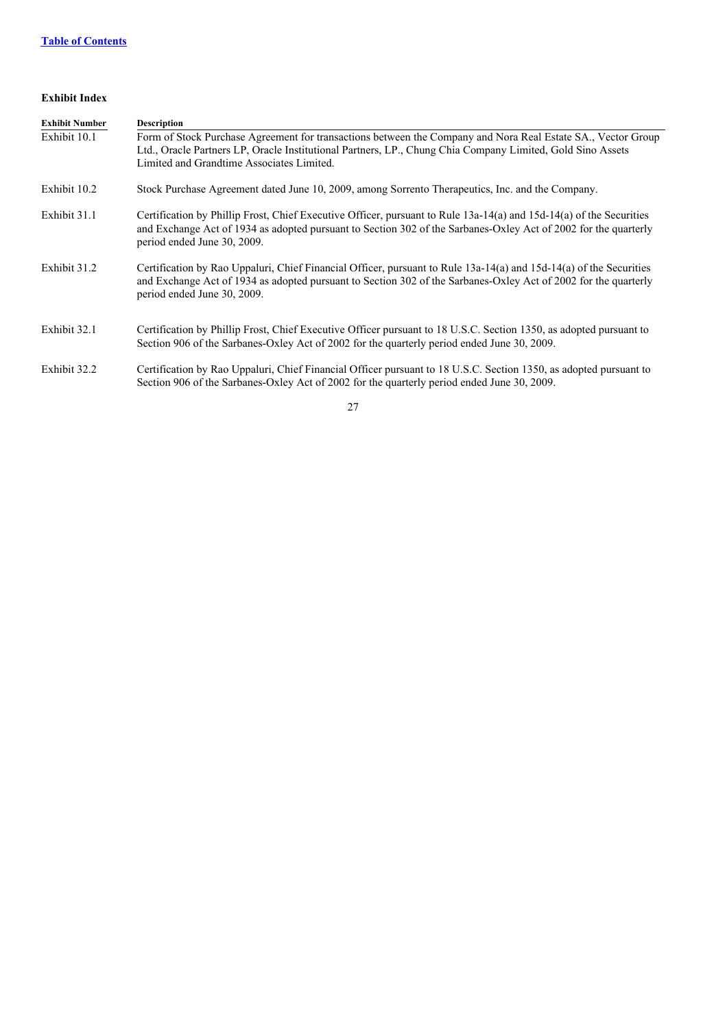# **Exhibit Index**

| <b>Exhibit Number</b> | <b>Description</b>                                                                                                                                                                                                                                                      |
|-----------------------|-------------------------------------------------------------------------------------------------------------------------------------------------------------------------------------------------------------------------------------------------------------------------|
| Exhibit 10.1          | Form of Stock Purchase Agreement for transactions between the Company and Nora Real Estate SA., Vector Group<br>Ltd., Oracle Partners LP, Oracle Institutional Partners, LP., Chung Chia Company Limited, Gold Sino Assets<br>Limited and Grandtime Associates Limited. |
| Exhibit 10.2          | Stock Purchase Agreement dated June 10, 2009, among Sorrento Therapeutics, Inc. and the Company.                                                                                                                                                                        |
| Exhibit 31.1          | Certification by Phillip Frost, Chief Executive Officer, pursuant to Rule 13a-14(a) and 15d-14(a) of the Securities<br>and Exchange Act of 1934 as adopted pursuant to Section 302 of the Sarbanes-Oxley Act of 2002 for the quarterly<br>period ended June 30, 2009.   |
| Exhibit 31.2          | Certification by Rao Uppaluri, Chief Financial Officer, pursuant to Rule 13a-14(a) and 15d-14(a) of the Securities<br>and Exchange Act of 1934 as adopted pursuant to Section 302 of the Sarbanes-Oxley Act of 2002 for the quarterly<br>period ended June 30, 2009.    |
| Exhibit 32.1          | Certification by Phillip Frost, Chief Executive Officer pursuant to 18 U.S.C. Section 1350, as adopted pursuant to<br>Section 906 of the Sarbanes-Oxley Act of 2002 for the quarterly period ended June 30, 2009.                                                       |
| Exhibit 32.2          | Certification by Rao Uppaluri, Chief Financial Officer pursuant to 18 U.S.C. Section 1350, as adopted pursuant to<br>Section 906 of the Sarbanes-Oxley Act of 2002 for the quarterly period ended June 30, 2009.                                                        |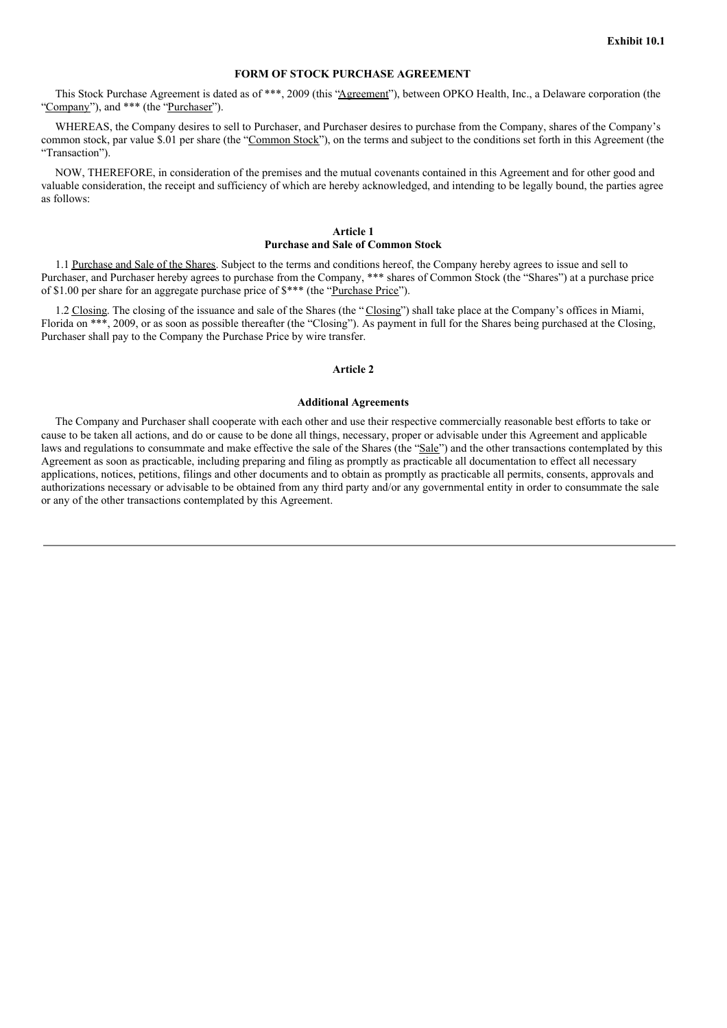# **FORM OF STOCK PURCHASE AGREEMENT**

This Stock Purchase Agreement is dated as of \*\*\*, 2009 (this "Agreement"), between OPKO Health, Inc., a Delaware corporation (the "Company"), and \*\*\* (the "Purchaser").

WHEREAS, the Company desires to sell to Purchaser, and Purchaser desires to purchase from the Company, shares of the Company's common stock, par value \$.01 per share (the "Common Stock"), on the terms and subject to the conditions set forth in this Agreement (the "Transaction").

NOW, THEREFORE, in consideration of the premises and the mutual covenants contained in this Agreement and for other good and valuable consideration, the receipt and sufficiency of which are hereby acknowledged, and intending to be legally bound, the parties agree as follows:

#### **Article 1 Purchase and Sale of Common Stock**

1.1 Purchase and Sale of the Shares. Subject to the terms and conditions hereof, the Company hereby agrees to issue and sell to Purchaser, and Purchaser hereby agrees to purchase from the Company, \*\*\* shares of Common Stock (the "Shares") at a purchase price of \$1.00 per share for an aggregate purchase price of \$\*\*\* (the "Purchase Price").

1.2 Closing. The closing of the issuance and sale of the Shares (the "Closing") shall take place at the Company's offices in Miami, Florida on \*\*\*, 2009, or as soon as possible thereafter (the "Closing"). As payment in full for the Shares being purchased at the Closing, Purchaser shall pay to the Company the Purchase Price by wire transfer.

#### **Article 2**

#### **Additional Agreements**

The Company and Purchaser shall cooperate with each other and use their respective commercially reasonable best efforts to take or cause to be taken all actions, and do or cause to be done all things, necessary, proper or advisable under this Agreement and applicable laws and regulations to consummate and make effective the sale of the Shares (the "Sale") and the other transactions contemplated by this Agreement as soon as practicable, including preparing and filing as promptly as practicable all documentation to effect all necessary applications, notices, petitions, filings and other documents and to obtain as promptly as practicable all permits, consents, approvals and authorizations necessary or advisable to be obtained from any third party and/or any governmental entity in order to consummate the sale or any of the other transactions contemplated by this Agreement.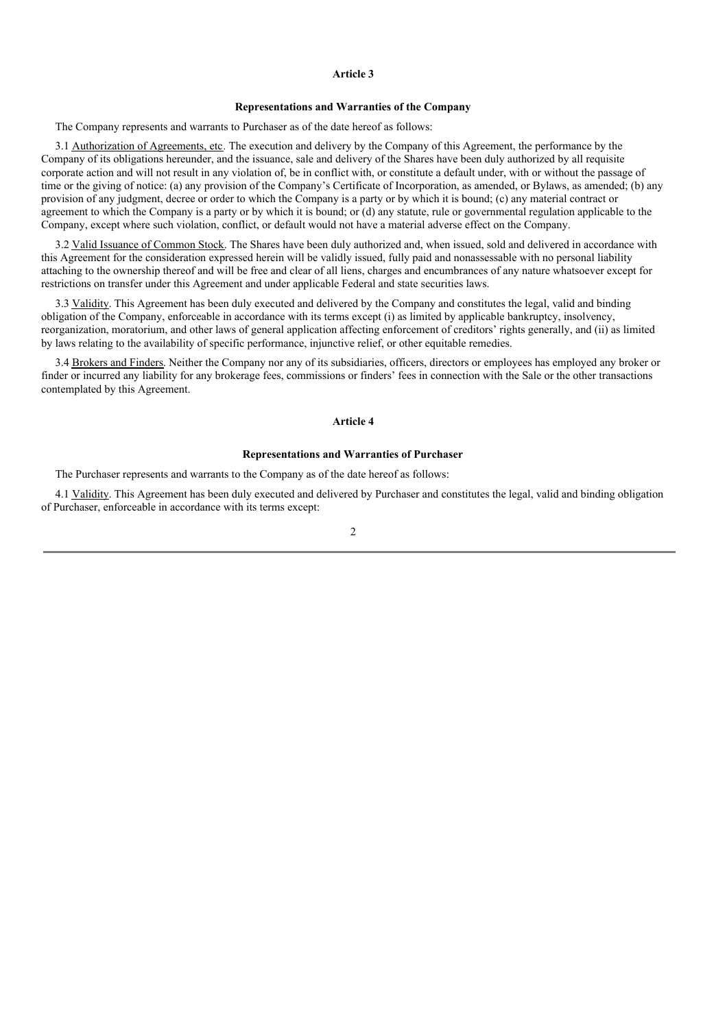#### **Article 3**

#### **Representations and Warranties of the Company**

The Company represents and warrants to Purchaser as of the date hereof as follows:

3.1 Authorization of Agreements, etc. The execution and delivery by the Company of this Agreement, the performance by the Company of its obligations hereunder, and the issuance, sale and delivery of the Shares have been duly authorized by all requisite corporate action and will not result in any violation of, be in conflict with, or constitute a default under, with or without the passage of time or the giving of notice: (a) any provision of the Company's Certificate of Incorporation, as amended, or Bylaws, as amended; (b) any provision of any judgment, decree or order to which the Company is a party or by which it is bound; (c) any material contract or agreement to which the Company is a party or by which it is bound; or (d) any statute, rule or governmental regulation applicable to the Company, except where such violation, conflict, or default would not have a material adverse effect on the Company.

3.2 Valid Issuance of Common Stock. The Shares have been duly authorized and, when issued, sold and delivered in accordance with this Agreement for the consideration expressed herein will be validly issued, fully paid and nonassessable with no personal liability attaching to the ownership thereof and will be free and clear of all liens, charges and encumbrances of any nature whatsoever except for restrictions on transfer under this Agreement and under applicable Federal and state securities laws.

3.3 Validity. This Agreement has been duly executed and delivered by the Company and constitutes the legal, valid and binding obligation of the Company, enforceable in accordance with its terms except (i) as limited by applicable bankruptcy, insolvency, reorganization, moratorium, and other laws of general application affecting enforcement of creditors' rights generally, and (ii) as limited by laws relating to the availability of specific performance, injunctive relief, or other equitable remedies.

3.4 Brokers and Finders. Neither the Company nor any of its subsidiaries, officers, directors or employees has employed any broker or finder or incurred any liability for any brokerage fees, commissions or finders' fees in connection with the Sale or the other transactions contemplated by this Agreement.

#### **Article 4**

#### **Representations and Warranties of Purchaser**

The Purchaser represents and warrants to the Company as of the date hereof as follows:

4.1 Validity. This Agreement has been duly executed and delivered by Purchaser and constitutes the legal, valid and binding obligation of Purchaser, enforceable in accordance with its terms except: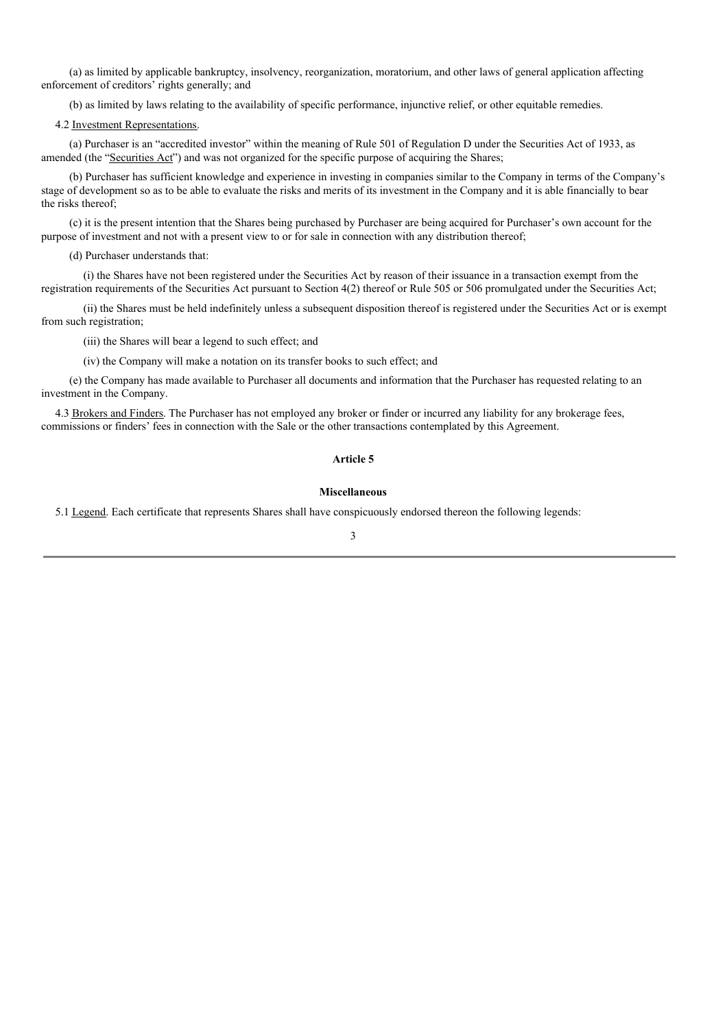(a) as limited by applicable bankruptcy, insolvency, reorganization, moratorium, and other laws of general application affecting enforcement of creditors' rights generally; and

(b) as limited by laws relating to the availability of specific performance, injunctive relief, or other equitable remedies.

#### 4.2 Investment Representations.

(a) Purchaser is an "accredited investor" within the meaning of Rule 501 of Regulation D under the Securities Act of 1933, as amended (the "Securities Act") and was not organized for the specific purpose of acquiring the Shares;

(b) Purchaser has sufficient knowledge and experience in investing in companies similar to the Company in terms of the Company's stage of development so as to be able to evaluate the risks and merits of its investment in the Company and it is able financially to bear the risks thereof;

(c) it is the present intention that the Shares being purchased by Purchaser are being acquired for Purchaser's own account for the purpose of investment and not with a present view to or for sale in connection with any distribution thereof;

(d) Purchaser understands that:

(i) the Shares have not been registered under the Securities Act by reason of their issuance in a transaction exempt from the registration requirements of the Securities Act pursuant to Section 4(2) thereof or Rule 505 or 506 promulgated under the Securities Act;

(ii) the Shares must be held indefinitely unless a subsequent disposition thereof is registered under the Securities Act or is exempt from such registration;

(iii) the Shares will bear a legend to such effect; and

(iv) the Company will make a notation on its transfer books to such effect; and

(e) the Company has made available to Purchaser all documents and information that the Purchaser has requested relating to an investment in the Company.

4.3 Brokers and Finders. The Purchaser has not employed any broker or finder or incurred any liability for any brokerage fees, commissions or finders' fees in connection with the Sale or the other transactions contemplated by this Agreement.

#### **Article 5**

#### **Miscellaneous**

5.1 Legend. Each certificate that represents Shares shall have conspicuously endorsed thereon the following legends: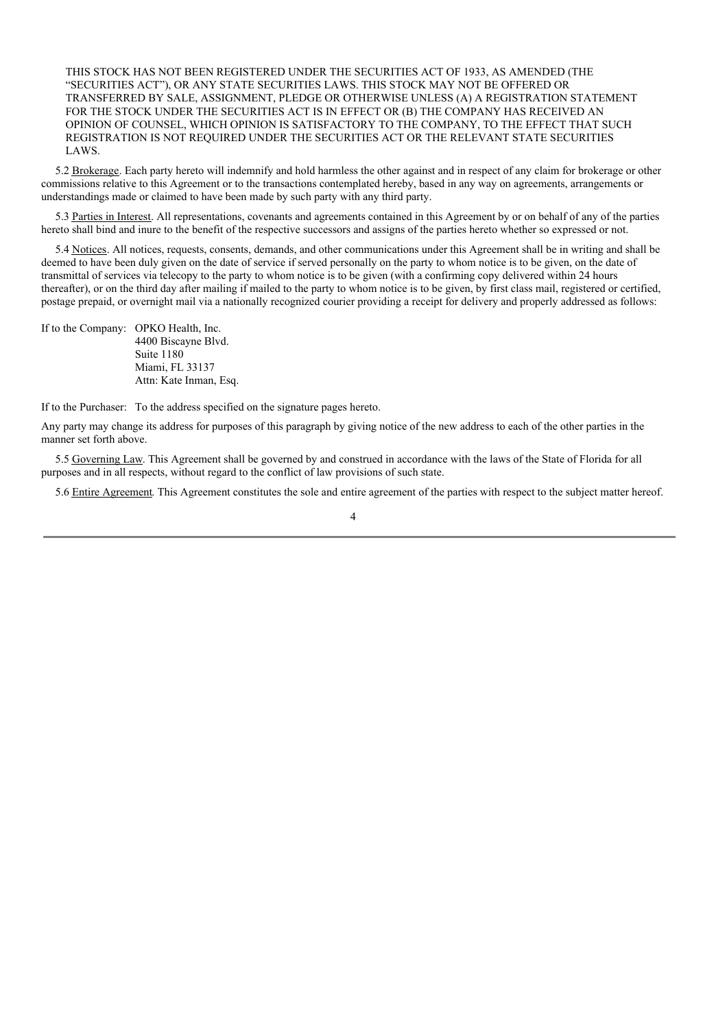THIS STOCK HAS NOT BEEN REGISTERED UNDER THE SECURITIES ACT OF 1933, AS AMENDED (THE "SECURITIES ACT"), OR ANY STATE SECURITIES LAWS. THIS STOCK MAY NOT BE OFFERED OR TRANSFERRED BY SALE, ASSIGNMENT, PLEDGE OR OTHERWISE UNLESS (A) A REGISTRATION STATEMENT FOR THE STOCK UNDER THE SECURITIES ACT IS IN EFFECT OR (B) THE COMPANY HAS RECEIVED AN OPINION OF COUNSEL, WHICH OPINION IS SATISFACTORY TO THE COMPANY, TO THE EFFECT THAT SUCH REGISTRATION IS NOT REQUIRED UNDER THE SECURITIES ACT OR THE RELEVANT STATE SECURITIES LAWS.

5.2 Brokerage. Each party hereto will indemnify and hold harmless the other against and in respect of any claim for brokerage or other commissions relative to this Agreement or to the transactions contemplated hereby, based in any way on agreements, arrangements or understandings made or claimed to have been made by such party with any third party.

5.3 Parties in Interest. All representations, covenants and agreements contained in this Agreement by or on behalf of any of the parties hereto shall bind and inure to the benefit of the respective successors and assigns of the parties hereto whether so expressed or not.

5.4 Notices. All notices, requests, consents, demands, and other communications under this Agreement shall be in writing and shall be deemed to have been duly given on the date of service if served personally on the party to whom notice is to be given, on the date of transmittal of services via telecopy to the party to whom notice is to be given (with a confirming copy delivered within 24 hours thereafter), or on the third day after mailing if mailed to the party to whom notice is to be given, by first class mail, registered or certified, postage prepaid, or overnight mail via a nationally recognized courier providing a receipt for delivery and properly addressed as follows:

If to the Company: OPKO Health, Inc. 4400 Biscayne Blvd. Suite 1180 Miami, FL 33137 Attn: Kate Inman, Esq.

If to the Purchaser: To the address specified on the signature pages hereto.

Any party may change its address for purposes of this paragraph by giving notice of the new address to each of the other parties in the manner set forth above.

5.5 Governing Law. This Agreement shall be governed by and construed in accordance with the laws of the State of Florida for all purposes and in all respects, without regard to the conflict of law provisions of such state.

5.6 Entire Agreement. This Agreement constitutes the sole and entire agreement of the parties with respect to the subject matter hereof.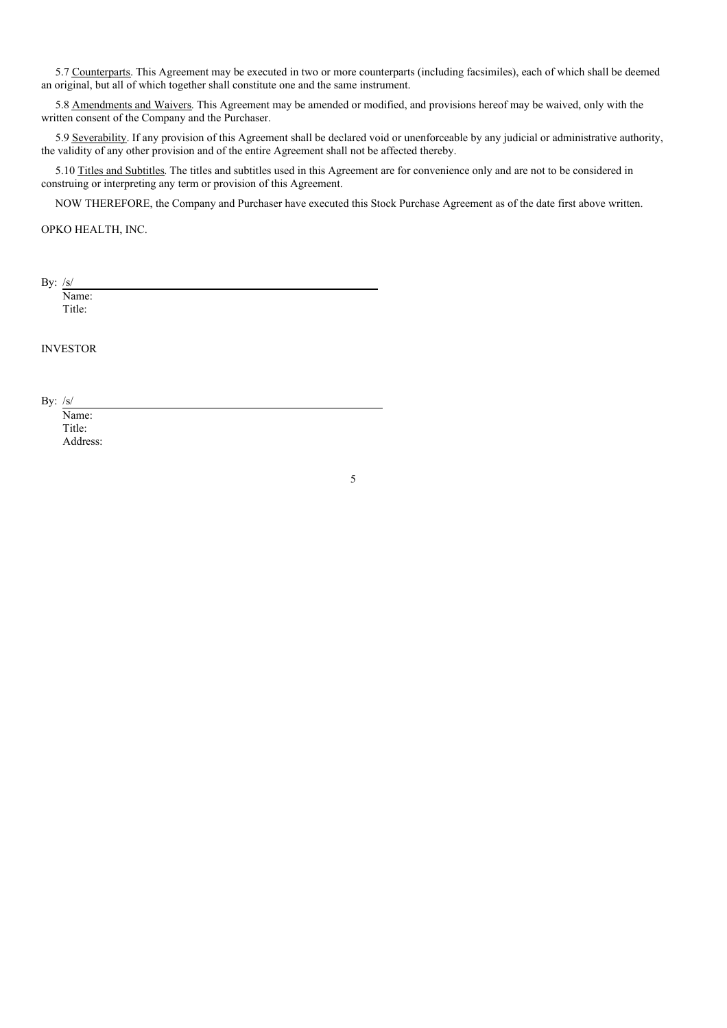5.7 Counterparts. This Agreement may be executed in two or more counterparts (including facsimiles), each of which shall be deemed an original, but all of which together shall constitute one and the same instrument.

5.8 Amendments and Waivers. This Agreement may be amended or modified, and provisions hereof may be waived, only with the written consent of the Company and the Purchaser.

5.9 Severability. If any provision of this Agreement shall be declared void or unenforceable by any judicial or administrative authority, the validity of any other provision and of the entire Agreement shall not be affected thereby.

5.10 Titles and Subtitles. The titles and subtitles used in this Agreement are for convenience only and are not to be considered in construing or interpreting any term or provision of this Agreement.

NOW THEREFORE, the Company and Purchaser have executed this Stock Purchase Agreement as of the date first above written.

OPKO HEALTH, INC.

By: /s/

Name: Title:

INVESTOR

By: /s/

Name: Title: Address: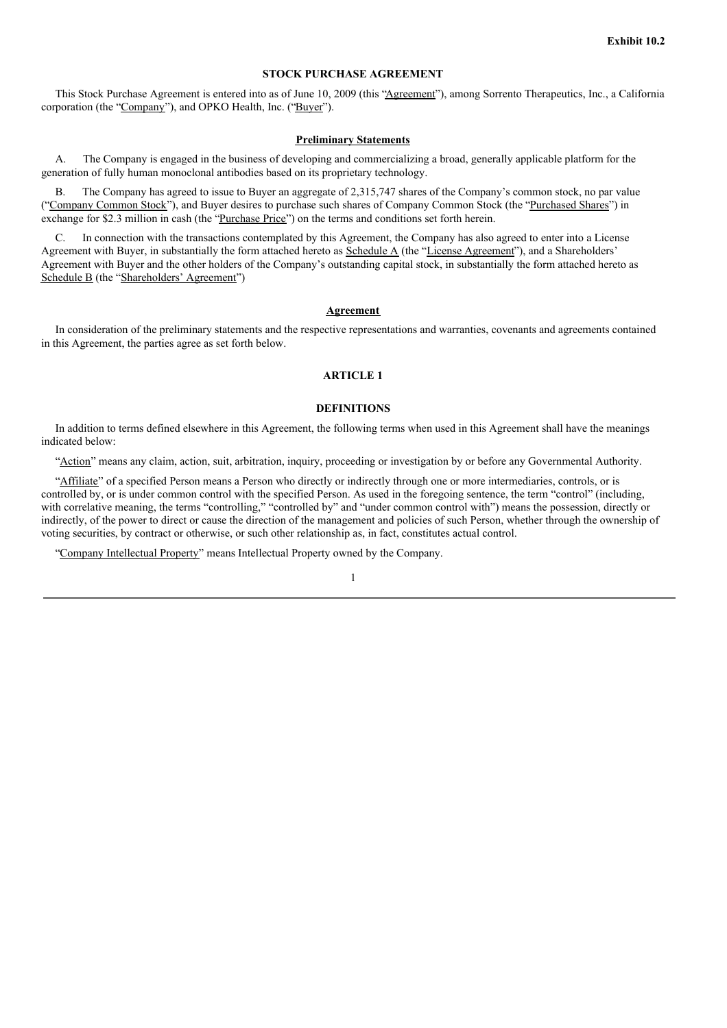# **STOCK PURCHASE AGREEMENT**

This Stock Purchase Agreement is entered into as of June 10, 2009 (this "Agreement"), among Sorrento Therapeutics, Inc., a California corporation (the "Company"), and OPKO Health, Inc. ("Buyer").

#### **Preliminary Statements**

A. The Company is engaged in the business of developing and commercializing a broad, generally applicable platform for the generation of fully human monoclonal antibodies based on its proprietary technology.

B. The Company has agreed to issue to Buyer an aggregate of 2,315,747 shares of the Company's common stock, no par value ("Company Common Stock"), and Buyer desires to purchase such shares of Company Common Stock (the "Purchased Shares") in exchange for \$2.3 million in cash (the "Purchase Price") on the terms and conditions set forth herein.

C. In connection with the transactions contemplated by this Agreement, the Company has also agreed to enter into a License Agreement with Buyer, in substantially the form attached hereto as Schedule A (the "License Agreement"), and a Shareholders' Agreement with Buyer and the other holders of the Company's outstanding capital stock, in substantially the form attached hereto as Schedule B (the "Shareholders' Agreement")

#### **Agreement**

In consideration of the preliminary statements and the respective representations and warranties, covenants and agreements contained in this Agreement, the parties agree as set forth below.

#### **ARTICLE 1**

#### **DEFINITIONS**

In addition to terms defined elsewhere in this Agreement, the following terms when used in this Agreement shall have the meanings indicated below:

"Action" means any claim, action, suit, arbitration, inquiry, proceeding or investigation by or before any Governmental Authority.

"Affiliate" of a specified Person means a Person who directly or indirectly through one or more intermediaries, controls, or is controlled by, or is under common control with the specified Person. As used in the foregoing sentence, the term "control" (including, with correlative meaning, the terms "controlling," "controlled by" and "under common control with") means the possession, directly or indirectly, of the power to direct or cause the direction of the management and policies of such Person, whether through the ownership of voting securities, by contract or otherwise, or such other relationship as, in fact, constitutes actual control.

"Company Intellectual Property" means Intellectual Property owned by the Company.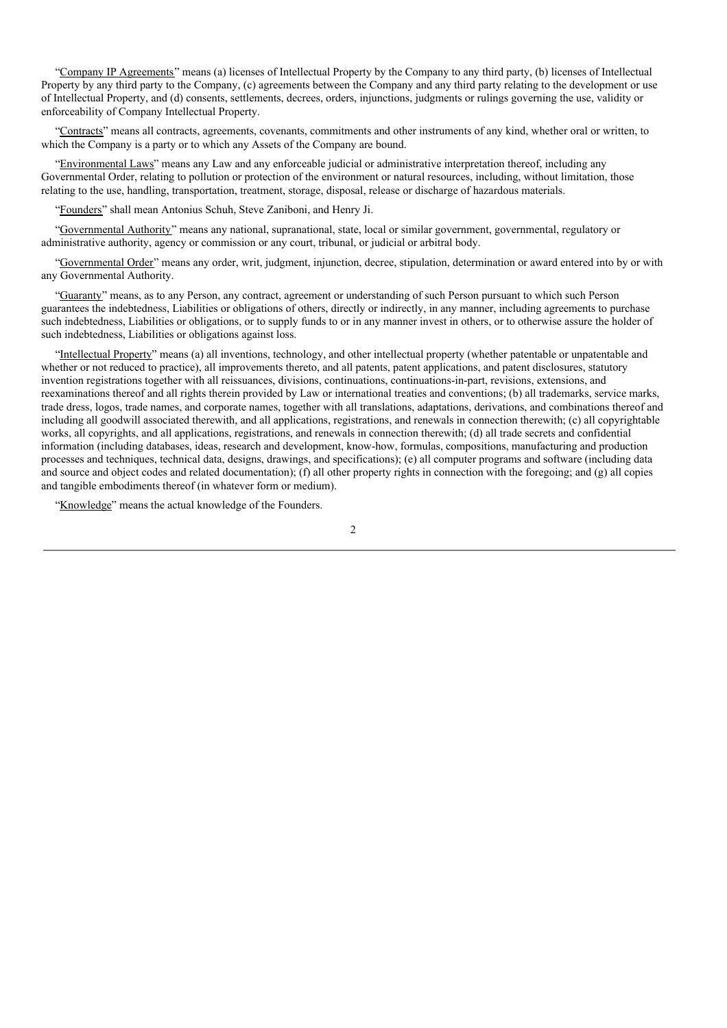"Company IP Agreements" means (a) licenses of Intellectual Property by the Company to any third party, (b) licenses of Intellectual Property by any third party to the Company, (c) agreements between the Company and any third party relating to the development or use of Intellectual Property, and (d) consents, settlements, decrees, orders, injunctions, judgments or rulings governing the use, validity or enforceability of Company Intellectual Property.

"Contracts" means all contracts, agreements, covenants, commitments and other instruments of any kind, whether oral or written, to which the Company is a party or to which any Assets of the Company are bound.

"Environmental Laws" means any Law and any enforceable judicial or administrative interpretation thereof, including any Governmental Order, relating to pollution or protection of the environment or natural resources, including, without limitation, those relating to the use, handling, transportation, treatment, storage, disposal, release or discharge of hazardous materials.

"Founders" shall mean Antonius Schuh, Steve Zaniboni, and Henry Ji.

"Governmental Authority" means any national, supranational, state, local or similar government, governmental, regulatory or administrative authority, agency or commission or any court, tribunal, or judicial or arbitral body.

"Governmental Order" means any order, writ, judgment, injunction, decree, stipulation, determination or award entered into by or with any Governmental Authority.

"Guaranty" means, as to any Person, any contract, agreement or understanding of such Person pursuant to which such Person guarantees the indebtedness, Liabilities or obligations of others, directly or indirectly, in any manner, including agreements to purchase such indebtedness, Liabilities or obligations, or to supply funds to or in any manner invest in others, or to otherwise assure the holder of such indebtedness, Liabilities or obligations against loss.

"Intellectual Property" means (a) all inventions, technology, and other intellectual property (whether patentable or unpatentable and whether or not reduced to practice), all improvements thereto, and all patents, patent applications, and patent disclosures, statutory invention registrations together with all reissuances, divisions, continuations, continuations-in-part, revisions, extensions, and reexaminations thereof and all rights therein provided by Law or international treaties and conventions; (b) all trademarks, service marks, trade dress, logos, trade names, and corporate names, together with all translations, adaptations, derivations, and combinations thereof and including all goodwill associated therewith, and all applications, registrations, and renewals in connection therewith; (c) all copyrightable works, all copyrights, and all applications, registrations, and renewals in connection therewith; (d) all trade secrets and confidential information (including databases, ideas, research and development, know-how, formulas, compositions, manufacturing and production processes and techniques, technical data, designs, drawings, and specifications); (e) all computer programs and software (including data and source and object codes and related documentation); (f) all other property rights in connection with the foregoing; and (g) all copies and tangible embodiments thereof (in whatever form or medium).

"Knowledge" means the actual knowledge of the Founders.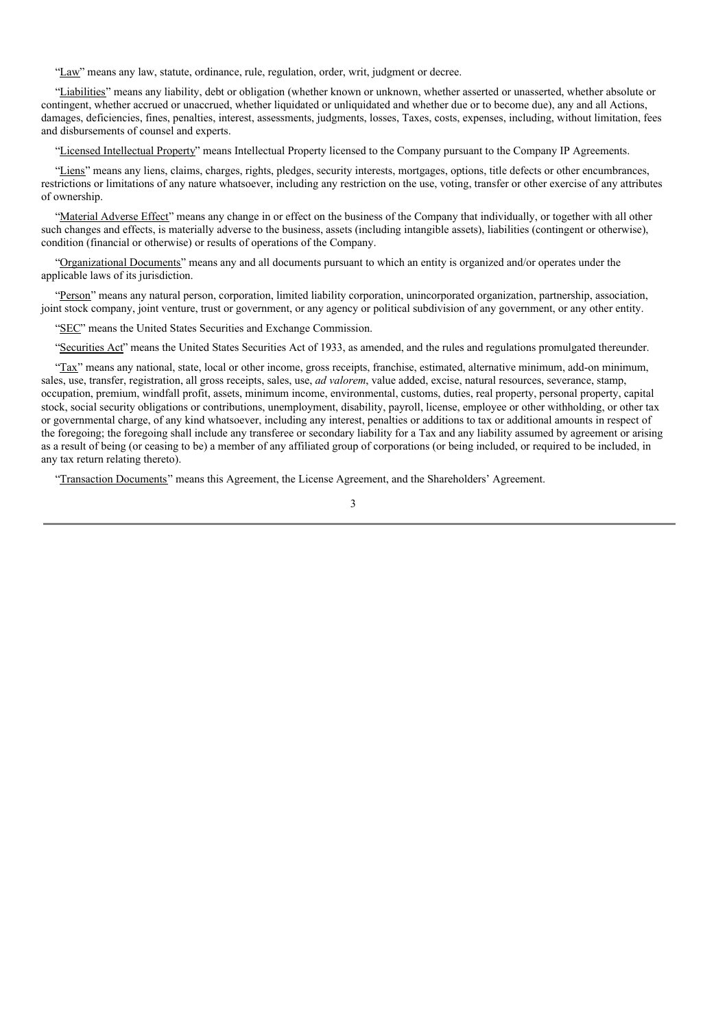"Law" means any law, statute, ordinance, rule, regulation, order, writ, judgment or decree.

"Liabilities" means any liability, debt or obligation (whether known or unknown, whether asserted or unasserted, whether absolute or contingent, whether accrued or unaccrued, whether liquidated or unliquidated and whether due or to become due), any and all Actions, damages, deficiencies, fines, penalties, interest, assessments, judgments, losses, Taxes, costs, expenses, including, without limitation, fees and disbursements of counsel and experts.

"Licensed Intellectual Property" means Intellectual Property licensed to the Company pursuant to the Company IP Agreements.

"Liens" means any liens, claims, charges, rights, pledges, security interests, mortgages, options, title defects or other encumbrances, restrictions or limitations of any nature whatsoever, including any restriction on the use, voting, transfer or other exercise of any attributes of ownership.

"Material Adverse Effect" means any change in or effect on the business of the Company that individually, or together with all other such changes and effects, is materially adverse to the business, assets (including intangible assets), liabilities (contingent or otherwise), condition (financial or otherwise) or results of operations of the Company.

"Organizational Documents" means any and all documents pursuant to which an entity is organized and/or operates under the applicable laws of its jurisdiction.

"Person" means any natural person, corporation, limited liability corporation, unincorporated organization, partnership, association, joint stock company, joint venture, trust or government, or any agency or political subdivision of any government, or any other entity.

"SEC" means the United States Securities and Exchange Commission.

"Securities Act" means the United States Securities Act of 1933, as amended, and the rules and regulations promulgated thereunder.

"Tax" means any national, state, local or other income, gross receipts, franchise, estimated, alternative minimum, add-on minimum, sales, use, transfer, registration, all gross receipts, sales, use, *ad valorem*, value added, excise, natural resources, severance, stamp, occupation, premium, windfall profit, assets, minimum income, environmental, customs, duties, real property, personal property, capital stock, social security obligations or contributions, unemployment, disability, payroll, license, employee or other withholding, or other tax or governmental charge, of any kind whatsoever, including any interest, penalties or additions to tax or additional amounts in respect of the foregoing; the foregoing shall include any transferee or secondary liability for a Tax and any liability assumed by agreement or arising as a result of being (or ceasing to be) a member of any affiliated group of corporations (or being included, or required to be included, in any tax return relating thereto).

"Transaction Documents" means this Agreement, the License Agreement, and the Shareholders' Agreement.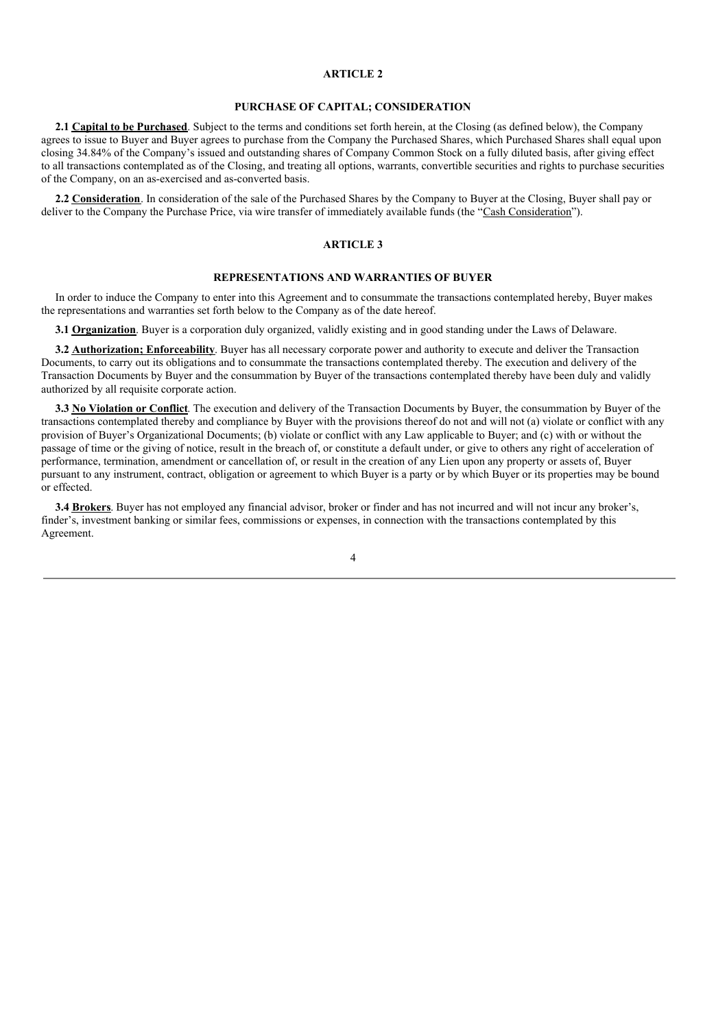### **ARTICLE 2**

# **PURCHASE OF CAPITAL; CONSIDERATION**

**2.1 Capital to be Purchased**. Subject to the terms and conditions set forth herein, at the Closing (as defined below), the Company agrees to issue to Buyer and Buyer agrees to purchase from the Company the Purchased Shares, which Purchased Shares shall equal upon closing 34.84% of the Company's issued and outstanding shares of Company Common Stock on a fully diluted basis, after giving effect to all transactions contemplated as of the Closing, and treating all options, warrants, convertible securities and rights to purchase securities of the Company, on an as-exercised and as-converted basis.

**2.2 Consideration**. In consideration of the sale of the Purchased Shares by the Company to Buyer at the Closing, Buyer shall pay or deliver to the Company the Purchase Price, via wire transfer of immediately available funds (the "Cash Consideration").

# **ARTICLE 3**

#### **REPRESENTATIONS AND WARRANTIES OF BUYER**

In order to induce the Company to enter into this Agreement and to consummate the transactions contemplated hereby, Buyer makes the representations and warranties set forth below to the Company as of the date hereof.

**3.1 Organization**. Buyer is a corporation duly organized, validly existing and in good standing under the Laws of Delaware.

**3.2 Authorization; Enforceability**. Buyer has all necessary corporate power and authority to execute and deliver the Transaction Documents, to carry out its obligations and to consummate the transactions contemplated thereby. The execution and delivery of the Transaction Documents by Buyer and the consummation by Buyer of the transactions contemplated thereby have been duly and validly authorized by all requisite corporate action.

**3.3 No Violation or Conflict**. The execution and delivery of the Transaction Documents by Buyer, the consummation by Buyer of the transactions contemplated thereby and compliance by Buyer with the provisions thereof do not and will not (a) violate or conflict with any provision of Buyer's Organizational Documents; (b) violate or conflict with any Law applicable to Buyer; and (c) with or without the passage of time or the giving of notice, result in the breach of, or constitute a default under, or give to others any right of acceleration of performance, termination, amendment or cancellation of, or result in the creation of any Lien upon any property or assets of, Buyer pursuant to any instrument, contract, obligation or agreement to which Buyer is a party or by which Buyer or its properties may be bound or effected.

**3.4 Brokers**. Buyer has not employed any financial advisor, broker or finder and has not incurred and will not incur any broker's, finder's, investment banking or similar fees, commissions or expenses, in connection with the transactions contemplated by this Agreement.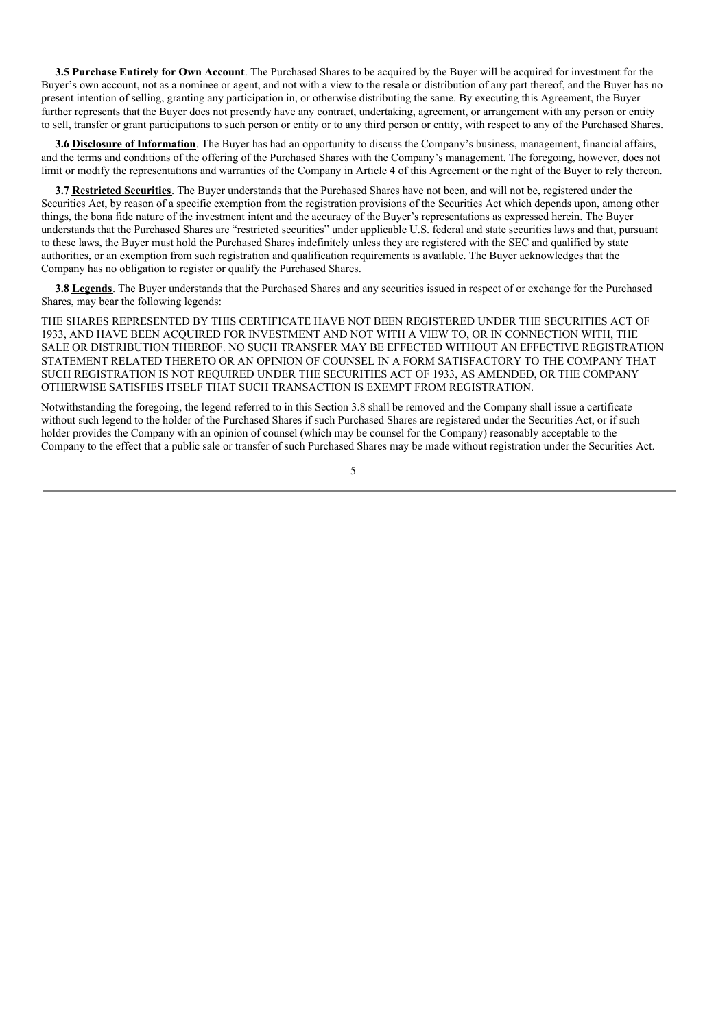**3.5 Purchase Entirely for Own Account**. The Purchased Shares to be acquired by the Buyer will be acquired for investment for the Buyer's own account, not as a nominee or agent, and not with a view to the resale or distribution of any part thereof, and the Buyer has no present intention of selling, granting any participation in, or otherwise distributing the same. By executing this Agreement, the Buyer further represents that the Buyer does not presently have any contract, undertaking, agreement, or arrangement with any person or entity to sell, transfer or grant participations to such person or entity or to any third person or entity, with respect to any of the Purchased Shares.

**3.6 Disclosure of Information**. The Buyer has had an opportunity to discuss the Company's business, management, financial affairs, and the terms and conditions of the offering of the Purchased Shares with the Company's management. The foregoing, however, does not limit or modify the representations and warranties of the Company in Article 4 of this Agreement or the right of the Buyer to rely thereon.

**3.7 Restricted Securities**. The Buyer understands that the Purchased Shares have not been, and will not be, registered under the Securities Act, by reason of a specific exemption from the registration provisions of the Securities Act which depends upon, among other things, the bona fide nature of the investment intent and the accuracy of the Buyer's representations as expressed herein. The Buyer understands that the Purchased Shares are "restricted securities" under applicable U.S. federal and state securities laws and that, pursuant to these laws, the Buyer must hold the Purchased Shares indefinitely unless they are registered with the SEC and qualified by state authorities, or an exemption from such registration and qualification requirements is available. The Buyer acknowledges that the Company has no obligation to register or qualify the Purchased Shares.

**3.8 Legends**. The Buyer understands that the Purchased Shares and any securities issued in respect of or exchange for the Purchased Shares, may bear the following legends:

THE SHARES REPRESENTED BY THIS CERTIFICATE HAVE NOT BEEN REGISTERED UNDER THE SECURITIES ACT OF 1933, AND HAVE BEEN ACQUIRED FOR INVESTMENT AND NOT WITH A VIEW TO, OR IN CONNECTION WITH, THE SALE OR DISTRIBUTION THEREOF. NO SUCH TRANSFER MAY BE EFFECTED WITHOUT AN EFFECTIVE REGISTRATION STATEMENT RELATED THERETO OR AN OPINION OF COUNSEL IN A FORM SATISFACTORY TO THE COMPANY THAT SUCH REGISTRATION IS NOT REQUIRED UNDER THE SECURITIES ACT OF 1933, AS AMENDED, OR THE COMPANY OTHERWISE SATISFIES ITSELF THAT SUCH TRANSACTION IS EXEMPT FROM REGISTRATION.

Notwithstanding the foregoing, the legend referred to in this Section 3.8 shall be removed and the Company shall issue a certificate without such legend to the holder of the Purchased Shares if such Purchased Shares are registered under the Securities Act, or if such holder provides the Company with an opinion of counsel (which may be counsel for the Company) reasonably acceptable to the Company to the effect that a public sale or transfer of such Purchased Shares may be made without registration under the Securities Act.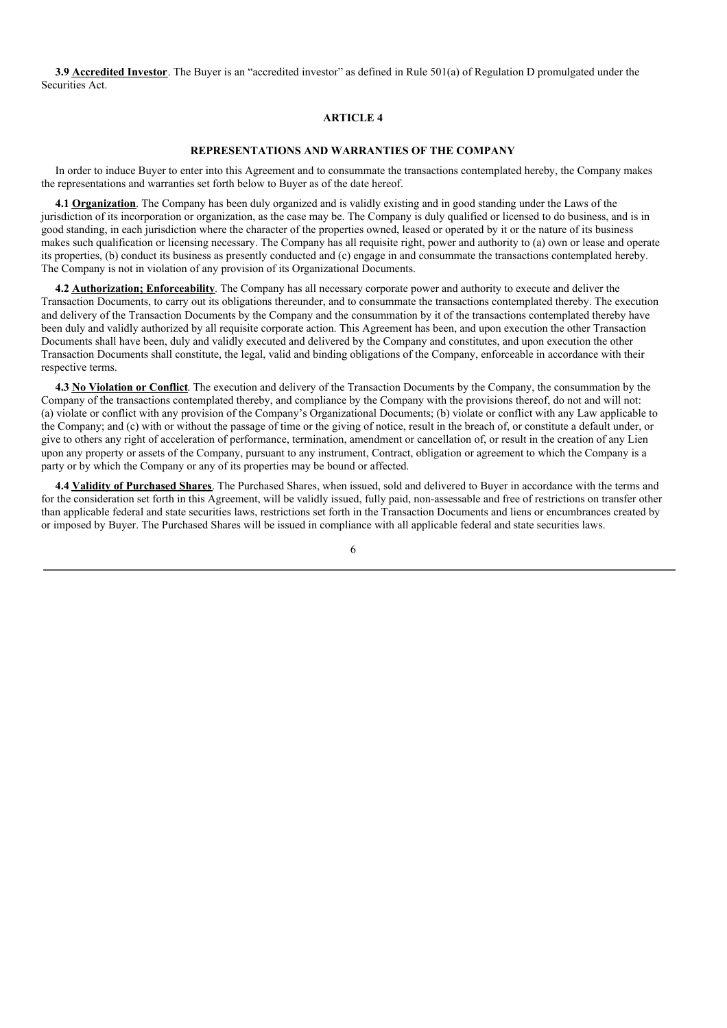**3.9 Accredited Investor**. The Buyer is an "accredited investor" as defined in Rule 501(a) of Regulation D promulgated under the Securities Act.

# **ARTICLE 4**

#### **REPRESENTATIONS AND WARRANTIES OF THE COMPANY**

In order to induce Buyer to enter into this Agreement and to consummate the transactions contemplated hereby, the Company makes the representations and warranties set forth below to Buyer as of the date hereof.

**4.1 Organization**. The Company has been duly organized and is validly existing and in good standing under the Laws of the jurisdiction of its incorporation or organization, as the case may be. The Company is duly qualified or licensed to do business, and is in good standing, in each jurisdiction where the character of the properties owned, leased or operated by it or the nature of its business makes such qualification or licensing necessary. The Company has all requisite right, power and authority to (a) own or lease and operate its properties, (b) conduct its business as presently conducted and (c) engage in and consummate the transactions contemplated hereby. The Company is not in violation of any provision of its Organizational Documents.

**4.2 Authorization; Enforceability**. The Company has all necessary corporate power and authority to execute and deliver the Transaction Documents, to carry out its obligations thereunder, and to consummate the transactions contemplated thereby. The execution and delivery of the Transaction Documents by the Company and the consummation by it of the transactions contemplated thereby have been duly and validly authorized by all requisite corporate action. This Agreement has been, and upon execution the other Transaction Documents shall have been, duly and validly executed and delivered by the Company and constitutes, and upon execution the other Transaction Documents shall constitute, the legal, valid and binding obligations of the Company, enforceable in accordance with their respective terms.

**4.3 No Violation or Conflict**. The execution and delivery of the Transaction Documents by the Company, the consummation by the Company of the transactions contemplated thereby, and compliance by the Company with the provisions thereof, do not and will not: (a) violate or conflict with any provision of the Company's Organizational Documents; (b) violate or conflict with any Law applicable to the Company; and (c) with or without the passage of time or the giving of notice, result in the breach of, or constitute a default under, or give to others any right of acceleration of performance, termination, amendment or cancellation of, or result in the creation of any Lien upon any property or assets of the Company, pursuant to any instrument, Contract, obligation or agreement to which the Company is a party or by which the Company or any of its properties may be bound or affected.

**4.4 Validity of Purchased Shares**. The Purchased Shares, when issued, sold and delivered to Buyer in accordance with the terms and for the consideration set forth in this Agreement, will be validly issued, fully paid, non-assessable and free of restrictions on transfer other than applicable federal and state securities laws, restrictions set forth in the Transaction Documents and liens or encumbrances created by or imposed by Buyer. The Purchased Shares will be issued in compliance with all applicable federal and state securities laws.

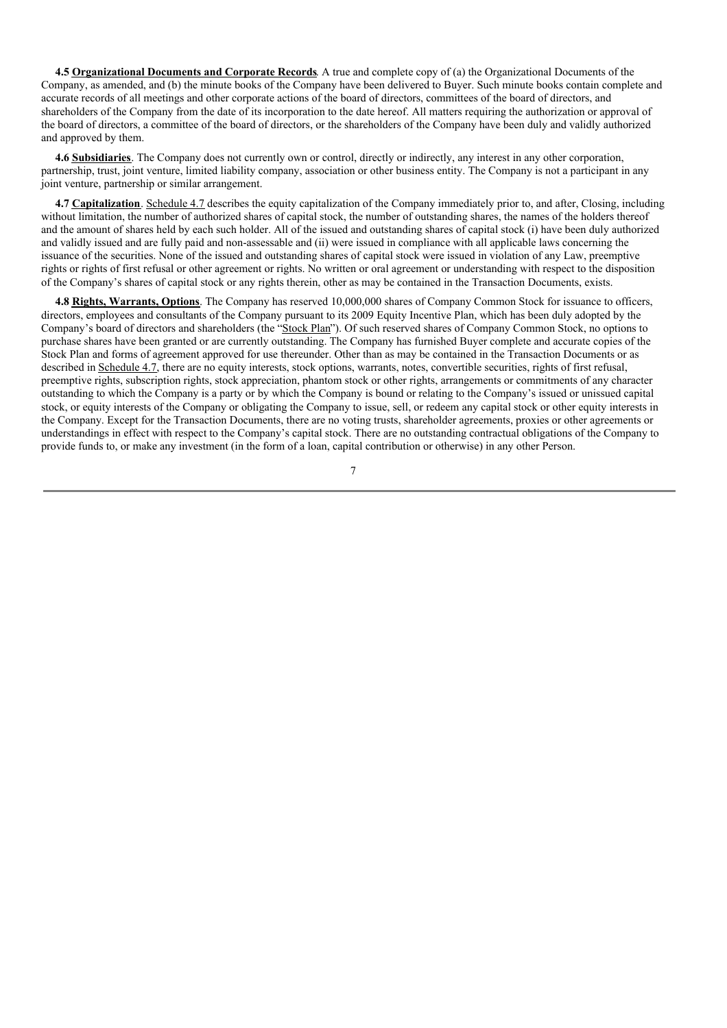**4.5 Organizational Documents and Corporate Records**. A true and complete copy of (a) the Organizational Documents of the Company, as amended, and (b) the minute books of the Company have been delivered to Buyer. Such minute books contain complete and accurate records of all meetings and other corporate actions of the board of directors, committees of the board of directors, and shareholders of the Company from the date of its incorporation to the date hereof. All matters requiring the authorization or approval of the board of directors, a committee of the board of directors, or the shareholders of the Company have been duly and validly authorized and approved by them.

**4.6 Subsidiaries**. The Company does not currently own or control, directly or indirectly, any interest in any other corporation, partnership, trust, joint venture, limited liability company, association or other business entity. The Company is not a participant in any joint venture, partnership or similar arrangement.

**4.7 Capitalization**. Schedule 4.7 describes the equity capitalization of the Company immediately prior to, and after, Closing, including without limitation, the number of authorized shares of capital stock, the number of outstanding shares, the names of the holders thereof and the amount of shares held by each such holder. All of the issued and outstanding shares of capital stock (i) have been duly authorized and validly issued and are fully paid and non-assessable and (ii) were issued in compliance with all applicable laws concerning the issuance of the securities. None of the issued and outstanding shares of capital stock were issued in violation of any Law, preemptive rights or rights of first refusal or other agreement or rights. No written or oral agreement or understanding with respect to the disposition of the Company's shares of capital stock or any rights therein, other as may be contained in the Transaction Documents, exists.

**4.8 Rights, Warrants, Options**. The Company has reserved 10,000,000 shares of Company Common Stock for issuance to officers, directors, employees and consultants of the Company pursuant to its 2009 Equity Incentive Plan, which has been duly adopted by the Company's board of directors and shareholders (the "Stock Plan"). Of such reserved shares of Company Common Stock, no options to purchase shares have been granted or are currently outstanding. The Company has furnished Buyer complete and accurate copies of the Stock Plan and forms of agreement approved for use thereunder. Other than as may be contained in the Transaction Documents or as described in Schedule 4.7, there are no equity interests, stock options, warrants, notes, convertible securities, rights of first refusal, preemptive rights, subscription rights, stock appreciation, phantom stock or other rights, arrangements or commitments of any character outstanding to which the Company is a party or by which the Company is bound or relating to the Company's issued or unissued capital stock, or equity interests of the Company or obligating the Company to issue, sell, or redeem any capital stock or other equity interests in the Company. Except for the Transaction Documents, there are no voting trusts, shareholder agreements, proxies or other agreements or understandings in effect with respect to the Company's capital stock. There are no outstanding contractual obligations of the Company to provide funds to, or make any investment (in the form of a loan, capital contribution or otherwise) in any other Person.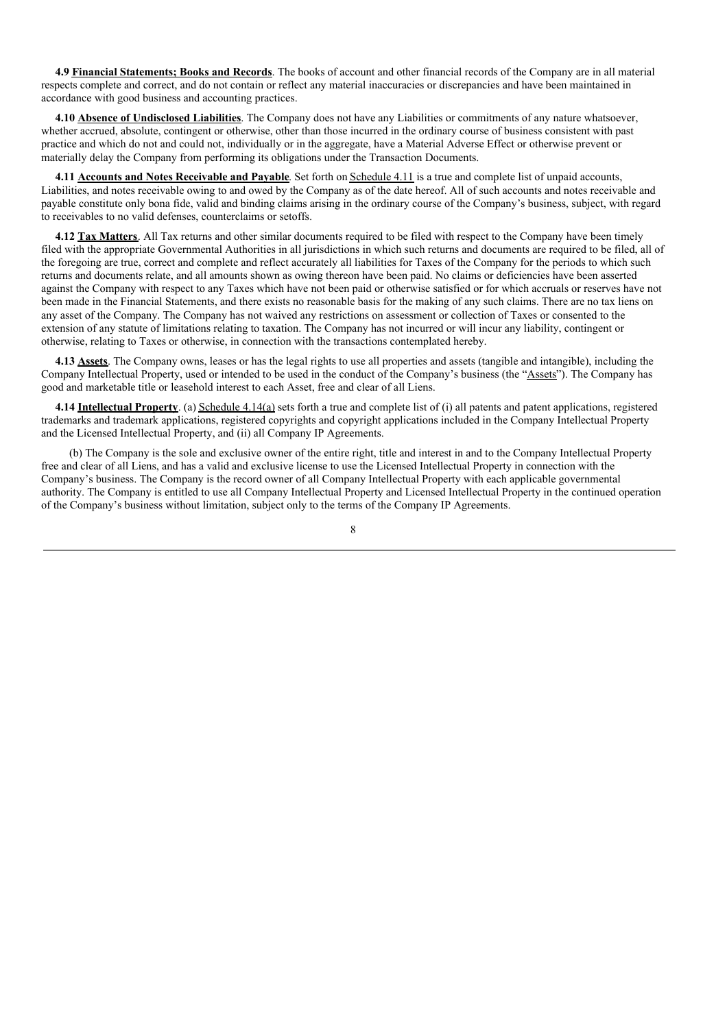**4.9 Financial Statements; Books and Records**. The books of account and other financial records of the Company are in all material respects complete and correct, and do not contain or reflect any material inaccuracies or discrepancies and have been maintained in accordance with good business and accounting practices.

**4.10 Absence of Undisclosed Liabilities**. The Company does not have any Liabilities or commitments of any nature whatsoever, whether accrued, absolute, contingent or otherwise, other than those incurred in the ordinary course of business consistent with past practice and which do not and could not, individually or in the aggregate, have a Material Adverse Effect or otherwise prevent or materially delay the Company from performing its obligations under the Transaction Documents.

**4.11 Accounts and Notes Receivable and Payable**. Set forth on Schedule 4.11 is a true and complete list of unpaid accounts, Liabilities, and notes receivable owing to and owed by the Company as of the date hereof. All of such accounts and notes receivable and payable constitute only bona fide, valid and binding claims arising in the ordinary course of the Company's business, subject, with regard to receivables to no valid defenses, counterclaims or setoffs.

**4.12 Tax Matters**. All Tax returns and other similar documents required to be filed with respect to the Company have been timely filed with the appropriate Governmental Authorities in all jurisdictions in which such returns and documents are required to be filed, all of the foregoing are true, correct and complete and reflect accurately all liabilities for Taxes of the Company for the periods to which such returns and documents relate, and all amounts shown as owing thereon have been paid. No claims or deficiencies have been asserted against the Company with respect to any Taxes which have not been paid or otherwise satisfied or for which accruals or reserves have not been made in the Financial Statements, and there exists no reasonable basis for the making of any such claims. There are no tax liens on any asset of the Company. The Company has not waived any restrictions on assessment or collection of Taxes or consented to the extension of any statute of limitations relating to taxation. The Company has not incurred or will incur any liability, contingent or otherwise, relating to Taxes or otherwise, in connection with the transactions contemplated hereby.

**4.13 Assets**. The Company owns, leases or has the legal rights to use all properties and assets (tangible and intangible), including the Company Intellectual Property, used or intended to be used in the conduct of the Company's business (the "Assets"). The Company has good and marketable title or leasehold interest to each Asset, free and clear of all Liens.

**4.14 Intellectual Property**. (a) Schedule 4.14(a) sets forth a true and complete list of (i) all patents and patent applications, registered trademarks and trademark applications, registered copyrights and copyright applications included in the Company Intellectual Property and the Licensed Intellectual Property, and (ii) all Company IP Agreements.

(b) The Company is the sole and exclusive owner of the entire right, title and interest in and to the Company Intellectual Property free and clear of all Liens, and has a valid and exclusive license to use the Licensed Intellectual Property in connection with the Company's business. The Company is the record owner of all Company Intellectual Property with each applicable governmental authority. The Company is entitled to use all Company Intellectual Property and Licensed Intellectual Property in the continued operation of the Company's business without limitation, subject only to the terms of the Company IP Agreements.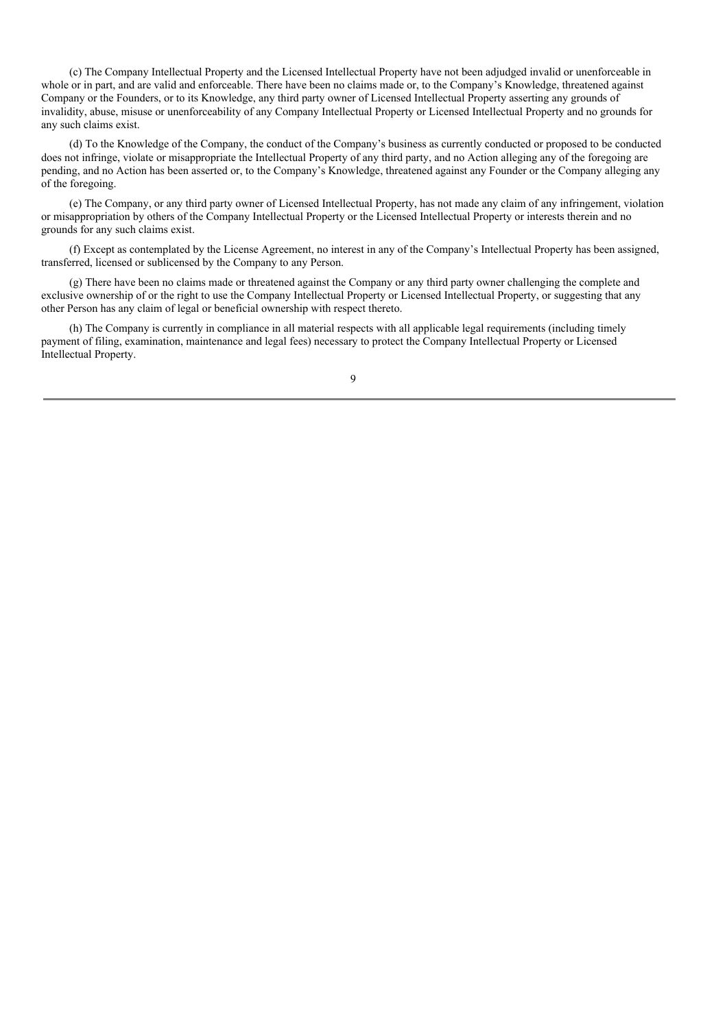(c) The Company Intellectual Property and the Licensed Intellectual Property have not been adjudged invalid or unenforceable in whole or in part, and are valid and enforceable. There have been no claims made or, to the Company's Knowledge, threatened against Company or the Founders, or to its Knowledge, any third party owner of Licensed Intellectual Property asserting any grounds of invalidity, abuse, misuse or unenforceability of any Company Intellectual Property or Licensed Intellectual Property and no grounds for any such claims exist.

(d) To the Knowledge of the Company, the conduct of the Company's business as currently conducted or proposed to be conducted does not infringe, violate or misappropriate the Intellectual Property of any third party, and no Action alleging any of the foregoing are pending, and no Action has been asserted or, to the Company's Knowledge, threatened against any Founder or the Company alleging any of the foregoing.

(e) The Company, or any third party owner of Licensed Intellectual Property, has not made any claim of any infringement, violation or misappropriation by others of the Company Intellectual Property or the Licensed Intellectual Property or interests therein and no grounds for any such claims exist.

(f) Except as contemplated by the License Agreement, no interest in any of the Company's Intellectual Property has been assigned, transferred, licensed or sublicensed by the Company to any Person.

(g) There have been no claims made or threatened against the Company or any third party owner challenging the complete and exclusive ownership of or the right to use the Company Intellectual Property or Licensed Intellectual Property, or suggesting that any other Person has any claim of legal or beneficial ownership with respect thereto.

(h) The Company is currently in compliance in all material respects with all applicable legal requirements (including timely payment of filing, examination, maintenance and legal fees) necessary to protect the Company Intellectual Property or Licensed Intellectual Property.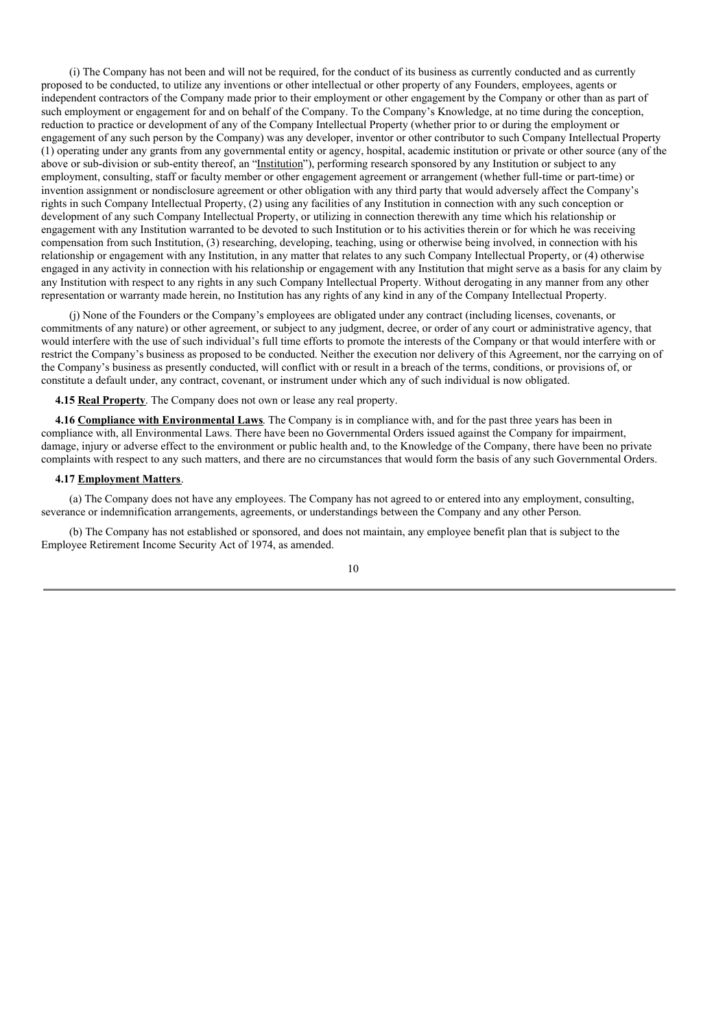(i) The Company has not been and will not be required, for the conduct of its business as currently conducted and as currently proposed to be conducted, to utilize any inventions or other intellectual or other property of any Founders, employees, agents or independent contractors of the Company made prior to their employment or other engagement by the Company or other than as part of such employment or engagement for and on behalf of the Company. To the Company's Knowledge, at no time during the conception, reduction to practice or development of any of the Company Intellectual Property (whether prior to or during the employment or engagement of any such person by the Company) was any developer, inventor or other contributor to such Company Intellectual Property (1) operating under any grants from any governmental entity or agency, hospital, academic institution or private or other source (any of the above or sub-division or sub-entity thereof, an "Institution"), performing research sponsored by any Institution or subject to any employment, consulting, staff or faculty member or other engagement agreement or arrangement (whether full-time or part-time) or invention assignment or nondisclosure agreement or other obligation with any third party that would adversely affect the Company's rights in such Company Intellectual Property, (2) using any facilities of any Institution in connection with any such conception or development of any such Company Intellectual Property, or utilizing in connection therewith any time which his relationship or engagement with any Institution warranted to be devoted to such Institution or to his activities therein or for which he was receiving compensation from such Institution, (3) researching, developing, teaching, using or otherwise being involved, in connection with his relationship or engagement with any Institution, in any matter that relates to any such Company Intellectual Property, or (4) otherwise engaged in any activity in connection with his relationship or engagement with any Institution that might serve as a basis for any claim by any Institution with respect to any rights in any such Company Intellectual Property. Without derogating in any manner from any other representation or warranty made herein, no Institution has any rights of any kind in any of the Company Intellectual Property.

(j) None of the Founders or the Company's employees are obligated under any contract (including licenses, covenants, or commitments of any nature) or other agreement, or subject to any judgment, decree, or order of any court or administrative agency, that would interfere with the use of such individual's full time efforts to promote the interests of the Company or that would interfere with or restrict the Company's business as proposed to be conducted. Neither the execution nor delivery of this Agreement, nor the carrying on of the Company's business as presently conducted, will conflict with or result in a breach of the terms, conditions, or provisions of, or constitute a default under, any contract, covenant, or instrument under which any of such individual is now obligated.

**4.15 Real Property**. The Company does not own or lease any real property.

**4.16 Compliance with Environmental Laws**. The Company is in compliance with, and for the past three years has been in compliance with, all Environmental Laws. There have been no Governmental Orders issued against the Company for impairment, damage, injury or adverse effect to the environment or public health and, to the Knowledge of the Company, there have been no private complaints with respect to any such matters, and there are no circumstances that would form the basis of any such Governmental Orders.

#### **4.17 Employment Matters**.

(a) The Company does not have any employees. The Company has not agreed to or entered into any employment, consulting, severance or indemnification arrangements, agreements, or understandings between the Company and any other Person.

(b) The Company has not established or sponsored, and does not maintain, any employee benefit plan that is subject to the Employee Retirement Income Security Act of 1974, as amended.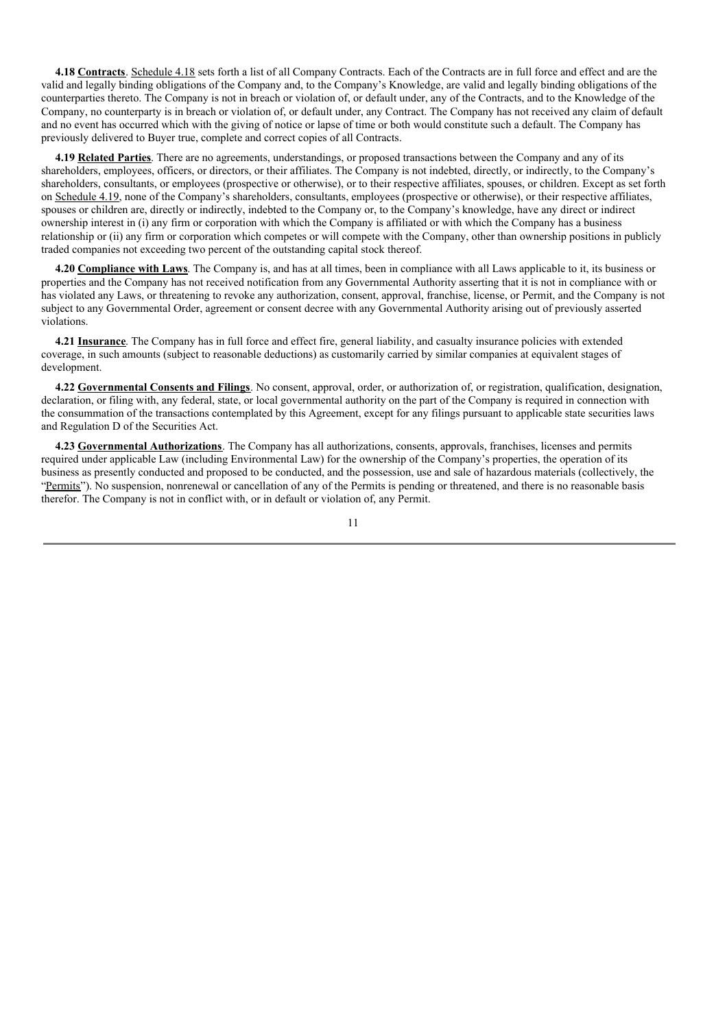**4.18 Contracts**. Schedule 4.18 sets forth a list of all Company Contracts. Each of the Contracts are in full force and effect and are the valid and legally binding obligations of the Company and, to the Company's Knowledge, are valid and legally binding obligations of the counterparties thereto. The Company is not in breach or violation of, or default under, any of the Contracts, and to the Knowledge of the Company, no counterparty is in breach or violation of, or default under, any Contract. The Company has not received any claim of default and no event has occurred which with the giving of notice or lapse of time or both would constitute such a default. The Company has previously delivered to Buyer true, complete and correct copies of all Contracts.

**4.19 Related Parties**. There are no agreements, understandings, or proposed transactions between the Company and any of its shareholders, employees, officers, or directors, or their affiliates. The Company is not indebted, directly, or indirectly, to the Company's shareholders, consultants, or employees (prospective or otherwise), or to their respective affiliates, spouses, or children. Except as set forth on Schedule 4.19, none of the Company's shareholders, consultants, employees (prospective or otherwise), or their respective affiliates, spouses or children are, directly or indirectly, indebted to the Company or, to the Company's knowledge, have any direct or indirect ownership interest in (i) any firm or corporation with which the Company is affiliated or with which the Company has a business relationship or (ii) any firm or corporation which competes or will compete with the Company, other than ownership positions in publicly traded companies not exceeding two percent of the outstanding capital stock thereof.

**4.20 Compliance with Laws**. The Company is, and has at all times, been in compliance with all Laws applicable to it, its business or properties and the Company has not received notification from any Governmental Authority asserting that it is not in compliance with or has violated any Laws, or threatening to revoke any authorization, consent, approval, franchise, license, or Permit, and the Company is not subject to any Governmental Order, agreement or consent decree with any Governmental Authority arising out of previously asserted violations.

**4.21 Insurance**. The Company has in full force and effect fire, general liability, and casualty insurance policies with extended coverage, in such amounts (subject to reasonable deductions) as customarily carried by similar companies at equivalent stages of development.

**4.22 Governmental Consents and Filings**. No consent, approval, order, or authorization of, or registration, qualification, designation, declaration, or filing with, any federal, state, or local governmental authority on the part of the Company is required in connection with the consummation of the transactions contemplated by this Agreement, except for any filings pursuant to applicable state securities laws and Regulation D of the Securities Act.

**4.23 Governmental Authorizations**. The Company has all authorizations, consents, approvals, franchises, licenses and permits required under applicable Law (including Environmental Law) for the ownership of the Company's properties, the operation of its business as presently conducted and proposed to be conducted, and the possession, use and sale of hazardous materials (collectively, the "Permits"). No suspension, nonrenewal or cancellation of any of the Permits is pending or threatened, and there is no reasonable basis therefor. The Company is not in conflict with, or in default or violation of, any Permit.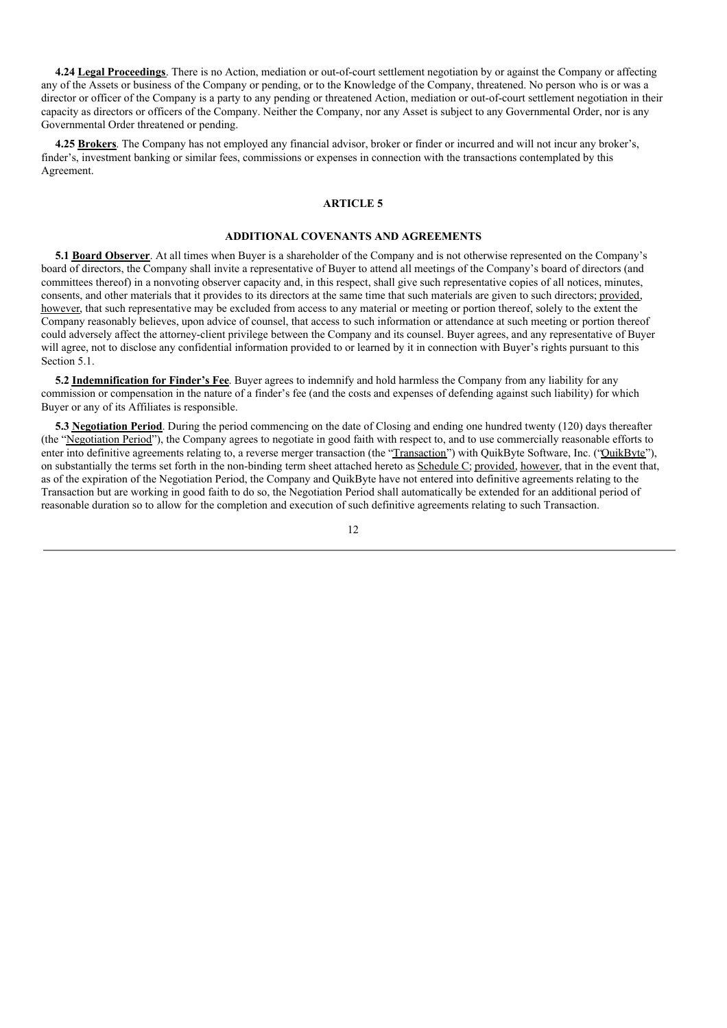**4.24 Legal Proceedings**. There is no Action, mediation or out-of-court settlement negotiation by or against the Company or affecting any of the Assets or business of the Company or pending, or to the Knowledge of the Company, threatened. No person who is or was a director or officer of the Company is a party to any pending or threatened Action, mediation or out-of-court settlement negotiation in their capacity as directors or officers of the Company. Neither the Company, nor any Asset is subject to any Governmental Order, nor is any Governmental Order threatened or pending.

**4.25 Brokers**. The Company has not employed any financial advisor, broker or finder or incurred and will not incur any broker's, finder's, investment banking or similar fees, commissions or expenses in connection with the transactions contemplated by this Agreement.

#### **ARTICLE 5**

### **ADDITIONAL COVENANTS AND AGREEMENTS**

**5.1 Board Observer**. At all times when Buyer is a shareholder of the Company and is not otherwise represented on the Company's board of directors, the Company shall invite a representative of Buyer to attend all meetings of the Company's board of directors (and committees thereof) in a nonvoting observer capacity and, in this respect, shall give such representative copies of all notices, minutes, consents, and other materials that it provides to its directors at the same time that such materials are given to such directors; provided, however, that such representative may be excluded from access to any material or meeting or portion thereof, solely to the extent the Company reasonably believes, upon advice of counsel, that access to such information or attendance at such meeting or portion thereof could adversely affect the attorney-client privilege between the Company and its counsel. Buyer agrees, and any representative of Buyer will agree, not to disclose any confidential information provided to or learned by it in connection with Buyer's rights pursuant to this Section 5.1.

**5.2 Indemnification for Finder's Fee**. Buyer agrees to indemnify and hold harmless the Company from any liability for any commission or compensation in the nature of a finder's fee (and the costs and expenses of defending against such liability) for which Buyer or any of its Affiliates is responsible.

**5.3 Negotiation Period**. During the period commencing on the date of Closing and ending one hundred twenty (120) days thereafter (the "Negotiation Period"), the Company agrees to negotiate in good faith with respect to, and to use commercially reasonable efforts to enter into definitive agreements relating to, a reverse merger transaction (the "Transaction") with QuikByte Software, Inc. ("QuikByte"), on substantially the terms set forth in the non-binding term sheet attached hereto as Schedule C; provided, however, that in the event that, as of the expiration of the Negotiation Period, the Company and QuikByte have not entered into definitive agreements relating to the Transaction but are working in good faith to do so, the Negotiation Period shall automatically be extended for an additional period of reasonable duration so to allow for the completion and execution of such definitive agreements relating to such Transaction.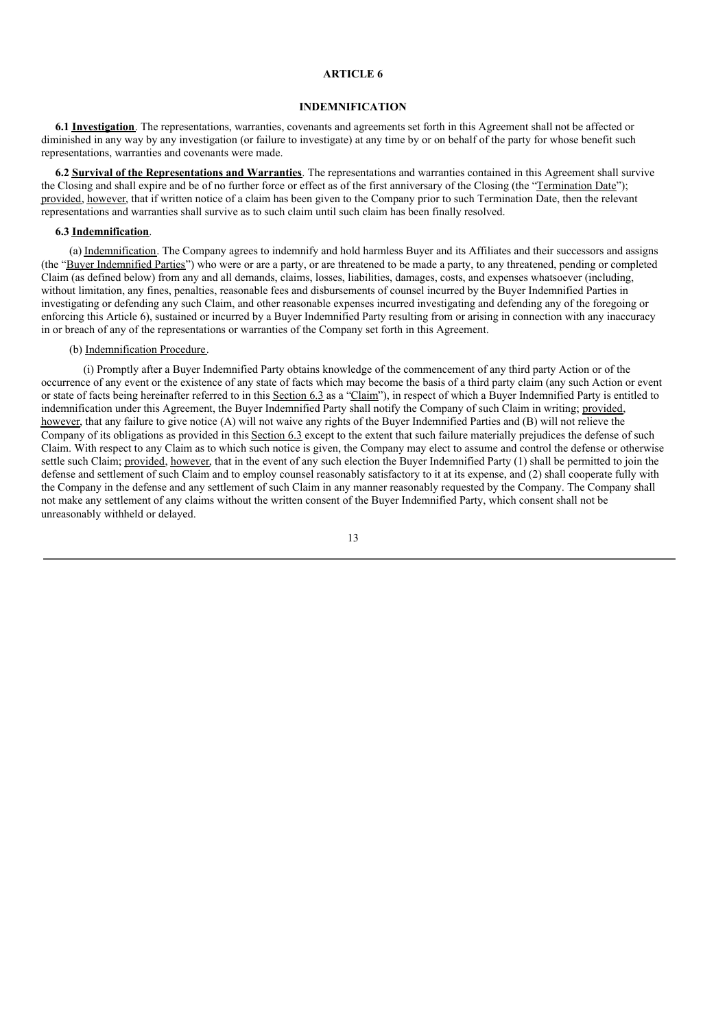### **ARTICLE 6**

#### **INDEMNIFICATION**

**6.1 Investigation**. The representations, warranties, covenants and agreements set forth in this Agreement shall not be affected or diminished in any way by any investigation (or failure to investigate) at any time by or on behalf of the party for whose benefit such representations, warranties and covenants were made.

**6.2 Survival of the Representations and Warranties**. The representations and warranties contained in this Agreement shall survive the Closing and shall expire and be of no further force or effect as of the first anniversary of the Closing (the "Termination Date"); provided, however, that if written notice of a claim has been given to the Company prior to such Termination Date, then the relevant representations and warranties shall survive as to such claim until such claim has been finally resolved.

#### **6.3 Indemnification**.

(a) Indemnification. The Company agrees to indemnify and hold harmless Buyer and its Affiliates and their successors and assigns (the "Buyer Indemnified Parties") who were or are a party, or are threatened to be made a party, to any threatened, pending or completed Claim (as defined below) from any and all demands, claims, losses, liabilities, damages, costs, and expenses whatsoever (including, without limitation, any fines, penalties, reasonable fees and disbursements of counsel incurred by the Buyer Indemnified Parties in investigating or defending any such Claim, and other reasonable expenses incurred investigating and defending any of the foregoing or enforcing this Article 6), sustained or incurred by a Buyer Indemnified Party resulting from or arising in connection with any inaccuracy in or breach of any of the representations or warranties of the Company set forth in this Agreement.

#### (b) Indemnification Procedure.

(i) Promptly after a Buyer Indemnified Party obtains knowledge of the commencement of any third party Action or of the occurrence of any event or the existence of any state of facts which may become the basis of a third party claim (any such Action or event or state of facts being hereinafter referred to in this Section 6.3 as a "Claim"), in respect of which a Buyer Indemnified Party is entitled to indemnification under this Agreement, the Buyer Indemnified Party shall notify the Company of such Claim in writing; provided, however, that any failure to give notice (A) will not waive any rights of the Buyer Indemnified Parties and (B) will not relieve the Company of its obligations as provided in this Section 6.3 except to the extent that such failure materially prejudices the defense of such Claim. With respect to any Claim as to which such notice is given, the Company may elect to assume and control the defense or otherwise settle such Claim; provided, however, that in the event of any such election the Buyer Indemnified Party (1) shall be permitted to join the defense and settlement of such Claim and to employ counsel reasonably satisfactory to it at its expense, and (2) shall cooperate fully with the Company in the defense and any settlement of such Claim in any manner reasonably requested by the Company. The Company shall not make any settlement of any claims without the written consent of the Buyer Indemnified Party, which consent shall not be unreasonably withheld or delayed.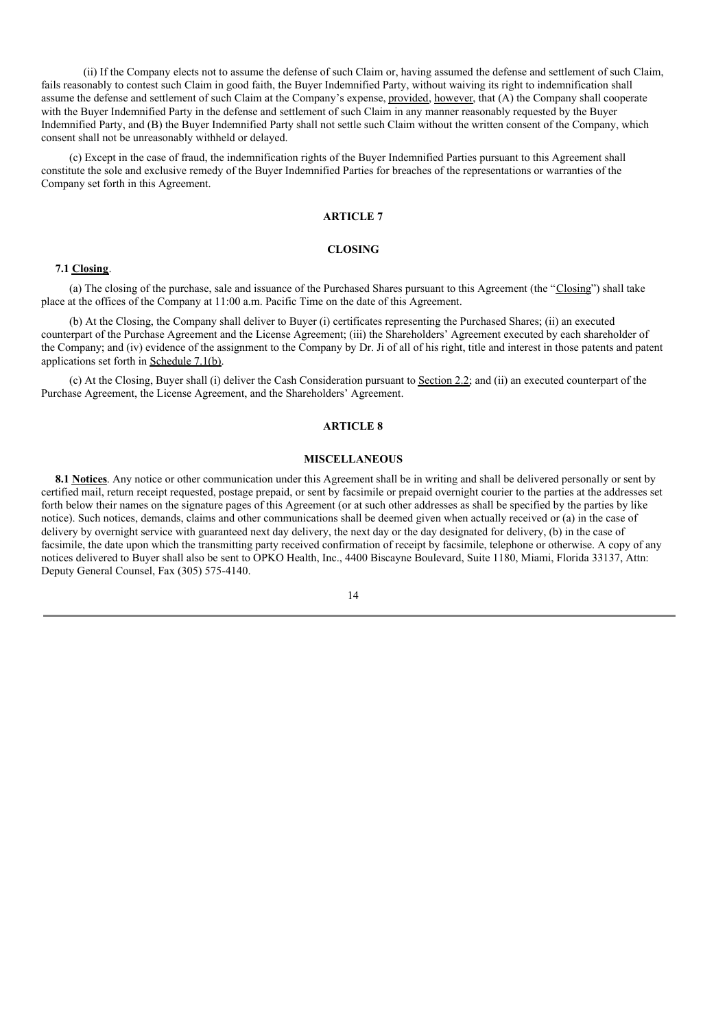(ii) If the Company elects not to assume the defense of such Claim or, having assumed the defense and settlement of such Claim, fails reasonably to contest such Claim in good faith, the Buyer Indemnified Party, without waiving its right to indemnification shall assume the defense and settlement of such Claim at the Company's expense, provided, however, that (A) the Company shall cooperate with the Buyer Indemnified Party in the defense and settlement of such Claim in any manner reasonably requested by the Buyer Indemnified Party, and (B) the Buyer Indemnified Party shall not settle such Claim without the written consent of the Company, which consent shall not be unreasonably withheld or delayed.

(c) Except in the case of fraud, the indemnification rights of the Buyer Indemnified Parties pursuant to this Agreement shall constitute the sole and exclusive remedy of the Buyer Indemnified Parties for breaches of the representations or warranties of the Company set forth in this Agreement.

#### **ARTICLE 7**

# **CLOSING**

#### **7.1 Closing**.

(a) The closing of the purchase, sale and issuance of the Purchased Shares pursuant to this Agreement (the "Closing") shall take place at the offices of the Company at 11:00 a.m. Pacific Time on the date of this Agreement.

(b) At the Closing, the Company shall deliver to Buyer (i) certificates representing the Purchased Shares; (ii) an executed counterpart of the Purchase Agreement and the License Agreement; (iii) the Shareholders' Agreement executed by each shareholder of the Company; and (iv) evidence of the assignment to the Company by Dr. Ji of all of his right, title and interest in those patents and patent applications set forth in Schedule 7.1(b).

(c) At the Closing, Buyer shall (i) deliver the Cash Consideration pursuant to Section 2.2; and (ii) an executed counterpart of the Purchase Agreement, the License Agreement, and the Shareholders' Agreement.

### **ARTICLE 8**

#### **MISCELLANEOUS**

**8.1 Notices**. Any notice or other communication under this Agreement shall be in writing and shall be delivered personally or sent by certified mail, return receipt requested, postage prepaid, or sent by facsimile or prepaid overnight courier to the parties at the addresses set forth below their names on the signature pages of this Agreement (or at such other addresses as shall be specified by the parties by like notice). Such notices, demands, claims and other communications shall be deemed given when actually received or (a) in the case of delivery by overnight service with guaranteed next day delivery, the next day or the day designated for delivery, (b) in the case of facsimile, the date upon which the transmitting party received confirmation of receipt by facsimile, telephone or otherwise. A copy of any notices delivered to Buyer shall also be sent to OPKO Health, Inc., 4400 Biscayne Boulevard, Suite 1180, Miami, Florida 33137, Attn: Deputy General Counsel, Fax (305) 575-4140.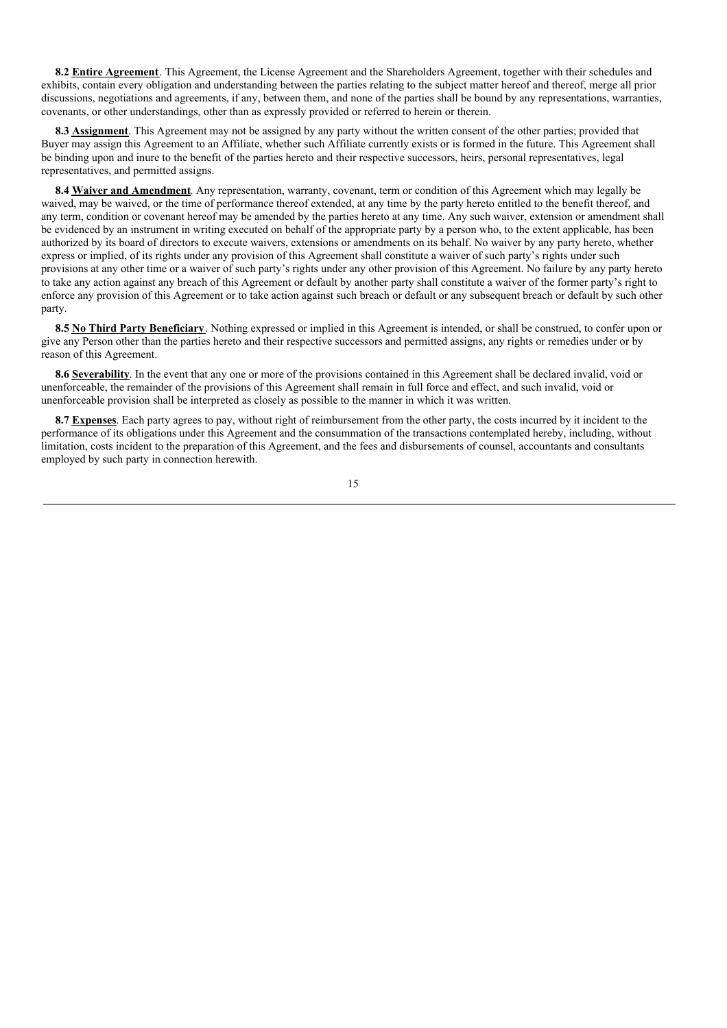**8.2 Entire Agreement**. This Agreement, the License Agreement and the Shareholders Agreement, together with their schedules and exhibits, contain every obligation and understanding between the parties relating to the subject matter hereof and thereof, merge all prior discussions, negotiations and agreements, if any, between them, and none of the parties shall be bound by any representations, warranties, covenants, or other understandings, other than as expressly provided or referred to herein or therein.

**8.3 Assignment**. This Agreement may not be assigned by any party without the written consent of the other parties; provided that Buyer may assign this Agreement to an Affiliate, whether such Affiliate currently exists or is formed in the future. This Agreement shall be binding upon and inure to the benefit of the parties hereto and their respective successors, heirs, personal representatives, legal representatives, and permitted assigns.

**8.4 Waiver and Amendment**. Any representation, warranty, covenant, term or condition of this Agreement which may legally be waived, may be waived, or the time of performance thereof extended, at any time by the party hereto entitled to the benefit thereof, and any term, condition or covenant hereof may be amended by the parties hereto at any time. Any such waiver, extension or amendment shall be evidenced by an instrument in writing executed on behalf of the appropriate party by a person who, to the extent applicable, has been authorized by its board of directors to execute waivers, extensions or amendments on its behalf. No waiver by any party hereto, whether express or implied, of its rights under any provision of this Agreement shall constitute a waiver of such party's rights under such provisions at any other time or a waiver of such party's rights under any other provision of this Agreement. No failure by any party hereto to take any action against any breach of this Agreement or default by another party shall constitute a waiver of the former party's right to enforce any provision of this Agreement or to take action against such breach or default or any subsequent breach or default by such other party.

**8.5 No Third Party Beneficiary**. Nothing expressed or implied in this Agreement is intended, or shall be construed, to confer upon or give any Person other than the parties hereto and their respective successors and permitted assigns, any rights or remedies under or by reason of this Agreement.

**8.6 Severability**. In the event that any one or more of the provisions contained in this Agreement shall be declared invalid, void or unenforceable, the remainder of the provisions of this Agreement shall remain in full force and effect, and such invalid, void or unenforceable provision shall be interpreted as closely as possible to the manner in which it was written.

**8.7 Expenses**. Each party agrees to pay, without right of reimbursement from the other party, the costs incurred by it incident to the performance of its obligations under this Agreement and the consummation of the transactions contemplated hereby, including, without limitation, costs incident to the preparation of this Agreement, and the fees and disbursements of counsel, accountants and consultants employed by such party in connection herewith.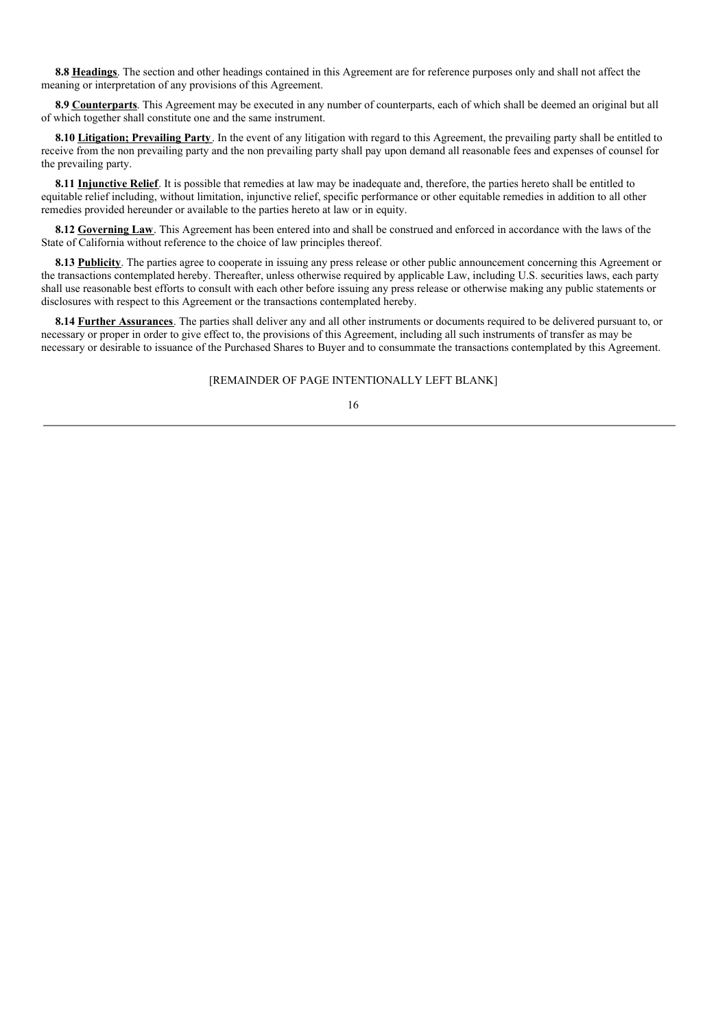**8.8 Headings**. The section and other headings contained in this Agreement are for reference purposes only and shall not affect the meaning or interpretation of any provisions of this Agreement.

**8.9 Counterparts**. This Agreement may be executed in any number of counterparts, each of which shall be deemed an original but all of which together shall constitute one and the same instrument.

**8.10 Litigation; Prevailing Party**. In the event of any litigation with regard to this Agreement, the prevailing party shall be entitled to receive from the non prevailing party and the non prevailing party shall pay upon demand all reasonable fees and expenses of counsel for the prevailing party.

**8.11 Injunctive Relief**. It is possible that remedies at law may be inadequate and, therefore, the parties hereto shall be entitled to equitable relief including, without limitation, injunctive relief, specific performance or other equitable remedies in addition to all other remedies provided hereunder or available to the parties hereto at law or in equity.

**8.12 Governing Law**. This Agreement has been entered into and shall be construed and enforced in accordance with the laws of the State of California without reference to the choice of law principles thereof.

**8.13 Publicity**. The parties agree to cooperate in issuing any press release or other public announcement concerning this Agreement or the transactions contemplated hereby. Thereafter, unless otherwise required by applicable Law, including U.S. securities laws, each party shall use reasonable best efforts to consult with each other before issuing any press release or otherwise making any public statements or disclosures with respect to this Agreement or the transactions contemplated hereby.

**8.14 Further Assurances**. The parties shall deliver any and all other instruments or documents required to be delivered pursuant to, or necessary or proper in order to give effect to, the provisions of this Agreement, including all such instruments of transfer as may be necessary or desirable to issuance of the Purchased Shares to Buyer and to consummate the transactions contemplated by this Agreement.

## [REMAINDER OF PAGE INTENTIONALLY LEFT BLANK]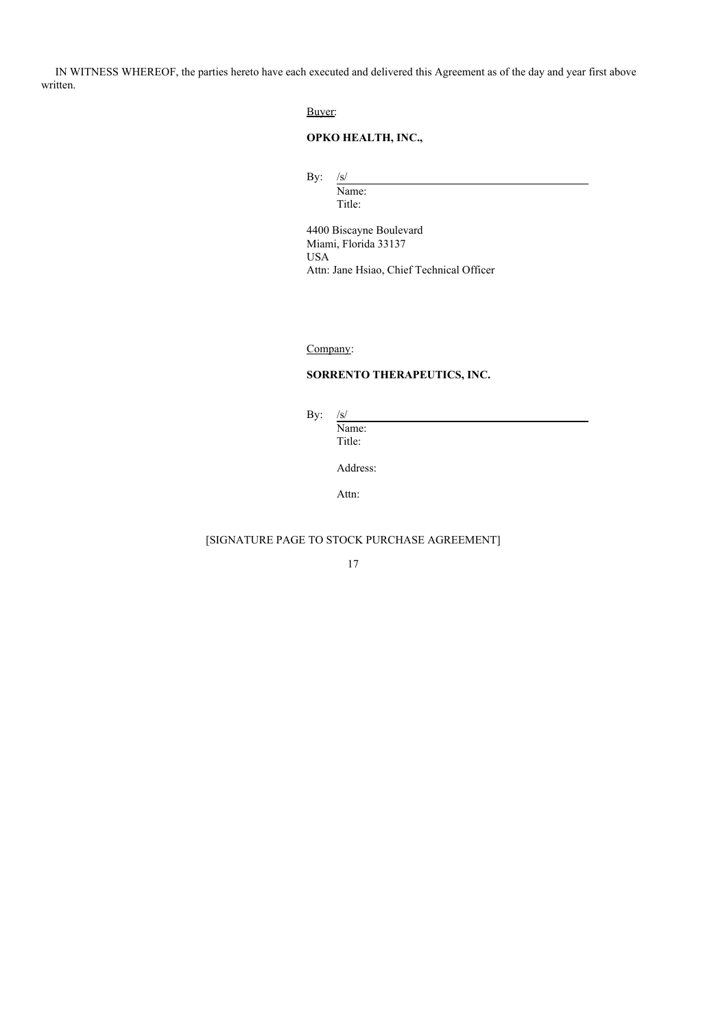IN WITNESS WHEREOF, the parties hereto have each executed and delivered this Agreement as of the day and year first above written.

Buyer:

# **OPKO HEALTH, INC.,**

By: /s/

Name: Title:

4400 Biscayne Boulevard Miami, Florida 33137 USA Attn: Jane Hsiao, Chief Technical Officer

Company:

# **SORRENTO THERAPEUTICS, INC.**

By: /s/

Name: Title:

Address:

Attn:

# [SIGNATURE PAGE TO STOCK PURCHASE AGREEMENT]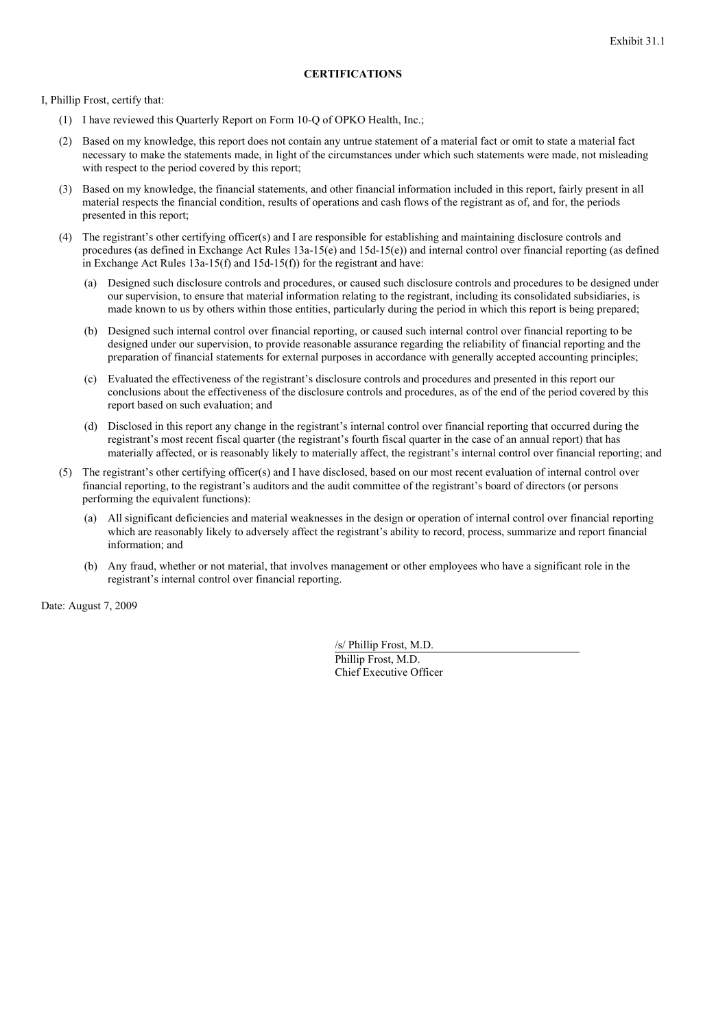I, Phillip Frost, certify that:

- (1) I have reviewed this Quarterly Report on Form 10-Q of OPKO Health, Inc.;
- (2) Based on my knowledge, this report does not contain any untrue statement of a material fact or omit to state a material fact necessary to make the statements made, in light of the circumstances under which such statements were made, not misleading with respect to the period covered by this report;
- (3) Based on my knowledge, the financial statements, and other financial information included in this report, fairly present in all material respects the financial condition, results of operations and cash flows of the registrant as of, and for, the periods presented in this report;
- (4) The registrant's other certifying officer(s) and I are responsible for establishing and maintaining disclosure controls and procedures (as defined in Exchange Act Rules 13a-15(e) and 15d-15(e)) and internal control over financial reporting (as defined in Exchange Act Rules 13a-15(f) and 15d-15(f)) for the registrant and have:
	- (a) Designed such disclosure controls and procedures, or caused such disclosure controls and procedures to be designed under our supervision, to ensure that material information relating to the registrant, including its consolidated subsidiaries, is made known to us by others within those entities, particularly during the period in which this report is being prepared;
	- (b) Designed such internal control over financial reporting, or caused such internal control over financial reporting to be designed under our supervision, to provide reasonable assurance regarding the reliability of financial reporting and the preparation of financial statements for external purposes in accordance with generally accepted accounting principles;
	- (c) Evaluated the effectiveness of the registrant's disclosure controls and procedures and presented in this report our conclusions about the effectiveness of the disclosure controls and procedures, as of the end of the period covered by this report based on such evaluation; and
	- (d) Disclosed in this report any change in the registrant's internal control over financial reporting that occurred during the registrant's most recent fiscal quarter (the registrant's fourth fiscal quarter in the case of an annual report) that has materially affected, or is reasonably likely to materially affect, the registrant's internal control over financial reporting; and
- (5) The registrant's other certifying officer(s) and I have disclosed, based on our most recent evaluation of internal control over financial reporting, to the registrant's auditors and the audit committee of the registrant's board of directors (or persons performing the equivalent functions):
	- (a) All significant deficiencies and material weaknesses in the design or operation of internal control over financial reporting which are reasonably likely to adversely affect the registrant's ability to record, process, summarize and report financial information; and
	- (b) Any fraud, whether or not material, that involves management or other employees who have a significant role in the registrant's internal control over financial reporting.

Date: August 7, 2009

/s/ Phillip Frost, M.D. Phillip Frost, M.D. Chief Executive Officer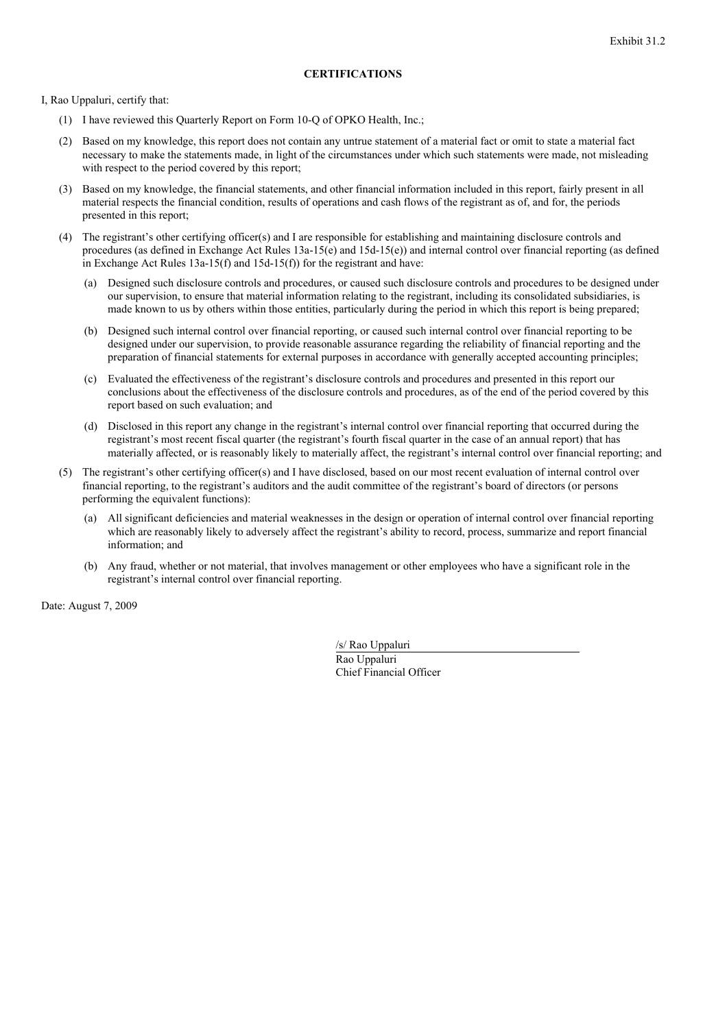I, Rao Uppaluri, certify that:

- (1) I have reviewed this Quarterly Report on Form 10-Q of OPKO Health, Inc.;
- (2) Based on my knowledge, this report does not contain any untrue statement of a material fact or omit to state a material fact necessary to make the statements made, in light of the circumstances under which such statements were made, not misleading with respect to the period covered by this report;
- (3) Based on my knowledge, the financial statements, and other financial information included in this report, fairly present in all material respects the financial condition, results of operations and cash flows of the registrant as of, and for, the periods presented in this report;
- (4) The registrant's other certifying officer(s) and I are responsible for establishing and maintaining disclosure controls and procedures (as defined in Exchange Act Rules 13a-15(e) and 15d-15(e)) and internal control over financial reporting (as defined in Exchange Act Rules 13a-15(f) and 15d-15(f)) for the registrant and have:
	- (a) Designed such disclosure controls and procedures, or caused such disclosure controls and procedures to be designed under our supervision, to ensure that material information relating to the registrant, including its consolidated subsidiaries, is made known to us by others within those entities, particularly during the period in which this report is being prepared;
	- (b) Designed such internal control over financial reporting, or caused such internal control over financial reporting to be designed under our supervision, to provide reasonable assurance regarding the reliability of financial reporting and the preparation of financial statements for external purposes in accordance with generally accepted accounting principles;
	- (c) Evaluated the effectiveness of the registrant's disclosure controls and procedures and presented in this report our conclusions about the effectiveness of the disclosure controls and procedures, as of the end of the period covered by this report based on such evaluation; and
	- (d) Disclosed in this report any change in the registrant's internal control over financial reporting that occurred during the registrant's most recent fiscal quarter (the registrant's fourth fiscal quarter in the case of an annual report) that has materially affected, or is reasonably likely to materially affect, the registrant's internal control over financial reporting; and
- (5) The registrant's other certifying officer(s) and I have disclosed, based on our most recent evaluation of internal control over financial reporting, to the registrant's auditors and the audit committee of the registrant's board of directors (or persons performing the equivalent functions):
	- (a) All significant deficiencies and material weaknesses in the design or operation of internal control over financial reporting which are reasonably likely to adversely affect the registrant's ability to record, process, summarize and report financial information; and
	- (b) Any fraud, whether or not material, that involves management or other employees who have a significant role in the registrant's internal control over financial reporting.

Date: August 7, 2009

/s/ Rao Uppaluri Rao Uppaluri Chief Financial Officer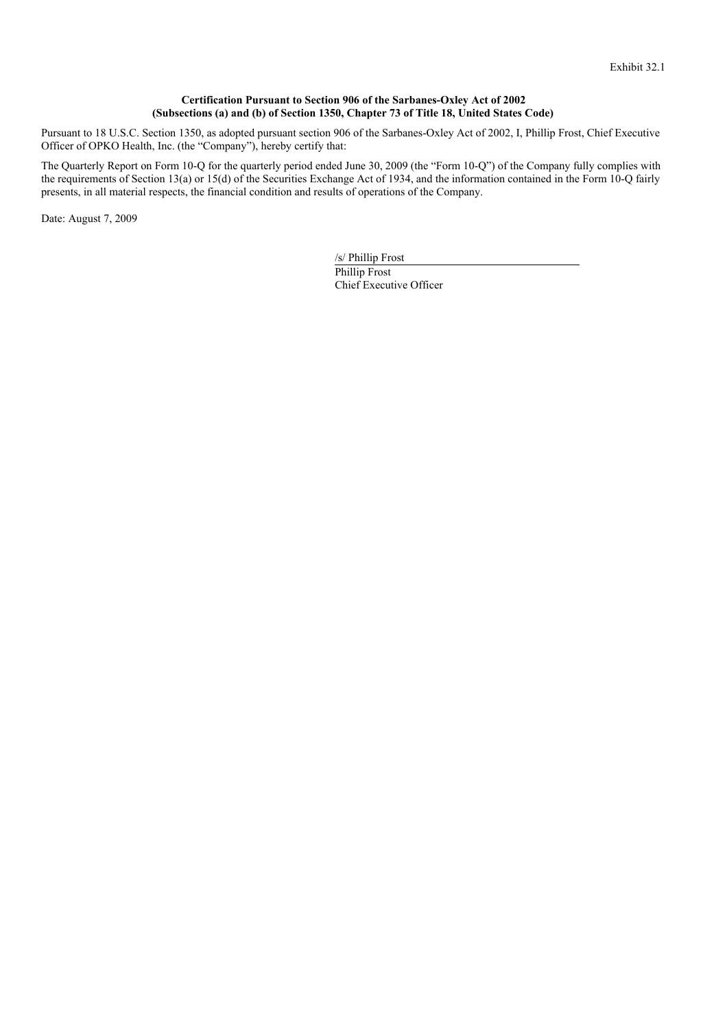#### **Certification Pursuant to Section 906 of the Sarbanes-Oxley Act of 2002 (Subsections (a) and (b) of Section 1350, Chapter 73 of Title 18, United States Code)**

Pursuant to 18 U.S.C. Section 1350, as adopted pursuant section 906 of the Sarbanes-Oxley Act of 2002, I, Phillip Frost, Chief Executive Officer of OPKO Health, Inc. (the "Company"), hereby certify that:

The Quarterly Report on Form 10-Q for the quarterly period ended June 30, 2009 (the "Form 10-Q") of the Company fully complies with the requirements of Section 13(a) or 15(d) of the Securities Exchange Act of 1934, and the information contained in the Form 10-Q fairly presents, in all material respects, the financial condition and results of operations of the Company.

Date: August 7, 2009

/s/ Phillip Frost Phillip Frost Chief Executive Officer